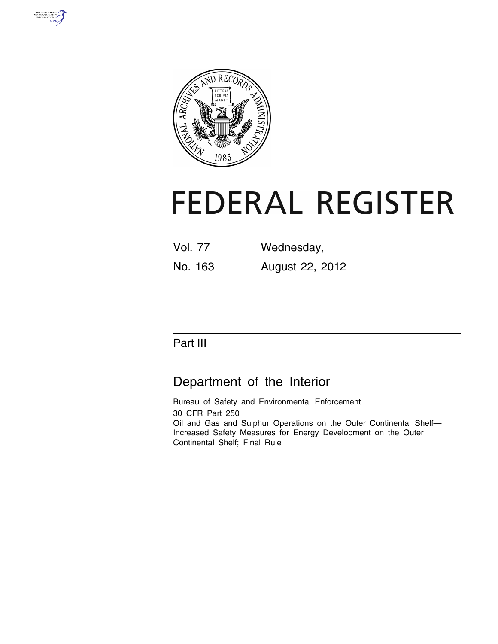



# **FEDERAL REGISTER**

| <b>Vol. 77</b> | Wednesday,      |
|----------------|-----------------|
| No. 163        | August 22, 2012 |

# Part III

# Department of the Interior

Bureau of Safety and Environmental Enforcement 30 CFR Part 250 Oil and Gas and Sulphur Operations on the Outer Continental Shelf— Increased Safety Measures for Energy Development on the Outer Continental Shelf; Final Rule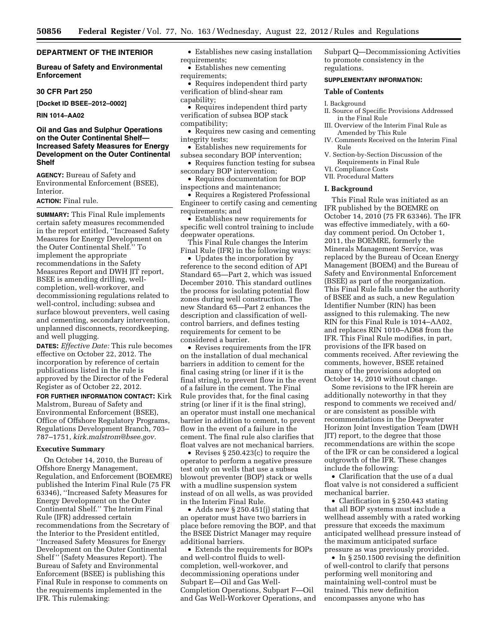#### **DEPARTMENT OF THE INTERIOR**

#### **Bureau of Safety and Environmental Enforcement**

#### **30 CFR Part 250**

**[Docket ID BSEE–2012–0002]** 

**RIN 1014–AA02** 

#### **Oil and Gas and Sulphur Operations on the Outer Continental Shelf— Increased Safety Measures for Energy Development on the Outer Continental Shelf**

**AGENCY:** Bureau of Safety and Environmental Enforcement (BSEE), Interior.

#### **ACTION:** Final rule.

**SUMMARY:** This Final Rule implements certain safety measures recommended in the report entitled, ''Increased Safety Measures for Energy Development on the Outer Continental Shelf.'' To implement the appropriate recommendations in the Safety Measures Report and DWH JIT report, BSEE is amending drilling, wellcompletion, well-workover, and decommissioning regulations related to well-control, including: subsea and surface blowout preventers, well casing and cementing, secondary intervention, unplanned disconnects, recordkeeping, and well plugging.

**DATES:** *Effective Date:* This rule becomes effective on October 22, 2012. The incorporation by reference of certain publications listed in the rule is approved by the Director of the Federal Register as of October 22, 2012.

**FOR FURTHER INFORMATION CONTACT:** Kirk Malstrom, Bureau of Safety and Environmental Enforcement (BSEE), Office of Offshore Regulatory Programs, Regulations Development Branch, 703– 787–1751, *[kirk.malstrom@bsee.gov.](mailto:kirk.malstrom@bsee.gov)* 

#### **Executive Summary**

On October 14, 2010, the Bureau of Offshore Energy Management, Regulation, and Enforcement (BOEMRE) published the Interim Final Rule (75 FR 63346), ''Increased Safety Measures for Energy Development on the Outer Continental Shelf.'' The Interim Final Rule (IFR) addressed certain recommendations from the Secretary of the Interior to the President entitled, ''Increased Safety Measures for Energy Development on the Outer Continental Shelf '' (Safety Measures Report). The Bureau of Safety and Environmental Enforcement (BSEE) is publishing this Final Rule in response to comments on the requirements implemented in the IFR. This rulemaking:

• Establishes new casing installation requirements;

• Establishes new cementing requirements;

• Requires independent third party verification of blind-shear ram capability;

- Requires independent third party verification of subsea BOP stack compatibility;
- Requires new casing and cementing integrity tests;
- Establishes new requirements for subsea secondary BOP intervention;
- Requires function testing for subsea secondary BOP intervention;
- Requires documentation for BOP inspections and maintenance;

• Requires a Registered Professional Engineer to certify casing and cementing requirements; and

• Establishes new requirements for specific well control training to include deepwater operations.

This Final Rule changes the Interim Final Rule (IFR) in the following ways:

• Updates the incorporation by reference to the second edition of API Standard 65—Part 2, which was issued December 2010. This standard outlines the process for isolating potential flow zones during well construction. The new Standard 65—Part 2 enhances the description and classification of wellcontrol barriers, and defines testing requirements for cement to be considered a barrier.

• Revises requirements from the IFR on the installation of dual mechanical barriers in addition to cement for the final casing string (or liner if it is the final string), to prevent flow in the event of a failure in the cement. The Final Rule provides that, for the final casing string (or liner if it is the final string), an operator must install one mechanical barrier in addition to cement, to prevent flow in the event of a failure in the cement. The final rule also clarifies that float valves are not mechanical barriers.

• Revises § 250.423(c) to require the operator to perform a negative pressure test only on wells that use a subsea blowout preventer (BOP) stack or wells with a mudline suspension system instead of on all wells, as was provided in the Interim Final Rule.

• Adds new § 250.451(j) stating that an operator must have two barriers in place before removing the BOP, and that the BSEE District Manager may require additional barriers.

• Extends the requirements for BOPs and well-control fluids to wellcompletion, well-workover, and decommissioning operations under Subpart E—Oil and Gas Well-Completion Operations, Subpart F—Oil and Gas Well-Workover Operations, and Subpart Q—Decommissioning Activities to promote consistency in the regulations.

#### **SUPPLEMENTARY INFORMATION:**

**Table of Contents** 

#### I. Background

- II. Source of Specific Provisions Addressed in the Final Rule
- III. Overview of the Interim Final Rule as Amended by This Rule
- IV. Comments Received on the Interim Final Rule
- V. Section-by-Section Discussion of the Requirements in Final Rule
- VI. Compliance Costs
- VII. Procedural Matters

#### **I. Background**

This Final Rule was initiated as an IFR published by the BOEMRE on October 14, 2010 (75 FR 63346). The IFR was effective immediately, with a 60 day comment period. On October 1, 2011, the BOEMRE, formerly the Minerals Management Service, was replaced by the Bureau of Ocean Energy Management (BOEM) and the Bureau of Safety and Environmental Enforcement (BSEE) as part of the reorganization. This Final Rule falls under the authority of BSEE and as such, a new Regulation Identifier Number (RIN) has been assigned to this rulemaking. The new RIN for this Final Rule is 1014–AA02, and replaces RIN 1010–AD68 from the IFR. This Final Rule modifies, in part, provisions of the IFR based on comments received. After reviewing the comments, however, BSEE retained many of the provisions adopted on October 14, 2010 without change.

Some revisions to the IFR herein are additionally noteworthy in that they respond to comments we received and/ or are consistent as possible with recommendations in the Deepwater Horizon Joint Investigation Team (DWH JIT) report, to the degree that those recommendations are within the scope of the IFR or can be considered a logical outgrowth of the IFR. These changes include the following:

• Clarification that the use of a dual float valve is not considered a sufficient mechanical barrier.

• Clarification in § 250.443 stating that all BOP systems must include a wellhead assembly with a rated working pressure that exceeds the maximum anticipated wellhead pressure instead of the maximum anticipated surface pressure as was previously provided.

• In § 250.1500 revising the definition of well-control to clarify that persons performing well monitoring and maintaining well-control must be trained. This new definition encompasses anyone who has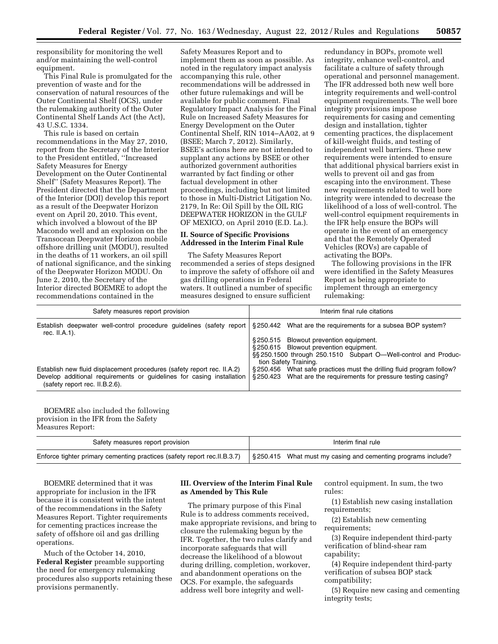responsibility for monitoring the well and/or maintaining the well-control equipment.

This Final Rule is promulgated for the prevention of waste and for the conservation of natural resources of the Outer Continental Shelf (OCS), under the rulemaking authority of the Outer Continental Shelf Lands Act (the Act), 43 U.S.C. 1334.

This rule is based on certain recommendations in the May 27, 2010, report from the Secretary of the Interior to the President entitled, ''Increased Safety Measures for Energy Development on the Outer Continental Shelf'' (Safety Measures Report). The President directed that the Department of the Interior (DOI) develop this report as a result of the Deepwater Horizon event on April 20, 2010. This event, which involved a blowout of the BP Macondo well and an explosion on the Transocean Deepwater Horizon mobile offshore drilling unit (MODU), resulted in the deaths of 11 workers, an oil spill of national significance, and the sinking of the Deepwater Horizon MODU. On June 2, 2010, the Secretary of the Interior directed BOEMRE to adopt the recommendations contained in the

Safety Measures Report and to implement them as soon as possible. As noted in the regulatory impact analysis accompanying this rule, other recommendations will be addressed in other future rulemakings and will be available for public comment. Final Regulatory Impact Analysis for the Final Rule on Increased Safety Measures for Energy Development on the Outer Continental Shelf, RIN 1014–AA02, at 9 (BSEE; March 7, 2012). Similarly, BSEE's actions here are not intended to supplant any actions by BSEE or other authorized government authorities warranted by fact finding or other factual development in other proceedings, including but not limited to those in Multi-District Litigation No. 2179, In Re: Oil Spill by the OIL RIG DEEPWATER HORIZON in the GULF OF MEXICO, on April 2010 (E.D. La.).

#### **II. Source of Specific Provisions Addressed in the Interim Final Rule**

The Safety Measures Report recommended a series of steps designed to improve the safety of offshore oil and gas drilling operations in Federal waters. It outlined a number of specific measures designed to ensure sufficient

redundancy in BOPs, promote well integrity, enhance well-control, and facilitate a culture of safety through operational and personnel management. The IFR addressed both new well bore integrity requirements and well-control equipment requirements. The well bore integrity provisions impose requirements for casing and cementing design and installation, tighter cementing practices, the displacement of kill-weight fluids, and testing of independent well barriers. These new requirements were intended to ensure that additional physical barriers exist in wells to prevent oil and gas from escaping into the environment. These new requirements related to well bore integrity were intended to decrease the likelihood of a loss of well-control. The well-control equipment requirements in the IFR help ensure the BOPs will operate in the event of an emergency and that the Remotely Operated Vehicles (ROVs) are capable of activating the BOPs.

The following provisions in the IFR were identified in the Safety Measures Report as being appropriate to implement through an emergency rulemaking:

| Safety measures report provision                                                                                                                    | Interim final rule citations                                                            |  |  |
|-----------------------------------------------------------------------------------------------------------------------------------------------------|-----------------------------------------------------------------------------------------|--|--|
| Establish deepwater well-control procedure guidelines (safety report   §250.442 What are the requirements for a subsea BOP system?<br>rec. II.A.1). |                                                                                         |  |  |
|                                                                                                                                                     | §250.515 Blowout prevention equipment.                                                  |  |  |
|                                                                                                                                                     | §250.615 Blowout prevention equipment.                                                  |  |  |
|                                                                                                                                                     | §§250.1500 through 250.1510 Subpart O—Well-control and Produc-<br>tion Safety Training. |  |  |
| Establish new fluid displacement procedures (safety report rec. II.A.2)                                                                             | §250.456 What safe practices must the drilling fluid program follow?                    |  |  |
| Develop additional requirements or guidelines for casing installation<br>(safety report rec. II.B.2.6).                                             | §250.423 What are the requirements for pressure testing casing?                         |  |  |

BOEMRE also included the following provision in the IFR from the Safety Measures Report:

| Safety measures report provision                                                                                                          | Interim final rule |  |
|-------------------------------------------------------------------------------------------------------------------------------------------|--------------------|--|
| Enforce tighter primary cementing practices (safety report rec.II.B.3.7) $\S$ 250.415 What must my casing and cementing programs include? |                    |  |

BOEMRE determined that it was appropriate for inclusion in the IFR because it is consistent with the intent of the recommendations in the Safety Measures Report. Tighter requirements for cementing practices increase the safety of offshore oil and gas drilling operations.

Much of the October 14, 2010, **Federal Register** preamble supporting the need for emergency rulemaking procedures also supports retaining these provisions permanently.

#### **III. Overview of the Interim Final Rule as Amended by This Rule**

The primary purpose of this Final Rule is to address comments received, make appropriate revisions, and bring to closure the rulemaking begun by the IFR. Together, the two rules clarify and incorporate safeguards that will decrease the likelihood of a blowout during drilling, completion, workover, and abandonment operations on the OCS. For example, the safeguards address well bore integrity and wellcontrol equipment. In sum, the two rules:

(1) Establish new casing installation requirements;

(2) Establish new cementing requirements;

(3) Require independent third-party verification of blind-shear ram capability;

(4) Require independent third-party verification of subsea BOP stack compatibility;

(5) Require new casing and cementing integrity tests;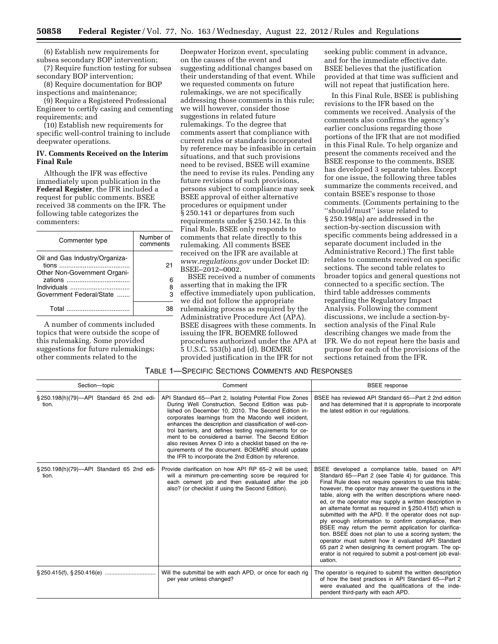(6) Establish new requirements for subsea secondary BOP intervention;

(7) Require function testing for subsea secondary BOP intervention;

(8) Require documentation for BOP inspections and maintenance;

(9) Require a Registered Professional Engineer to certify casing and cementing requirements; and

(10) Establish new requirements for specific well-control training to include deepwater operations.

#### **IV. Comments Received on the Interim Final Rule**

Although the IFR was effective immediately upon publication in the **Federal Register**, the IFR included a request for public comments. BSEE received 38 comments on the IFR. The following table categorizes the commenters:

| Commenter type                                                 | Number of<br>comments |
|----------------------------------------------------------------|-----------------------|
| Oil and Gas Industry/Organiza-<br>Other Non-Government Organi- | 21                    |
| Individuals<br>Government Federal/State                        | 8<br>з                |
|                                                                |                       |

A number of comments included topics that were outside the scope of this rulemaking. Some provided suggestions for future rulemakings; other comments related to the

Deepwater Horizon event, speculating on the causes of the event and suggesting additional changes based on their understanding of that event. While we requested comments on future rulemakings, we are not specifically addressing those comments in this rule; we will however, consider those suggestions in related future rulemakings. To the degree that comments assert that compliance with current rules or standards incorporated by reference may be infeasible in certain situations, and that such provisions need to be revised, BSEE will examine the need to revise its rules. Pending any future revisions of such provisions, persons subject to compliance may seek BSEE approval of either alternative procedures or equipment under § 250.141 or departures from such requirements under § 250.142. In this Final Rule, BSEE only responds to comments that relate directly to this rulemaking. All comments BSEE received on the IFR are available at *[www.regulations.gov](http://www.regulations.gov)* under Docket ID: BSEE–2012–0002.

BSEE received a number of comments asserting that in making the IFR effective immediately upon publication, we did not follow the appropriate rulemaking process as required by the Administrative Procedure Act (APA). BSEE disagrees with these comments. In issuing the IFR, BOEMRE followed procedures authorized under the APA at 5 U.S.C. 553(b) and (d). BOEMRE provided justification in the IFR for not

seeking public comment in advance, and for the immediate effective date. BSEE believes that the justification provided at that time was sufficient and will not repeat that justification here.

In this Final Rule, BSEE is publishing revisions to the IFR based on the comments we received. Analysis of the comments also confirms the agency's earlier conclusions regarding those portions of the IFR that are not modified in this Final Rule. To help organize and present the comments received and the BSEE response to the comments, BSEE has developed 3 separate tables. Except for one issue, the following three tables summarize the comments received, and contain BSEE's response to those comments. (Comments pertaining to the ''should/must'' issue related to § 250.198(a) are addressed in the section-by-section discussion with specific comments being addressed in a separate document included in the Administrative Record.) The first table relates to comments received on specific sections. The second table relates to broader topics and general questions not connected to a specific section. The third table addresses comments regarding the Regulatory Impact Analysis. Following the comment discussions, we include a section-bysection analysis of the Final Rule describing changes we made from the IFR. We do not repeat here the basis and purpose for each of the provisions of the sections retained from the IFR.

| Section-topic                                      | Comment                                                                                                                                                                                                                                                                                                                                                                                                                                                                                                                                                                        | <b>BSEE</b> response                                                                                                                                                                                                                                                                                                                                                                                                                                                                                                                                                                                                                                                                                                                                                                                                              |  |
|----------------------------------------------------|--------------------------------------------------------------------------------------------------------------------------------------------------------------------------------------------------------------------------------------------------------------------------------------------------------------------------------------------------------------------------------------------------------------------------------------------------------------------------------------------------------------------------------------------------------------------------------|-----------------------------------------------------------------------------------------------------------------------------------------------------------------------------------------------------------------------------------------------------------------------------------------------------------------------------------------------------------------------------------------------------------------------------------------------------------------------------------------------------------------------------------------------------------------------------------------------------------------------------------------------------------------------------------------------------------------------------------------------------------------------------------------------------------------------------------|--|
| § 250.198(h)(79)-API Standard 65 2nd edi-<br>tion. | API Standard 65-Part 2, Isolating Potential Flow Zones<br>During Well Construction, Second Edition was pub-<br>lished on December 10, 2010. The Second Edition in-<br>corporates learnings from the Macondo well incident,<br>enhances the description and classification of well-con-<br>trol barriers, and defines testing requirements for ce-<br>ment to be considered a barrier. The Second Edition<br>also revises Annex D into a checklist based on the re-<br>quirements of the document. BOEMRE should update<br>the IFR to incorporate the 2nd Edition by reference. | BSEE has reviewed API Standard 65-Part 2 2nd edition<br>and has determined that it is appropriate to incorporate<br>the latest edition in our regulations.                                                                                                                                                                                                                                                                                                                                                                                                                                                                                                                                                                                                                                                                        |  |
| § 250.198(h)(79)-API Standard 65 2nd edi-<br>tion. | Provide clarification on how API RP 65-2 will be used:<br>will a minimum pre-cementing score be required for<br>each cement job and then evaluated after the job<br>also? (or checklist if using the Second Edition).                                                                                                                                                                                                                                                                                                                                                          | BSEE developed a compliance table, based on API<br>Standard 65-Part 2 (see Table 4) for guidance. This<br>Final Rule does not require operators to use this table;<br>however, the operator may answer the questions in the<br>table, along with the written descriptions where need-<br>ed, or the operator may supply a written description in<br>an alternate format as required in §250.415(f) which is<br>submitted with the APD. If the operator does not sup-<br>ply enough information to confirm compliance, then<br>BSEE may return the permit application for clarifica-<br>tion. BSEE does not plan to use a scoring system; the<br>operator must submit how it evaluated API Standard<br>65 part 2 when designing its cement program. The op-<br>erator is not required to submit a post-cement job eval-<br>uation. |  |
| $\S 250.415(f)$ , $\S 250.416(e)$                  | Will the submittal be with each APD, or once for each rig<br>per year unless changed?                                                                                                                                                                                                                                                                                                                                                                                                                                                                                          | The operator is required to submit the written description<br>of how the best practices in API Standard 65–Part 2<br>were evaluated and the qualifications of the inde-<br>pendent third-party with each APD.                                                                                                                                                                                                                                                                                                                                                                                                                                                                                                                                                                                                                     |  |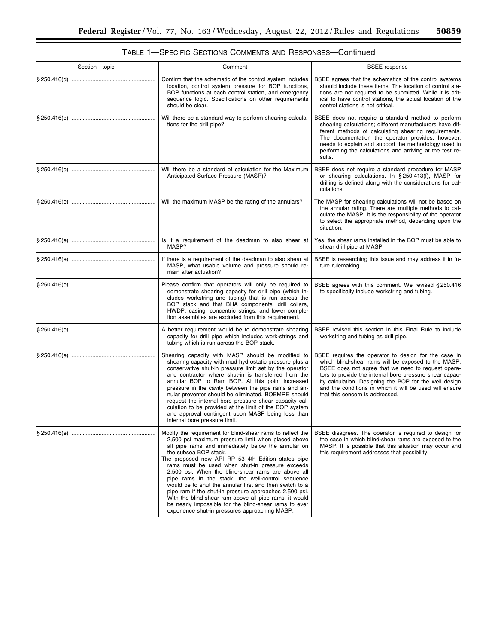| Section-topic | Comment                                                                                                                                                                                                                                                                                                                                                                                                                                                                                                                                                                                                                                                                                                       | <b>BSEE</b> response                                                                                                                                                                                                                                                                                                                                                                 |
|---------------|---------------------------------------------------------------------------------------------------------------------------------------------------------------------------------------------------------------------------------------------------------------------------------------------------------------------------------------------------------------------------------------------------------------------------------------------------------------------------------------------------------------------------------------------------------------------------------------------------------------------------------------------------------------------------------------------------------------|--------------------------------------------------------------------------------------------------------------------------------------------------------------------------------------------------------------------------------------------------------------------------------------------------------------------------------------------------------------------------------------|
|               | Confirm that the schematic of the control system includes<br>location, control system pressure for BOP functions,<br>BOP functions at each control station, and emergency<br>sequence logic. Specifications on other requirements<br>should be clear.                                                                                                                                                                                                                                                                                                                                                                                                                                                         | BSEE agrees that the schematics of the control systems<br>should include these items. The location of control sta-<br>tions are not required to be submitted. While it is crit-<br>ical to have control stations, the actual location of the<br>control stations is not critical.                                                                                                    |
|               | Will there be a standard way to perform shearing calcula-<br>tions for the drill pipe?                                                                                                                                                                                                                                                                                                                                                                                                                                                                                                                                                                                                                        | BSEE does not require a standard method to perform<br>shearing calculations; different manufacturers have dif-<br>ferent methods of calculating shearing requirements.<br>The documentation the operator provides, however,<br>needs to explain and support the methodology used in<br>performing the calculations and arriving at the test re-<br>sults.                            |
|               | Will there be a standard of calculation for the Maximum<br>Anticipated Surface Pressure (MASP)?                                                                                                                                                                                                                                                                                                                                                                                                                                                                                                                                                                                                               | BSEE does not require a standard procedure for MASP<br>or shearing calculations. In §250.413(f), MASP for<br>drilling is defined along with the considerations for cal-<br>culations.                                                                                                                                                                                                |
|               | Will the maximum MASP be the rating of the annulars?                                                                                                                                                                                                                                                                                                                                                                                                                                                                                                                                                                                                                                                          | The MASP for shearing calculations will not be based on<br>the annular rating. There are multiple methods to cal-<br>culate the MASP. It is the responsibility of the operator<br>to select the appropriate method, depending upon the<br>situation.                                                                                                                                 |
|               | Is it a requirement of the deadman to also shear at<br>MASP?                                                                                                                                                                                                                                                                                                                                                                                                                                                                                                                                                                                                                                                  | Yes, the shear rams installed in the BOP must be able to<br>shear drill pipe at MASP.                                                                                                                                                                                                                                                                                                |
|               | If there is a requirement of the deadman to also shear at<br>MASP, what usable volume and pressure should re-<br>main after actuation?                                                                                                                                                                                                                                                                                                                                                                                                                                                                                                                                                                        | BSEE is researching this issue and may address it in fu-<br>ture rulemaking.                                                                                                                                                                                                                                                                                                         |
|               | Please confirm that operators will only be required to<br>demonstrate shearing capacity for drill pipe (which in-<br>cludes workstring and tubing) that is run across the<br>BOP stack and that BHA components, drill collars,<br>HWDP, casing, concentric strings, and lower comple-<br>tion assemblies are excluded from this requirement.                                                                                                                                                                                                                                                                                                                                                                  | BSEE agrees with this comment. We revised §250.416<br>to specifically include workstring and tubing.                                                                                                                                                                                                                                                                                 |
|               | A better requirement would be to demonstrate shearing<br>capacity for drill pipe which includes work-strings and<br>tubing which is run across the BOP stack.                                                                                                                                                                                                                                                                                                                                                                                                                                                                                                                                                 | BSEE revised this section in this Final Rule to include<br>workstring and tubing as drill pipe.                                                                                                                                                                                                                                                                                      |
|               | Shearing capacity with MASP should be modified to<br>shearing capacity with mud hydrostatic pressure plus a<br>conservative shut-in pressure limit set by the operator<br>and contractor where shut-in is transferred from the<br>annular BOP to Ram BOP. At this point increased<br>pressure in the cavity between the pipe rams and an-<br>nular preventer should be eliminated. BOEMRE should<br>request the internal bore pressure shear capacity cal-<br>culation to be provided at the limit of the BOP system<br>and approval contingent upon MASP being less than<br>internal bore pressure limit.                                                                                                    | BSEE requires the operator to design for the case in<br>which blind-shear rams will be exposed to the MASP.<br>BSEE does not agree that we need to request opera-<br>tors to provide the internal bore pressure shear capac-<br>ity calculation. Designing the BOP for the well design<br>and the conditions in which it will be used will ensure<br>that this concern is addressed. |
|               | Modify the requirement for blind-shear rams to reflect the<br>2,500 psi maximum pressure limit when placed above<br>all pipe rams and immediately below the annular on<br>the subsea BOP stack.<br>The proposed new API RP-53 4th Edition states pipe<br>rams must be used when shut-in pressure exceeds<br>2,500 psi. When the blind-shear rams are above all<br>pipe rams in the stack, the well-control sequence<br>would be to shut the annular first and then switch to a<br>pipe ram if the shut-in pressure approaches 2,500 psi.<br>With the blind-shear ram above all pipe rams, it would<br>be nearly impossible for the blind-shear rams to ever<br>experience shut-in pressures approaching MASP. | BSEE disagrees. The operator is required to design for<br>the case in which blind-shear rams are exposed to the<br>MASP. It is possible that this situation may occur and<br>this requirement addresses that possibility.                                                                                                                                                            |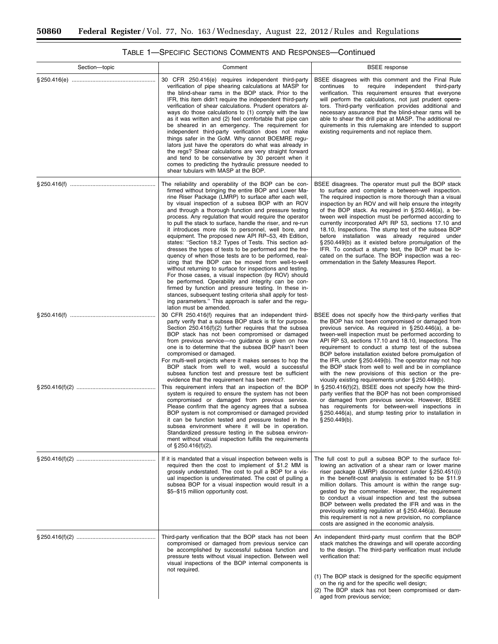| Section-topic | Comment                                                                                                                                                                                                                                                                                                                                                                                                                                                                                                                                                                                                                                                                                                                                                                                                                                                                                                                                                                                                                                                                                                                                               | <b>BSEE</b> response                                                                                                                                                                                                                                                                                                                                                                                                                                                                                                                                                                                                                                                                                                                                                                                                                                                                                                                                  |
|---------------|-------------------------------------------------------------------------------------------------------------------------------------------------------------------------------------------------------------------------------------------------------------------------------------------------------------------------------------------------------------------------------------------------------------------------------------------------------------------------------------------------------------------------------------------------------------------------------------------------------------------------------------------------------------------------------------------------------------------------------------------------------------------------------------------------------------------------------------------------------------------------------------------------------------------------------------------------------------------------------------------------------------------------------------------------------------------------------------------------------------------------------------------------------|-------------------------------------------------------------------------------------------------------------------------------------------------------------------------------------------------------------------------------------------------------------------------------------------------------------------------------------------------------------------------------------------------------------------------------------------------------------------------------------------------------------------------------------------------------------------------------------------------------------------------------------------------------------------------------------------------------------------------------------------------------------------------------------------------------------------------------------------------------------------------------------------------------------------------------------------------------|
|               | 30 CFR 250.416(e) requires independent third-party<br>verification of pipe shearing calculations at MASP for<br>the blind-shear rams in the BOP stack. Prior to the<br>IFR, this item didn't require the independent third-party<br>verification of shear calculations. Prudent operators al-<br>ways do those calculations to (1) comply with the law<br>as it was written and (2) feel comfortable that pipe can<br>be sheared in an emergency. The requirement for<br>independent third-party verification does not make<br>things safer in the GoM. Why cannot BOEMRE regu-<br>lators just have the operators do what was already in<br>the regs? Shear calculations are very straight forward<br>and tend to be conservative by 30 percent when it<br>comes to predicting the hydraulic pressure needed to<br>shear tubulars with MASP at the BOP.                                                                                                                                                                                                                                                                                               | BSEE disagrees with this comment and the Final Rule<br>require<br>independent third-party<br>continues<br>to<br>verification. This requirement ensures that everyone<br>will perform the calculations, not just prudent opera-<br>tors. Third-party verification provides additional and<br>necessary assurance that the blind-shear rams will be<br>able to shear the drill pipe at MASP. The additional re-<br>quirements in this rulemaking are intended to support<br>existing requirements and not replace them.                                                                                                                                                                                                                                                                                                                                                                                                                                 |
|               | The reliability and operability of the BOP can be con-<br>firmed without bringing the entire BOP and Lower Ma-<br>rine Riser Package (LMRP) to surface after each well,<br>by visual inspection of a subsea BOP with an ROV<br>and through a thorough function and pressure testing<br>process. Any regulation that would require the operator<br>to pull the stack to surface, handle the riser, and re-run<br>it introduces more risk to personnel, well bore, and<br>equipment. The proposed new API RP-53, 4th Edition,<br>states: "Section 18.2 Types of Tests. This section ad-<br>dresses the types of tests to be performed and the fre-<br>quency of when those tests are to be performed, real-<br>izing that the BOP can be moved from well-to-well<br>without returning to surface for inspections and testing.<br>For those cases, a visual inspection (by ROV) should<br>be performed. Operability and integrity can be con-<br>firmed by function and pressure testing. In these in-<br>stances, subsequent testing criteria shall apply for test-<br>ing parameters." This approach is safer and the regu-<br>lation must be amended. | BSEE disagrees. The operator must pull the BOP stack<br>to surface and complete a between-well inspection.<br>The required inspection is more thorough than a visual<br>inspection by an ROV and will help ensure the integrity<br>of the BOP stack. As required in $\S 250.446(a)$ , a be-<br>tween well inspection must be performed according to<br>currently incorporated API RP 53, sections 17.10 and<br>18.10, Inspections. The stump test of the subsea BOP<br>before installation was already required under<br>§250.449(b) as it existed before promulgation of the<br>IFR. To conduct a stump test, the BOP must be lo-<br>cated on the surface. The BOP inspection was a rec-<br>ommendation in the Safety Measures Report.                                                                                                                                                                                                               |
|               | 30 CFR 250.416(f) requires that an independent third-<br>party verify that a subsea BOP stack is fit for purpose.<br>Section $250.416(f)(2)$ further requires that the subsea<br>BOP stack has not been compromised or damaged<br>from previous service-no guidance is given on how<br>one is to determine that the subsea BOP hasn't been<br>compromised or damaged.<br>For multi-well projects where it makes senses to hop the<br>BOP stack from well to well, would a successful<br>subsea function test and pressure test be sufficient<br>evidence that the requirement has been met?.<br>This requirement infers that an inspection of the BOP<br>system is required to ensure the system has not been<br>compromised or damaged from previous service.<br>Please confirm that the agency agrees that a subsea<br>BOP system is not compromised or damaged provided<br>it can be function tested and pressure tested in the<br>subsea environment where it will be in operation.<br>Standardized pressure testing in the subsea environ-<br>ment without visual inspection fulfills the requirements<br>of $§$ 250.416(f)(2).                  | BSEE does not specify how the third-party verifies that<br>the BOP has not been compromised or damaged from<br>previous service. As required in $\S 250.446(a)$ , a be-<br>tween-well inspection must be performed according to<br>API RP 53, sections 17.10 and 18.10, Inspections. The<br>requirement to conduct a stump test of the subsea<br>BOP before installation existed before promulgation of<br>the IFR, under $\S 250.449(b)$ . The operator may not hop<br>the BOP stack from well to well and be in compliance<br>with the new provisions of this section or the pre-<br>viously existing requirements under § 250.449(b).<br>In $\S 250.416(f)(2)$ , BSEE does not specify how the third-<br>party verifies that the BOP has not been compromised<br>or damaged from previous service. However, BSEE<br>has requirements for between-well inspections in<br>§250.446(a), and stump testing prior to installation in<br>$§$ 250.449(b). |
|               | If it is mandated that a visual inspection between wells is<br>required then the cost to implement of \$1.2 MM is<br>grossly understated. The cost to pull a BOP for a vis-<br>ual inspection is underestimated. The cost of pulling a<br>subsea BOP for a visual inspection would result in a<br>\$5-\$15 million opportunity cost.                                                                                                                                                                                                                                                                                                                                                                                                                                                                                                                                                                                                                                                                                                                                                                                                                  | The full cost to pull a subsea BOP to the surface fol-<br>lowing an activation of a shear ram or lower marine<br>riser package (LMRP) disconnect (under § 250.451(i))<br>in the benefit-cost analysis is estimated to be \$11.9<br>million dollars. This amount is within the range sug-<br>gested by the commenter. However, the requirement<br>to conduct a visual inspection and test the subsea<br>BOP between wells predated the IFR and was in the<br>previously existing regulation at §250.446(a). Because<br>this requirement is not a new provision, no compliance<br>costs are assigned in the economic analysis.                                                                                                                                                                                                                                                                                                                          |
|               | Third-party verification that the BOP stack has not been<br>compromised or damaged from previous service can<br>be accomplished by successful subsea function and<br>pressure tests without visual inspection. Between well<br>visual inspections of the BOP internal components is<br>not required.                                                                                                                                                                                                                                                                                                                                                                                                                                                                                                                                                                                                                                                                                                                                                                                                                                                  | An independent third-party must confirm that the BOP<br>stack matches the drawings and will operate according<br>to the design. The third-party verification must include<br>verification that:<br>(1) The BOP stack is designed for the specific equipment<br>on the rig and for the specific well design;<br>(2) The BOP stack has not been compromised or dam-<br>aged from previous service;                                                                                                                                                                                                                                                                                                                                                                                                                                                                                                                                                      |

# TABLE 1—SPECIFIC SECTIONS COMMENTS AND RESPONSES—Continued

(2) The BOP stack has not been compromised or damaged from previous service;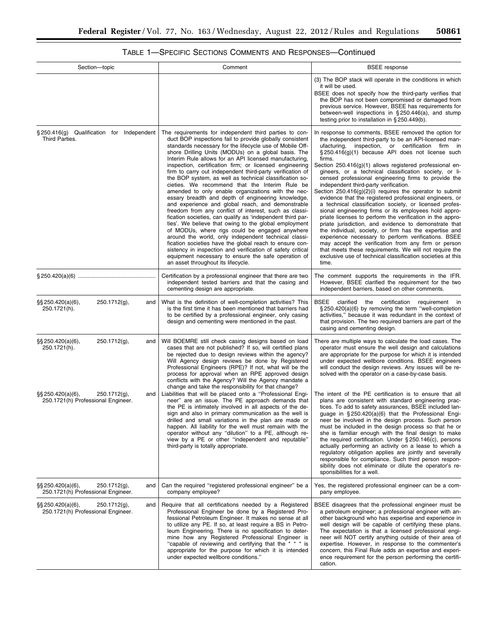| Section-topic                                                                     | Comment                                                                                                                                                                                                                                                                                                                                                                                                                                                                                                                                                                                                                                                                                                                                                                                                                                                                                                                                                                                                                                                                                                                                                                                                                | <b>BSEE</b> response                                                                                                                                                                                                                                                                                                                                                                                                                                                                                                                                                                                                                                                                                                                                                                                                                                                                                                                                                                                                                                                                                                                     |
|-----------------------------------------------------------------------------------|------------------------------------------------------------------------------------------------------------------------------------------------------------------------------------------------------------------------------------------------------------------------------------------------------------------------------------------------------------------------------------------------------------------------------------------------------------------------------------------------------------------------------------------------------------------------------------------------------------------------------------------------------------------------------------------------------------------------------------------------------------------------------------------------------------------------------------------------------------------------------------------------------------------------------------------------------------------------------------------------------------------------------------------------------------------------------------------------------------------------------------------------------------------------------------------------------------------------|------------------------------------------------------------------------------------------------------------------------------------------------------------------------------------------------------------------------------------------------------------------------------------------------------------------------------------------------------------------------------------------------------------------------------------------------------------------------------------------------------------------------------------------------------------------------------------------------------------------------------------------------------------------------------------------------------------------------------------------------------------------------------------------------------------------------------------------------------------------------------------------------------------------------------------------------------------------------------------------------------------------------------------------------------------------------------------------------------------------------------------------|
|                                                                                   |                                                                                                                                                                                                                                                                                                                                                                                                                                                                                                                                                                                                                                                                                                                                                                                                                                                                                                                                                                                                                                                                                                                                                                                                                        | (3) The BOP stack will operate in the conditions in which<br>it will be used.<br>BSEE does not specify how the third-party verifies that<br>the BOP has not been compromised or damaged from<br>previous service. However, BSEE has requirements for<br>between-well inspections in $\S 250.446(a)$ , and stump<br>testing prior to installation in $\S 250.449(b)$ .                                                                                                                                                                                                                                                                                                                                                                                                                                                                                                                                                                                                                                                                                                                                                                    |
| §250.416(g) Qualification for Independent<br>Third Parties.                       | The requirements for independent third parties to con-<br>duct BOP inspections fail to provide globally consistent<br>standards necessary for the lifecycle use of Mobile Off-<br>shore Drilling Units (MODUs) on a global basis. The<br>Interim Rule allows for an API licensed manufacturing,<br>inspection, certification firm; or licensed engineering<br>firm to carry out independent third-party verification of<br>the BOP system, as well as technical classification so-<br>cieties. We recommend that the Interim Rule be<br>amended to only enable organizations with the nec-<br>essary breadth and depth of engineering knowledge,<br>and experience and global reach, and demonstrable<br>freedom from any conflict of interest, such as classi-<br>fication societies, can qualify as 'independent third par-<br>ties'. We believe that owing to the global employment<br>of MODUs, where rigs could be engaged anywhere<br>around the world, only independent technical classi-<br>fication societies have the global reach to ensure con-<br>sistency in inspection and verification of safety critical<br>equipment necessary to ensure the safe operation of<br>an asset throughout its lifecycle. | In response to comments, BSEE removed the option for<br>the independent third-party to be an API-licensed man-<br>ufacturing, inspection, or certification firm in<br>$\S 250.416(g)(1)$ because API does not license such<br>firms.<br>Section 250.416(g)(1) allows registered professional en-<br>gineers, or a technical classification society, or li-<br>censed professional engineering firms to provide the<br>independent third-party verification.<br>Section $250.416(g)(2)(i)$ requires the operator to submit<br>evidence that the registered professional engineers, or<br>a technical classification society, or licensed profes-<br>sional engineering firms or its employees hold appro-<br>priate licenses to perform the verification in the appro-<br>priate jurisdiction, and evidence to demonstrate that<br>the individual, society, or firm has the expertise and<br>experience necessary to perform verifications. BSEE<br>may accept the verification from any firm or person<br>that meets these requirements. We will not require the<br>exclusive use of technical classification societies at this<br>time. |
| § 250.420(a)(6) ………………………………………                                                   | Certification by a professional engineer that there are two<br>independent tested barriers and that the casing and<br>cementing design are appropriate.                                                                                                                                                                                                                                                                                                                                                                                                                                                                                                                                                                                                                                                                                                                                                                                                                                                                                                                                                                                                                                                                | The comment supports the requirements in the IFR.<br>However, BSEE clarified the requirement for the two<br>independent barriers, based on other comments.                                                                                                                                                                                                                                                                                                                                                                                                                                                                                                                                                                                                                                                                                                                                                                                                                                                                                                                                                                               |
| §§ 250.420(a)(6),<br>250.1712(g),<br>and<br>250.1721(h).                          | What is the definition of well-completion activities? This<br>is the first time it has been mentioned that barriers had<br>to be certified by a professional engineer, only casing<br>design and cementing were mentioned in the past.                                                                                                                                                                                                                                                                                                                                                                                                                                                                                                                                                                                                                                                                                                                                                                                                                                                                                                                                                                                 | BSEE<br>clarified<br>certification<br>requirement in<br>the<br>§250.420(a)(6) by removing the term "well-completion<br>activities," because it was redundant in the context of<br>that provision. The two required barriers are part of the<br>casing and cementing design.                                                                                                                                                                                                                                                                                                                                                                                                                                                                                                                                                                                                                                                                                                                                                                                                                                                              |
| §§ 250.420(a)(6),<br>250.1712(g),<br>and<br>250.1721(h).                          | Will BOEMRE still check casing designs based on load<br>cases that are not published? If so, will certified plans<br>be rejected due to design reviews within the agency?<br>Will Agency design reviews be done by Registered<br>Professional Engineers (RPE)? If not, what will be the<br>process for approval when an RPE approved design<br>conflicts with the Agency? Will the Agency mandate a<br>change and take the responsibility for that change?                                                                                                                                                                                                                                                                                                                                                                                                                                                                                                                                                                                                                                                                                                                                                             | There are multiple ways to calculate the load cases. The<br>operator must ensure the well design and calculations<br>are appropriate for the purpose for which it is intended<br>under expected wellbore conditions. BSEE engineers<br>will conduct the design reviews. Any issues will be re-<br>solved with the operator on a case-by-case basis.                                                                                                                                                                                                                                                                                                                                                                                                                                                                                                                                                                                                                                                                                                                                                                                      |
| §§ 250.420(a)(6),<br>$250.1712(g)$ ,<br>and<br>250.1721(h) Professional Engineer. | Liabilities that will be placed onto a "Professional Engi-<br>neer" are an issue. The PE approach demands that<br>the PE is intimately involved in all aspects of the de-<br>sign and also in primary communication as the well is<br>drilled and small variations in the plan are made or<br>happen. All liability for the well must remain with the<br>operator without any "dilution" to a PE, although re-<br>view by a PE or other "independent and reputable"<br>third-party is totally appropriate.                                                                                                                                                                                                                                                                                                                                                                                                                                                                                                                                                                                                                                                                                                             | The intent of the PE certification is to ensure that all<br>plans are consistent with standard engineering prac-<br>tices. To add to safety assurances, BSEE included lan-<br>guage in §250.420(a)(6) that the Professional Engi-<br>neer be involved in the design process. Such person<br>must be included in the design process so that he or<br>she is familiar enough with the final design to make<br>the required certification. Under $\S 250.146(c)$ , persons<br>actually performing an activity on a lease to which a<br>regulatory obligation applies are jointly and severally<br>responsible for compliance. Such third person respon-<br>sibility does not eliminate or dilute the operator's re-<br>sponsibilities for a well.                                                                                                                                                                                                                                                                                                                                                                                           |
| §§ 250.420(a)(6),<br>$250.1712(g)$ ,<br>and<br>250.1721(h) Professional Engineer. | Can the required "registered professional engineer" be a<br>company employee?                                                                                                                                                                                                                                                                                                                                                                                                                                                                                                                                                                                                                                                                                                                                                                                                                                                                                                                                                                                                                                                                                                                                          | Yes, the registered professional engineer can be a com-<br>pany employee.                                                                                                                                                                                                                                                                                                                                                                                                                                                                                                                                                                                                                                                                                                                                                                                                                                                                                                                                                                                                                                                                |
| §§ 250.420(a)(6),<br>$250.1712(g)$ ,<br>and<br>250.1721(h) Professional Engineer. | Require that all certifications needed by a Registered<br>Professional Engineer be done by a Registered Pro-<br>fessional Petroleum Engineer. It makes no sense at all<br>to utilize any PE. If so, at least require a BS in Petro-<br>leum Engineering. There is no specification to deter-<br>mine how any Registered Professional Engineer is<br>"capable of reviewing and certifying that the $* * *$ is<br>appropriate for the purpose for which it is intended<br>under expected wellbore conditions."                                                                                                                                                                                                                                                                                                                                                                                                                                                                                                                                                                                                                                                                                                           | BSEE disagrees that the professional engineer must be<br>a petroleum engineer; a professional engineer with an-<br>other background who has expertise and experience in<br>well design will be capable of certifying these plans.<br>The expectation is that a licensed professional engi-<br>neer will NOT certify anything outside of their area of<br>expertise. However, in response to the commenter's<br>concern, this Final Rule adds an expertise and experi-<br>ence requirement for the person performing the certifi-<br>cation.                                                                                                                                                                                                                                                                                                                                                                                                                                                                                                                                                                                              |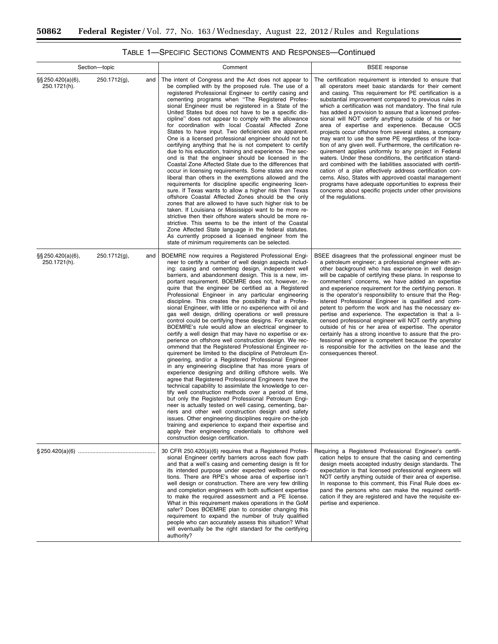| Section-topic                         |                 |     | Comment                                                                                                                                                                                                                                                                                                                                                                                                                                                                                                                                                                                                                                                                                                                                                                                                                                                                                                                                                                                                                                                                                                                                                                                                                                                                                                                                                                                                                                                                                                                                                                                                                                                                                          | <b>BSEE</b> response                                                                                                                                                                                                                                                                                                                                                                                                                                                                                                                                                                                                                                                                                                                                                                                                                                                                                                                                                                                                                                                                                |  |
|---------------------------------------|-----------------|-----|--------------------------------------------------------------------------------------------------------------------------------------------------------------------------------------------------------------------------------------------------------------------------------------------------------------------------------------------------------------------------------------------------------------------------------------------------------------------------------------------------------------------------------------------------------------------------------------------------------------------------------------------------------------------------------------------------------------------------------------------------------------------------------------------------------------------------------------------------------------------------------------------------------------------------------------------------------------------------------------------------------------------------------------------------------------------------------------------------------------------------------------------------------------------------------------------------------------------------------------------------------------------------------------------------------------------------------------------------------------------------------------------------------------------------------------------------------------------------------------------------------------------------------------------------------------------------------------------------------------------------------------------------------------------------------------------------|-----------------------------------------------------------------------------------------------------------------------------------------------------------------------------------------------------------------------------------------------------------------------------------------------------------------------------------------------------------------------------------------------------------------------------------------------------------------------------------------------------------------------------------------------------------------------------------------------------------------------------------------------------------------------------------------------------------------------------------------------------------------------------------------------------------------------------------------------------------------------------------------------------------------------------------------------------------------------------------------------------------------------------------------------------------------------------------------------------|--|
| $\S\S 250.420(a)(6),$<br>250.1721(h). | $250.1712(g)$ , | and | The intent of Congress and the Act does not appear to<br>be complied with by the proposed rule. The use of a<br>registered Professional Engineer to certify casing and<br>cementing programs when "The Registered Profes-<br>sional Engineer must be registered in a State of the<br>United States but does not have to be a specific dis-<br>cipline" does not appear to comply with the allowance<br>for coordination with local Coastal Affected Zone<br>States to have input. Two deficiencies are apparent.<br>One is a licensed professional engineer should not be<br>certifying anything that he is not competent to certify<br>due to his education, training and experience. The sec-<br>ond is that the engineer should be licensed in the<br>Coastal Zone Affected State due to the differences that<br>occur in licensing requirements. Some states are more<br>liberal than others in the exemptions allowed and the<br>requirements for discipline specific engineering licen-<br>sure. If Texas wants to allow a higher risk then Texas<br>offshore Coastal Affected Zones should be the only<br>zones that are allowed to have such higher risk to be<br>taken. If Louisiana or Mississippi want to be more re-<br>strictive then their offshore waters should be more re-<br>strictive. This seems to be the intent of the Coastal<br>Zone Affected State language in the federal statutes.<br>As currently proposed a licensed engineer from the<br>state of minimum requirements can be selected.                                                                                                                                                                            | The certification requirement is intended to ensure that<br>all operators meet basic standards for their cement<br>and casing. This requirement for PE certification is a<br>substantial improvement compared to previous rules in<br>which a certification was not mandatory. The final rule<br>has added a provision to assure that a licensed profes-<br>sional will NOT certify anything outside of his or her<br>area of expertise and experience. Because OCS<br>projects occur offshore from several states, a company<br>may want to use the same PE regardless of the loca-<br>tion of any given well. Furthermore, the certification re-<br>quirement applies uniformly to any project in Federal<br>waters. Under these conditions, the certification stand-<br>ard combined with the liabilities associated with certifi-<br>cation of a plan effectively address certification con-<br>cerns. Also, States with approved coastal management<br>programs have adequate opportunities to express their<br>concerns about specific projects under other provisions<br>of the regulations. |  |
| §§ 250.420(a)(6),<br>250.1721(h).     | 250.1712(g),    | and | BOEMRE now requires a Registered Professional Engi-<br>neer to certify a number of well design aspects includ-<br>ing: casing and cementing design, independent well<br>barriers, and abandonment design. This is a new, im-<br>portant requirement. BOEMRE does not, however, re-<br>quire that the engineer be certified as a Registered<br>Professional Engineer in any particular engineering<br>discipline. This creates the possibility that a Profes-<br>sional Engineer, with little or no experience with oil and<br>gas well design, drilling operations or well pressure<br>control could be certifying these designs. For example,<br>BOEMRE's rule would allow an electrical engineer to<br>certify a well design that may have no expertise or ex-<br>perience on offshore well construction design. We rec-<br>ommend that the Registered Professional Engineer re-<br>quirement be limited to the discipline of Petroleum En-<br>gineering, and/or a Registered Professional Engineer<br>in any engineering discipline that has more years of<br>experience designing and drilling offshore wells. We<br>agree that Registered Professional Engineers have the<br>technical capability to assimilate the knowledge to cer-<br>tify well construction methods over a period of time,<br>but only the Registered Professional Petroleum Engi-<br>neer is actually tested on well casing, cementing, bar-<br>riers and other well construction design and safety<br>issues. Other engineering disciplines require on-the-job<br>training and experience to expand their expertise and<br>apply their engineering credentials to offshore well<br>construction design certification. | BSEE disagrees that the professional engineer must be<br>a petroleum engineer; a professional engineer with an-<br>other background who has experience in well design<br>will be capable of certifying these plans. In response to<br>commenters' concerns, we have added an expertise<br>and experience requirement for the certifying person. It<br>is the operator's responsibility to ensure that the Reg-<br>istered Professional Engineer is qualified and com-<br>petent to perform the work and has the necessary ex-<br>pertise and experience. The expectation is that a li-<br>censed professional engineer will NOT certify anything<br>outside of his or her area of expertise. The operator<br>certainly has a strong incentive to assure that the pro-<br>fessional engineer is competent because the operator<br>is responsible for the activities on the lease and the<br>consequences thereof.                                                                                                                                                                                    |  |
|                                       |                 |     | 30 CFR 250.420(a)(6) requires that a Registered Profes-<br>sional Engineer certify barriers across each flow path<br>and that a well's casing and cementing design is fit for<br>its intended purpose under expected wellbore condi-<br>tions. There are RPE's whose area of expertise isn't<br>well design or construction. There are very few drilling<br>and completion engineers with both sufficient expertise<br>to make the required assessment and a PE license.<br>What in this requirement makes operations in the GoM<br>safer? Does BOEMRE plan to consider changing this<br>requirement to expand the number of truly qualified<br>people who can accurately assess this situation? What<br>will eventually be the right standard for the certifying<br>authority?                                                                                                                                                                                                                                                                                                                                                                                                                                                                                                                                                                                                                                                                                                                                                                                                                                                                                                                  | Requiring a Registered Professional Engineer's certifi-<br>cation helps to ensure that the casing and cementing<br>design meets accepted industry design standards. The<br>expectation is that licensed professional engineers will<br>NOT certify anything outside of their area of expertise.<br>In response to this comment, this Final Rule does ex-<br>pand the persons who can make the required certifi-<br>cation if they are registered and have the requisite ex-<br>pertise and experience.                                                                                                                                                                                                                                                                                                                                                                                                                                                                                                                                                                                              |  |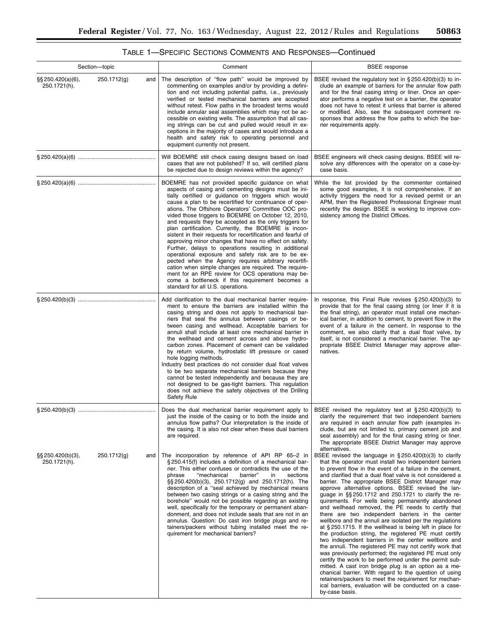| <b>TABLE 1—SPECIFIC SECTIONS COMMENTS AND RESPONSES—Continued</b> |  |  |  |  |  |
|-------------------------------------------------------------------|--|--|--|--|--|
|-------------------------------------------------------------------|--|--|--|--|--|

| Section-topic                                               | Comment                                                                                                                                                                                                                                                                                                                                                                                                                                                                                                                                                                                                                                                                                                                                                                                                                                                                                                                                                           | <b>BSEE</b> response                                                                                                                                                                                                                                                                                                                                                                                                                                                                                                                                                                                                                                                                                                                                                                                                                                                                                                                                                                                                                                                                                                                                                                                                                                                                    |
|-------------------------------------------------------------|-------------------------------------------------------------------------------------------------------------------------------------------------------------------------------------------------------------------------------------------------------------------------------------------------------------------------------------------------------------------------------------------------------------------------------------------------------------------------------------------------------------------------------------------------------------------------------------------------------------------------------------------------------------------------------------------------------------------------------------------------------------------------------------------------------------------------------------------------------------------------------------------------------------------------------------------------------------------|-----------------------------------------------------------------------------------------------------------------------------------------------------------------------------------------------------------------------------------------------------------------------------------------------------------------------------------------------------------------------------------------------------------------------------------------------------------------------------------------------------------------------------------------------------------------------------------------------------------------------------------------------------------------------------------------------------------------------------------------------------------------------------------------------------------------------------------------------------------------------------------------------------------------------------------------------------------------------------------------------------------------------------------------------------------------------------------------------------------------------------------------------------------------------------------------------------------------------------------------------------------------------------------------|
| $\S$ \$250.420(a)(6),<br>250.1712(g)<br>and<br>250.1721(h). | The description of "flow path" would be improved by<br>commenting on examples and/or by providing a defini-<br>tion and not including potential paths, i.e., previously<br>verified or tested mechanical barriers are accepted<br>without retest. Flow paths in the broadest terms would<br>include annular seal assemblies which may not be ac-<br>cessible on existing wells. The assumption that all cas-<br>ing strings can be cut and pulled would result in ex-<br>ceptions in the majority of cases and would introduce a<br>health and safety risk to operating personnel and<br>equipment currently not present.                                                                                                                                                                                                                                                                                                                                         | BSEE revised the regulatory text in $\S 250.420(b)(3)$ to in-<br>clude an example of barriers for the annular flow path<br>and for the final casing string or liner. Once an oper-<br>ator performs a negative test on a barrier, the operator<br>does not have to retest it unless that barrier is altered<br>or modified. Also, see the subsequent comment re-<br>sponses that address the flow paths to which the bar-<br>rier requirements apply.                                                                                                                                                                                                                                                                                                                                                                                                                                                                                                                                                                                                                                                                                                                                                                                                                                   |
|                                                             | Will BOEMRE still check casing designs based on load<br>cases that are not published? If so, will certified plans<br>be rejected due to design reviews within the agency?                                                                                                                                                                                                                                                                                                                                                                                                                                                                                                                                                                                                                                                                                                                                                                                         | BSEE engineers will check casing designs. BSEE will re-<br>solve any differences with the operator on a case-by-<br>case basis.                                                                                                                                                                                                                                                                                                                                                                                                                                                                                                                                                                                                                                                                                                                                                                                                                                                                                                                                                                                                                                                                                                                                                         |
|                                                             | BOEMRE has not provided specific guidance on what<br>aspects of casing and cementing designs must be ini-<br>tially certified or guidance on triggers which would<br>cause a plan to be recertified for continuance of oper-<br>ations. The Offshore Operators' Committee OOC pro-<br>vided those triggers to BOEMRE on October 12, 2010,<br>and requests they be accepted as the only triggers for<br>plan certification. Currently, the BOEMRE is incon-<br>sistent in their requests for recertification and fearful of<br>approving minor changes that have no effect on safety.<br>Further, delays to operations resulting in additional<br>operational exposure and safety risk are to be ex-<br>pected when the Agency requires arbitrary recertifi-<br>cation when simple changes are required. The require-<br>ment for an RPE review for OCS operations may be-<br>come a bottleneck if this requirement becomes a<br>standard for all U.S. operations. | While the list provided by the commenter contained<br>some good examples, it is not comprehensive. If an<br>activity triggers the need for a revised permit or an<br>APM, then the Registered Professional Engineer must<br>recertify the design. BSEE is working to improve con-<br>sistency among the District Offices.                                                                                                                                                                                                                                                                                                                                                                                                                                                                                                                                                                                                                                                                                                                                                                                                                                                                                                                                                               |
|                                                             | Add clarification to the dual mechanical barrier require-<br>ment to ensure the barriers are installed within the<br>casing string and does not apply to mechanical bar-<br>riers that seal the annulus between casings or be-<br>tween casing and wellhead. Acceptable barriers for<br>annuli shall include at least one mechanical barrier in<br>the wellhead and cement across and above hydro-<br>carbon zones. Placement of cement can be validated<br>by return volume, hydrostatic lift pressure or cased<br>hole logging methods.<br>Industry best practices do not consider dual float valves<br>to be two separate mechanical barriers because they<br>cannot be tested independently and because they are<br>not designed to be gas-tight barriers. This regulation<br>does not achieve the safety objectives of the Drilling<br><b>Safety Rule</b>                                                                                                    | In response, this Final Rule revises $\S 250.420(b)(3)$ to<br>provide that for the final casing string (or liner if it is<br>the final string), an operator must install one mechan-<br>ical barrier, in addition to cement, to prevent flow in the<br>event of a failure in the cement. In response to the<br>comment, we also clarify that a dual float valve, by<br>itself, is not considered a mechanical barrier. The ap-<br>propriate BSEE District Manager may approve alter-<br>natives.                                                                                                                                                                                                                                                                                                                                                                                                                                                                                                                                                                                                                                                                                                                                                                                        |
|                                                             | Does the dual mechanical barrier requirement apply to<br>just the inside of the casing or to both the inside and<br>annulus flow paths? Our interpretation is the inside of<br>the casing. It is also not clear when these dual barriers<br>are required.                                                                                                                                                                                                                                                                                                                                                                                                                                                                                                                                                                                                                                                                                                         | BSEE revised the regulatory text at $\S 250.420(b)(3)$ to<br>clarify the requirement that two independent barriers<br>are required in each annular flow path (examples in-<br>clude, but are not limited to, primary cement job and<br>seal assembly) and for the final casing string or liner.<br>The appropriate BSEE District Manager may approve                                                                                                                                                                                                                                                                                                                                                                                                                                                                                                                                                                                                                                                                                                                                                                                                                                                                                                                                    |
| $\S$ \$250.420(b)(3),<br>250.1712(g)<br>and<br>250.1721(h). | The incorporation by reference of API RP 65-2 in<br>§250.415(f) includes a definition of a mechanical bar-<br>rier. This either confuses or contradicts the use of the<br>"mechanical<br>barrier"<br>in<br>sections<br>phrase<br>$\S$ \$250.420(b)(3), 250.1712(g) and 250.1712(h). The<br>description of a "seal achieved by mechanical means<br>between two casing strings or a casing string and the<br>borehole" would not be possible regarding an existing<br>well, specifically for the temporary or permanent aban-<br>donment, and does not include seals that are not in an<br>annulus. Question: Do cast iron bridge plugs and re-<br>tainers/packers without tubing installed meet the re-<br>quirement for mechanical barriers?                                                                                                                                                                                                                      | alternatives.<br>BSEE revised the language in $\S 250.420(b)(3)$ to clarify<br>that the operator must install two independent barriers<br>to prevent flow in the event of a failure in the cement,<br>and clarified that a dual float valve is not considered a<br>barrier. The appropriate BSEE District Manager may<br>approve alternative options. BSEE revised the lan-<br>guage in $\S$ 250.1712 and 250.1721 to clarify the re-<br>quirements. For wells being permanently abandoned<br>and wellhead removed, the PE needs to certify that<br>there are two independent barriers in the center<br>wellbore and the annuli are isolated per the regulations<br>at $\S 250.1715$ . If the wellhead is being left in place for<br>the production string, the registered PE must certify<br>two independent barriers in the center wellbore and<br>the annuli. The registered PE may not certify work that<br>was previously performed; the registered PE must only<br>certify the work to be performed under the permit sub-<br>mitted. A cast iron bridge plug is an option as a me-<br>chanical barrier. With regard to the question of using<br>retainers/packers to meet the requirement for mechan-<br>ical barriers, evaluation will be conducted on a case-<br>by-case basis. |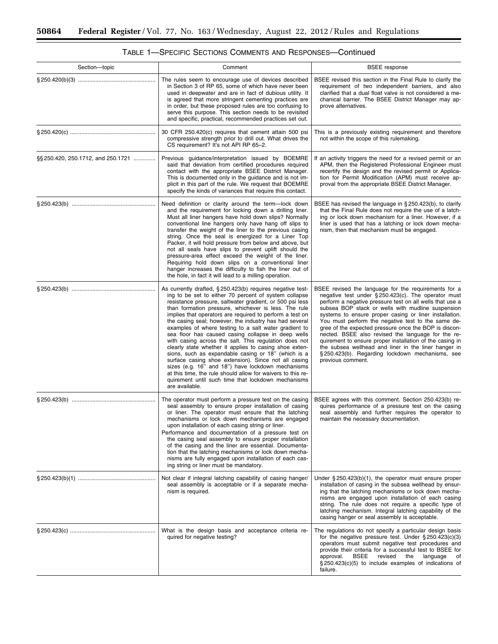| Section-topic                     | Comment                                                                                                                                                                                                                                                                                                                                                                                                                                                                                                                                                                                                                                                                                                                                                                                                                                                                                                   | <b>BSEE</b> response                                                                                                                                                                                                                                                                                                                                                                                                                                                                                                                                                                                                                                   |
|-----------------------------------|-----------------------------------------------------------------------------------------------------------------------------------------------------------------------------------------------------------------------------------------------------------------------------------------------------------------------------------------------------------------------------------------------------------------------------------------------------------------------------------------------------------------------------------------------------------------------------------------------------------------------------------------------------------------------------------------------------------------------------------------------------------------------------------------------------------------------------------------------------------------------------------------------------------|--------------------------------------------------------------------------------------------------------------------------------------------------------------------------------------------------------------------------------------------------------------------------------------------------------------------------------------------------------------------------------------------------------------------------------------------------------------------------------------------------------------------------------------------------------------------------------------------------------------------------------------------------------|
|                                   | The rules seem to encourage use of devices described<br>in Section 3 of RP 65, some of which have never been<br>used in deepwater and are in fact of dubious utility. It<br>is agreed that more stringent cementing practices are<br>in order, but these proposed rules are too confusing to<br>serve this purpose. This section needs to be revisited<br>and specific, practical, recommended practices set out.                                                                                                                                                                                                                                                                                                                                                                                                                                                                                         | BSEE revised this section in the Final Rule to clarify the<br>requirement of two independent barriers, and also<br>clarified that a dual float valve is not considered a me-<br>chanical barrier. The BSEE District Manager may ap-<br>prove alternatives.                                                                                                                                                                                                                                                                                                                                                                                             |
|                                   | 30 CFR 250.420(c) requires that cement attain 500 psi<br>compressive strength prior to drill out. What drives the<br>CS requirement? It's not API RP 65-2.                                                                                                                                                                                                                                                                                                                                                                                                                                                                                                                                                                                                                                                                                                                                                | This is a previously existing requirement and therefore<br>not within the scope of this rulemaking.                                                                                                                                                                                                                                                                                                                                                                                                                                                                                                                                                    |
| §§250.420, 250.1712, and 250.1721 | Previous guidance/interpretation issued by BOEMRE<br>said that deviation from certified procedures required<br>contact with the appropriate BSEE District Manager.<br>This is documented only in the guidance and is not im-<br>plicit in this part of the rule. We request that BOEMRE<br>specify the kinds of variances that require this contact.                                                                                                                                                                                                                                                                                                                                                                                                                                                                                                                                                      | If an activity triggers the need for a revised permit or an<br>APM, then the Registered Professional Engineer must<br>recertify the design and the revised permit or Applica-<br>tion for Permit Modification (APM) must receive ap-<br>proval from the appropriate BSEE District Manager.                                                                                                                                                                                                                                                                                                                                                             |
|                                   | Need definition or clarity around the term-lock down<br>and the requirement for locking down a drilling liner.<br>Must all liner hangers have hold down slips? Normally<br>conventional line hangers only have hang off slips to<br>transfer the weight of the liner to the previous casing<br>string. Once the seal is energized for a Liner Top<br>Packer, it will hold pressure from below and above, but<br>not all seals have slips to prevent uplift should the<br>pressure-area effect exceed the weight of the liner.<br>Requiring hold down slips on a conventional liner<br>hanger increases the difficulty to fish the liner out of<br>the hole, in fact it will lead to a milling operation.                                                                                                                                                                                                  | BSEE has revised the language in §250.423(b), to clarify<br>that the Final Rule does not require the use of a latch-<br>ing or lock down mechanism for a liner. However, if a<br>liner is used that has a latching or lock down mecha-<br>nism, then that mechanism must be engaged.                                                                                                                                                                                                                                                                                                                                                                   |
|                                   | As currently drafted, §250.423(b) requires negative test-<br>ing to be set to either 70 percent of system collapse<br>resistance pressure, saltwater gradient, or 500 psi less<br>than formation pressure, whichever is less. The rule<br>implies that operators are required to perform a test on<br>the casing seal; however, the industry has had several<br>examples of where testing to a salt water gradient to<br>sea floor has caused casing collapse in deep wells<br>with casing across the salt. This regulation does not<br>clearly state whether it applies to casing shoe exten-<br>sions, such as expandable casing or 18" (which is a<br>surface casing shoe extension). Since not all casing<br>sizes (e.g. 16" and 18") have lockdown mechanisms<br>at this time, the rule should allow for waivers to this re-<br>quirement until such time that lockdown mechanisms<br>are available. | BSEE revised the language for the requirements for a<br>negative test under §250.423(c). The operator must<br>perform a negative pressure test on all wells that use a<br>subsea BOP stack or wells with mudline suspension<br>systems to ensure proper casing or liner installation.<br>You must perform the negative test to the same de-<br>gree of the expected pressure once the BOP is discon-<br>nected. BSEE also revised the language for the re-<br>quirement to ensure proper installation of the casing in<br>the subsea wellhead and liner in the liner hanger in<br>§250.423(b). Regarding lockdown mechanisms, see<br>previous comment. |
|                                   | The operator must perform a pressure test on the casing<br>seal assembly to ensure proper installation of casing<br>or liner. The operator must ensure that the latching<br>mechanisms or lock down mechanisms are engaged<br>upon installation of each casing string or liner.<br>Performance and documentation of a pressure test on<br>the casing seal assembly to ensure proper installation<br>of the casing and the liner are essential. Documenta-<br>tion that the latching mechanisms or lock down mecha-<br>nisms are fully engaged upon installation of each cas-<br>ing string or liner must be mandatory.                                                                                                                                                                                                                                                                                    | BSEE agrees with this comment. Section 250.423(b) re-<br>quires performance of a pressure test on the casing<br>seal assembly and further requires the operator to<br>maintain the necessary documentation.                                                                                                                                                                                                                                                                                                                                                                                                                                            |
|                                   | Not clear if integral latching capability of casing hanger/<br>seal assembly is acceptable or if a separate mecha-<br>nism is required.                                                                                                                                                                                                                                                                                                                                                                                                                                                                                                                                                                                                                                                                                                                                                                   | Under $\S 250.423(b)(1)$ , the operator must ensure proper<br>installation of casing in the subsea wellhead by ensur-<br>ing that the latching mechanisms or lock down mecha-<br>nisms are engaged upon installation of each casing<br>string. The rule does not require a specific type of<br>latching mechanism. Integral latching capability of the<br>casing hanger or seal assembly is acceptable.                                                                                                                                                                                                                                                |
|                                   | What is the design basis and acceptance criteria re-<br>quired for negative testing?                                                                                                                                                                                                                                                                                                                                                                                                                                                                                                                                                                                                                                                                                                                                                                                                                      | The regulations do not specify a particular design basis<br>for the negative pressure test. Under $\S 250.423(c)(3)$<br>operators must submit negative test procedures and<br>provide their criteria for a successful test to BSEE for<br><b>BSEE</b><br>revised<br>the<br>approval.<br>language<br>оf<br>$\S 250.423(c)(5)$ to include examples of indications of<br>failure.                                                                                                                                                                                                                                                                         |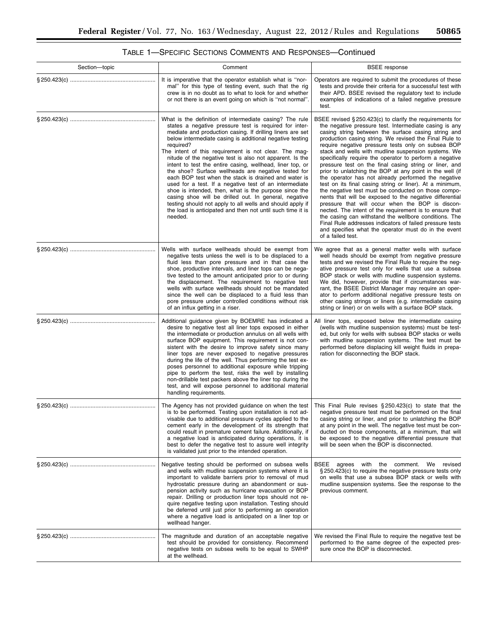|  | TABLE 1—SPECIFIC SECTIONS COMMENTS AND RESPONSES—Continued |
|--|------------------------------------------------------------|
|--|------------------------------------------------------------|

| Section-topic | Comment                                                                                                                                                                                                                                                                                                                                                                                                                                                                                                                                                                                                                                                                                                                                                                                                                                                                    | <b>BSEE</b> response                                                                                                                                                                                                                                                                                                                                                                                                                                                                                                                                                                                                                                                                                                                                                                                                                                                                                                                                                                                                                                                                        |
|---------------|----------------------------------------------------------------------------------------------------------------------------------------------------------------------------------------------------------------------------------------------------------------------------------------------------------------------------------------------------------------------------------------------------------------------------------------------------------------------------------------------------------------------------------------------------------------------------------------------------------------------------------------------------------------------------------------------------------------------------------------------------------------------------------------------------------------------------------------------------------------------------|---------------------------------------------------------------------------------------------------------------------------------------------------------------------------------------------------------------------------------------------------------------------------------------------------------------------------------------------------------------------------------------------------------------------------------------------------------------------------------------------------------------------------------------------------------------------------------------------------------------------------------------------------------------------------------------------------------------------------------------------------------------------------------------------------------------------------------------------------------------------------------------------------------------------------------------------------------------------------------------------------------------------------------------------------------------------------------------------|
|               | It is imperative that the operator establish what is "nor-<br>mal" for this type of testing event, such that the rig<br>crew is in no doubt as to what to look for and whether<br>or not there is an event going on which is "not normal".                                                                                                                                                                                                                                                                                                                                                                                                                                                                                                                                                                                                                                 | Operators are required to submit the procedures of these<br>tests and provide their criteria for a successful test with<br>their APD. BSEE revised the regulatory text to include<br>examples of indications of a failed negative pressure<br>test.                                                                                                                                                                                                                                                                                                                                                                                                                                                                                                                                                                                                                                                                                                                                                                                                                                         |
|               | What is the definition of intermediate casing? The rule<br>states a negative pressure test is required for inter-<br>mediate and production casing. If drilling liners are set<br>below intermediate casing is additional negative testing<br>required?<br>The intent of this requirement is not clear. The mag-<br>nitude of the negative test is also not apparent. Is the<br>intent to test the entire casing, wellhead, liner top, or<br>the shoe? Surface wellheads are negative tested for<br>each BOP test when the stack is drained and water is<br>used for a test. If a negative test of an intermediate<br>shoe is intended, then, what is the purpose since the<br>casing shoe will be drilled out. In general, negative<br>testing should not apply to all wells and should apply if<br>the load is anticipated and then not until such time it is<br>needed. | BSEE revised $\S 250.423(c)$ to clarify the requirements for<br>the negative pressure test. Intermediate casing is any<br>casing string between the surface casing string and<br>production casing string. We revised the Final Rule to<br>require negative pressure tests only on subsea BOP<br>stack and wells with mudline suspension systems. We<br>specifically require the operator to perform a negative<br>pressure test on the final casing string or liner, and<br>prior to unlatching the BOP at any point in the well (if<br>the operator has not already performed the negative<br>test on its final casing string or liner). At a minimum,<br>the negative test must be conducted on those compo-<br>nents that will be exposed to the negative differential<br>pressure that will occur when the BOP is discon-<br>nected. The intent of the requirement is to ensure that<br>the casing can withstand the wellbore conditions. The<br>Final Rule addresses indicators of failed pressure tests<br>and specifies what the operator must do in the event<br>of a failed test. |
|               | Wells with surface wellheads should be exempt from<br>negative tests unless the well is to be displaced to a<br>fluid less than pore pressure and in that case the<br>shoe, productive intervals, and liner tops can be nega-<br>tive tested to the amount anticipated prior to or during<br>the displacement. The requirement to negative test<br>wells with surface wellheads should not be mandated<br>since the well can be displaced to a fluid less than<br>pore pressure under controlled conditions without risk<br>of an influx getting in a riser.                                                                                                                                                                                                                                                                                                               | We agree that as a general matter wells with surface<br>well heads should be exempt from negative pressure<br>tests and we revised the Final Rule to require the neg-<br>ative pressure test only for wells that use a subsea<br>BOP stack or wells with mudline suspension systems.<br>We did, however, provide that if circumstances war-<br>rant, the BSEE District Manager may require an oper-<br>ator to perform additional negative pressure tests on<br>other casing strings or liners (e.g. intermediate casing<br>string or liner) or on wells with a surface BOP stack.                                                                                                                                                                                                                                                                                                                                                                                                                                                                                                          |
|               | Additional guidance given by BOEMRE has indicated a<br>desire to negative test all liner tops exposed in either<br>the intermediate or production annulus on all wells with<br>surface BOP equipment. This requirement is not con-<br>sistent with the desire to improve safety since many<br>liner tops are never exposed to negative pressures<br>during the life of the well. Thus performing the test ex-<br>poses personnel to additional exposure while tripping<br>pipe to perform the test, risks the well by installing<br>non-drillable test packers above the liner top during the<br>test, and will expose personnel to additional material<br>handling requirements.                                                                                                                                                                                          | All liner tops, exposed below the intermediate casing<br>(wells with mudline suspension systems) must be test-<br>ed, but only for wells with subsea BOP stacks or wells<br>with mudline suspension systems. The test must be<br>performed before displacing kill weight fluids in prepa-<br>ration for disconnecting the BOP stack.                                                                                                                                                                                                                                                                                                                                                                                                                                                                                                                                                                                                                                                                                                                                                        |
|               | The Agency has not provided guidance on when the test<br>is to be performed. Testing upon installation is not ad-<br>visable due to additional pressure cycles applied to the<br>cement early in the development of its strength that<br>could result in premature cement failure. Additionally, if<br>a negative load is anticipated during operations, it is<br>best to defer the negative test to assure well integrity<br>is validated just prior to the intended operation.                                                                                                                                                                                                                                                                                                                                                                                           | This Final Rule revises $\S 250.423(c)$ to state that the<br>negative pressure test must be performed on the final<br>casing string or liner, and prior to unlatching the BOP<br>at any point in the well. The negative test must be con-<br>ducted on those components, at a minimum, that will<br>be exposed to the negative differential pressure that<br>will be seen when the BOP is disconnected.                                                                                                                                                                                                                                                                                                                                                                                                                                                                                                                                                                                                                                                                                     |
|               | Negative testing should be performed on subsea wells<br>and wells with mudline suspension systems where it is<br>important to validate barriers prior to removal of mud<br>hydrostatic pressure during an abandonment or sus-<br>pension activity such as hurricane evacuation or BOP<br>repair. Drilling or production liner tops should not re-<br>quire negative testing upon installation. Testing should<br>be deferred until just prior to performing an operation<br>where a negative load is anticipated on a liner top or<br>wellhead hanger.                                                                                                                                                                                                                                                                                                                     | BSEE agrees with the comment. We revised<br>§250.423(c) to require the negative pressure tests only<br>on wells that use a subsea BOP stack or wells with<br>mudline suspension systems. See the response to the<br>previous comment.                                                                                                                                                                                                                                                                                                                                                                                                                                                                                                                                                                                                                                                                                                                                                                                                                                                       |
|               | The magnitude and duration of an acceptable negative<br>test should be provided for consistency. Recommend<br>negative tests on subsea wells to be equal to SWHP<br>at the wellhead.                                                                                                                                                                                                                                                                                                                                                                                                                                                                                                                                                                                                                                                                                       | We revised the Final Rule to require the negative test be<br>performed to the same degree of the expected pres-<br>sure once the BOP is disconnected.                                                                                                                                                                                                                                                                                                                                                                                                                                                                                                                                                                                                                                                                                                                                                                                                                                                                                                                                       |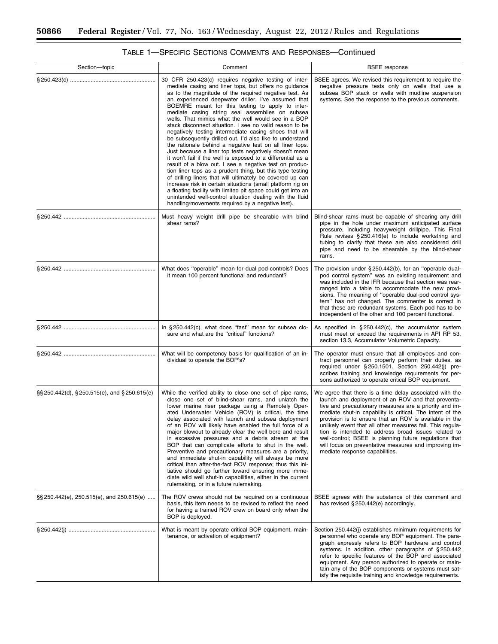| Section-topic                                 | Comment                                                                                                                                                                                                                                                                                                                                                                                                                                                                                                                                                                                                                                                                                                                                                                                                                                                                                                                                                                                                                                                                                                                                                                                             | <b>BSEE</b> response                                                                                                                                                                                                                                                                                                                                                                                                                                                                                                                                                    |
|-----------------------------------------------|-----------------------------------------------------------------------------------------------------------------------------------------------------------------------------------------------------------------------------------------------------------------------------------------------------------------------------------------------------------------------------------------------------------------------------------------------------------------------------------------------------------------------------------------------------------------------------------------------------------------------------------------------------------------------------------------------------------------------------------------------------------------------------------------------------------------------------------------------------------------------------------------------------------------------------------------------------------------------------------------------------------------------------------------------------------------------------------------------------------------------------------------------------------------------------------------------------|-------------------------------------------------------------------------------------------------------------------------------------------------------------------------------------------------------------------------------------------------------------------------------------------------------------------------------------------------------------------------------------------------------------------------------------------------------------------------------------------------------------------------------------------------------------------------|
|                                               | 30 CFR 250.423(c) requires negative testing of inter-<br>mediate casing and liner tops, but offers no quidance<br>as to the magnitude of the required negative test. As<br>an experienced deepwater driller, I've assumed that<br>BOEMRE meant for this testing to apply to inter-<br>mediate casing string seal assemblies on subsea<br>wells. That mimics what the well would see in a BOP<br>stack disconnect situation. I see no valid reason to be<br>negatively testing intermediate casing shoes that will<br>be subsequently drilled out. I'd also like to understand<br>the rationale behind a negative test on all liner tops.<br>Just because a liner top tests negatively doesn't mean<br>it won't fail if the well is exposed to a differential as a<br>result of a blow out. I see a negative test on produc-<br>tion liner tops as a prudent thing, but this type testing<br>of drilling liners that will ultimately be covered up can<br>increase risk in certain situations (small platform rig on<br>a floating facility with limited pit space could get into an<br>unintended well-control situation dealing with the fluid<br>handling/movements required by a negative test). | BSEE agrees. We revised this requirement to require the<br>negative pressure tests only on wells that use a<br>subsea BOP stack or wells with mudline suspension<br>systems. See the response to the previous comments.                                                                                                                                                                                                                                                                                                                                                 |
|                                               | Must heavy weight drill pipe be shearable with blind<br>shear rams?                                                                                                                                                                                                                                                                                                                                                                                                                                                                                                                                                                                                                                                                                                                                                                                                                                                                                                                                                                                                                                                                                                                                 | Blind-shear rams must be capable of shearing any drill<br>pipe in the hole under maximum anticipated surface<br>pressure, including heavyweight drillpipe. This Final<br>Rule revises §250.416(e) to include workstring and<br>tubing to clarify that these are also considered drill<br>pipe and need to be shearable by the blind-shear<br>rams.                                                                                                                                                                                                                      |
|                                               | What does "operable" mean for dual pod controls? Does<br>it mean 100 percent functional and redundant?                                                                                                                                                                                                                                                                                                                                                                                                                                                                                                                                                                                                                                                                                                                                                                                                                                                                                                                                                                                                                                                                                              | The provision under $\S 250.442(b)$ , for an "operable dual-<br>pod control system" was an existing requirement and<br>was included in the IFR because that section was rear-<br>ranged into a table to accommodate the new provi-<br>sions. The meaning of "operable dual-pod control sys-<br>tem" has not changed. The commenter is correct in<br>that these are redundant systems. Each pod has to be<br>independent of the other and 100 percent functional.                                                                                                        |
|                                               | In §250.442(c), what does "fast" mean for subsea clo-<br>sure and what are the "critical" functions?                                                                                                                                                                                                                                                                                                                                                                                                                                                                                                                                                                                                                                                                                                                                                                                                                                                                                                                                                                                                                                                                                                | As specified in $\S 250.442(c)$ , the accumulator system<br>must meet or exceed the requirements in API RP 53,<br>section 13.3, Accumulator Volumetric Capacity.                                                                                                                                                                                                                                                                                                                                                                                                        |
|                                               | What will be competency basis for qualification of an in-<br>dividual to operate the BOP's?                                                                                                                                                                                                                                                                                                                                                                                                                                                                                                                                                                                                                                                                                                                                                                                                                                                                                                                                                                                                                                                                                                         | The operator must ensure that all employees and con-<br>tract personnel can properly perform their duties, as<br>required under §250.1501. Section 250.442(i) pre-<br>scribes training and knowledge requirements for per-<br>sons authorized to operate critical BOP equipment.                                                                                                                                                                                                                                                                                        |
| §§ 250.442(d), § 250.515(e), and § 250.615(e) | While the verified ability to close one set of pipe rams,<br>close one set of blind-shear rams, and unlatch the<br>lower marine riser package using a Remotely Oper-<br>ated Underwater Vehicle (ROV) is critical, the time<br>delay associated with launch and subsea deployment<br>of an ROV will likely have enabled the full force of a<br>major blowout to already clear the well bore and result<br>in excessive pressures and a debris stream at the<br>BOP that can complicate efforts to shut in the well.<br>Preventive and precautionary measures are a priority,<br>and immediate shut-in capability will always be more<br>critical than after-the-fact ROV response; thus this ini-<br>tiative should go further toward ensuring more imme-<br>diate wild well shut-in capabilities, either in the current<br>rulemaking, or in a future rulemaking.                                                                                                                                                                                                                                                                                                                                  | We agree that there is a time delay associated with the<br>launch and deployment of an ROV and that preventa-<br>tive and precautionary measures are a priority and im-<br>mediate shut-in capability is critical. The intent of the<br>provision is to ensure that an ROV is available in the<br>unlikely event that all other measures fail. This regula-<br>tion is intended to address broad issues related to<br>well-control; BSEE is planning future regulations that<br>will focus on preventative measures and improving im-<br>mediate response capabilities. |
| §§250.442(e), 250.515(e), and 250.615(e)      | The ROV crews should not be required on a continuous<br>basis, this item needs to be revised to reflect the need<br>for having a trained ROV crew on board only when the<br>BOP is deployed.                                                                                                                                                                                                                                                                                                                                                                                                                                                                                                                                                                                                                                                                                                                                                                                                                                                                                                                                                                                                        | BSEE agrees with the substance of this comment and<br>has revised § 250.442(e) accordingly.                                                                                                                                                                                                                                                                                                                                                                                                                                                                             |
|                                               | What is meant by operate critical BOP equipment, main-<br>tenance, or activation of equipment?                                                                                                                                                                                                                                                                                                                                                                                                                                                                                                                                                                                                                                                                                                                                                                                                                                                                                                                                                                                                                                                                                                      | Section 250.442(j) establishes minimum requirements for<br>personnel who operate any BOP equipment. The para-<br>graph expressly refers to BOP hardware and control<br>systems. In addition, other paragraphs of §250.442<br>refer to specific features of the BOP and associated<br>equipment. Any person authorized to operate or main-<br>tain any of the BOP components or systems must sat-<br>isfy the requisite training and knowledge requirements.                                                                                                             |

# TABLE 1—SPECIFIC SECTIONS COMMENTS AND RESPONSES—Continued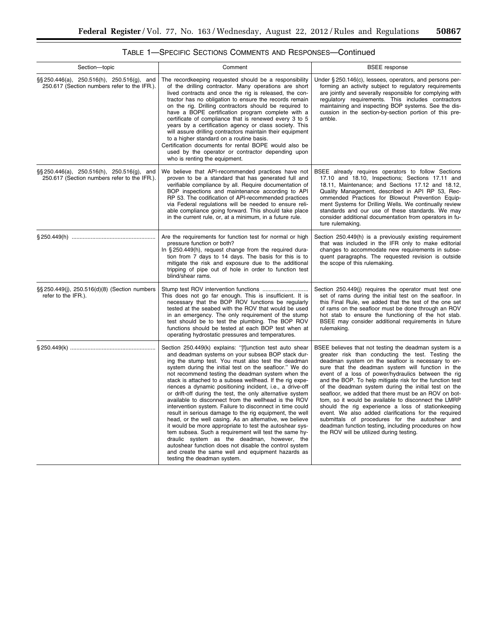| Section-topic                                                                                  | Comment                                                                                                                                                                                                                                                                                                                                                                                                                                                                                                                                                                                                                                                                                                                                                                                                                                                                                                                                                                                                                             | <b>BSEE</b> response                                                                                                                                                                                                                                                                                                                                                                                                                                                                                                                                                                                                                                                                                                                                                                    |
|------------------------------------------------------------------------------------------------|-------------------------------------------------------------------------------------------------------------------------------------------------------------------------------------------------------------------------------------------------------------------------------------------------------------------------------------------------------------------------------------------------------------------------------------------------------------------------------------------------------------------------------------------------------------------------------------------------------------------------------------------------------------------------------------------------------------------------------------------------------------------------------------------------------------------------------------------------------------------------------------------------------------------------------------------------------------------------------------------------------------------------------------|-----------------------------------------------------------------------------------------------------------------------------------------------------------------------------------------------------------------------------------------------------------------------------------------------------------------------------------------------------------------------------------------------------------------------------------------------------------------------------------------------------------------------------------------------------------------------------------------------------------------------------------------------------------------------------------------------------------------------------------------------------------------------------------------|
| $\S$ \$250.446(a), 250.516(h), 250.516(g), and<br>250.617 (Section numbers refer to the IFR.). | The recordkeeping requested should be a responsibility<br>of the drilling contractor. Many operations are short<br>lived contracts and once the rig is released, the con-<br>tractor has no obligation to ensure the records remain<br>on the rig. Drilling contractors should be required to<br>have a BOPE certification program complete with a<br>certificate of compliance that is renewed every 3 to 5<br>years by a certification agency or class society. This<br>will assure drilling contractors maintain their equipment<br>to a higher standard on a routine basis.<br>Certification documents for rental BOPE would also be<br>used by the operator or contractor depending upon<br>who is renting the equipment.                                                                                                                                                                                                                                                                                                      | Under §250.146(c), lessees, operators, and persons per-<br>forming an activity subject to regulatory requirements<br>are jointly and severally responsible for complying with<br>regulatory requirements. This includes contractors<br>maintaining and inspecting BOP systems. See the dis-<br>cussion in the section-by-section portion of this pre-<br>amble.                                                                                                                                                                                                                                                                                                                                                                                                                         |
| §§250.446(a), 250.516(h), 250.516(g), and<br>250.617 (Section numbers refer to the IFR.).      | We believe that API-recommended practices have not<br>proven to be a standard that has generated full and<br>verifiable compliance by all. Require documentation of<br>BOP inspections and maintenance according to API<br>RP 53. The codification of API-recommended practices<br>via Federal regulations will be needed to ensure reli-<br>able compliance going forward. This should take place<br>in the current rule, or, at a minimum, in a future rule.                                                                                                                                                                                                                                                                                                                                                                                                                                                                                                                                                                      | BSEE already requires operators to follow Sections<br>17.10 and 18.10, Inspections; Sections 17.11 and<br>18.11, Maintenance; and Sections 17.12 and 18.12,<br>Quality Management, described in API RP 53, Rec-<br>ommended Practices for Blowout Prevention Equip-<br>ment Systems for Drilling Wells. We continually review<br>standards and our use of these standards. We may<br>consider additional documentation from operators in fu-<br>ture rulemaking.                                                                                                                                                                                                                                                                                                                        |
|                                                                                                | Are the requirements for function test for normal or high<br>pressure function or both?<br>In §250.449(h), request change from the required dura-<br>tion from 7 days to 14 days. The basis for this is to<br>mitigate the risk and exposure due to the additional<br>tripping of pipe out of hole in order to function test<br>blind/shear rams.                                                                                                                                                                                                                                                                                                                                                                                                                                                                                                                                                                                                                                                                                   | Section 250.449(h) is a previously existing requirement<br>that was included in the IFR only to make editorial<br>changes to accommodate new requirements in subse-<br>quent paragraphs. The requested revision is outside<br>the scope of this rulemaking.                                                                                                                                                                                                                                                                                                                                                                                                                                                                                                                             |
| §§ 250.449(j), 250.516(d)(8) (Section numbers<br>refer to the IFR.).                           | This does not go far enough. This is insufficient. It is<br>necessary that the BOP ROV functions be regularly<br>tested at the seabed with the ROV that would be used<br>in an emergency. The only requirement of the stump<br>test should be to test the plumbing. The BOP ROV<br>functions should be tested at each BOP test when at<br>operating hydrostatic pressures and temperatures.                                                                                                                                                                                                                                                                                                                                                                                                                                                                                                                                                                                                                                         | Section 250.449(j) requires the operator must test one<br>set of rams during the initial test on the seafloor. In<br>this Final Rule, we added that the test of the one set<br>of rams on the seafloor must be done through an ROV<br>hot stab to ensure the functioning of the hot stab.<br>BSEE may consider additional requirements in future<br>rulemaking.                                                                                                                                                                                                                                                                                                                                                                                                                         |
|                                                                                                | Section 250.449(k) explains: "[f]unction test auto shear<br>and deadman systems on your subsea BOP stack dur-<br>ing the stump test. You must also test the deadman<br>system during the initial test on the seafloor." We do<br>not recommend testing the deadman system when the<br>stack is attached to a subsea wellhead. If the rig expe-<br>riences a dynamic positioning incident, i.e., a drive-off<br>or drift-off during the test, the only alternative system<br>available to disconnect from the wellhead is the ROV<br>intervention system. Failure to disconnect in time could<br>result in serious damage to the rig equipment, the well<br>head, or the well casing. As an alternative, we believe<br>it would be more appropriate to test the autoshear sys-<br>tem subsea. Such a requirement will test the same hy-<br>draulic system as the deadman, however, the<br>autoshear function does not disable the control system<br>and create the same well and equipment hazards as<br>testing the deadman system. | BSEE believes that not testing the deadman system is a<br>greater risk than conducting the test. Testing the<br>deadman system on the seafloor is necessary to en-<br>sure that the deadman system will function in the<br>event of a loss of power/hydraulics between the rig<br>and the BOP. To help mitigate risk for the function test<br>of the deadman system during the initial test on the<br>seafloor, we added that there must be an ROV on bot-<br>tom, so it would be available to disconnect the LMRP<br>should the rig experience a loss of stationkeeping<br>event. We also added clarifications for the required<br>submittals of procedures for the autoshear and<br>deadman function testing, including procedures on how<br>the ROV will be utilized during testing. |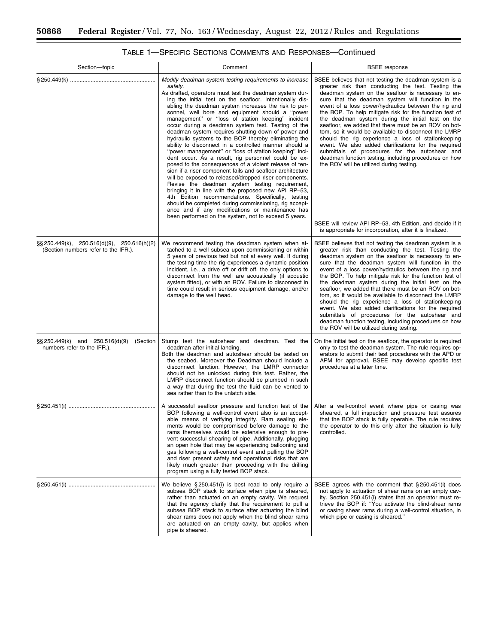| Section-topic                                                                      | Comment                                                                                                                                                                                                                                                                                                                                                                                                                                                                                                                                                                                                                                                                                                                                                                                                                                                                                                                                                                                                                                                                                                                                                                                                                    | <b>BSEE</b> response                                                                                                                                                                                                                                                                                                                                                                                                                                                                                                                                                                                                                                                                                                                                                                 |
|------------------------------------------------------------------------------------|----------------------------------------------------------------------------------------------------------------------------------------------------------------------------------------------------------------------------------------------------------------------------------------------------------------------------------------------------------------------------------------------------------------------------------------------------------------------------------------------------------------------------------------------------------------------------------------------------------------------------------------------------------------------------------------------------------------------------------------------------------------------------------------------------------------------------------------------------------------------------------------------------------------------------------------------------------------------------------------------------------------------------------------------------------------------------------------------------------------------------------------------------------------------------------------------------------------------------|--------------------------------------------------------------------------------------------------------------------------------------------------------------------------------------------------------------------------------------------------------------------------------------------------------------------------------------------------------------------------------------------------------------------------------------------------------------------------------------------------------------------------------------------------------------------------------------------------------------------------------------------------------------------------------------------------------------------------------------------------------------------------------------|
|                                                                                    | Modify deadman system testing requirements to increase<br>safety.<br>As drafted, operators must test the deadman system dur-<br>ing the initial test on the seafloor. Intentionally dis-<br>abling the deadman system increases the risk to per-<br>sonnel, well bore and equipment should a "power<br>management" or "loss of station keeping" incident<br>occur during a deadman system test. Testing of the<br>deadman system requires shutting down of power and<br>hydraulic systems to the BOP thereby eliminating the<br>ability to disconnect in a controlled manner should a<br>"power management" or "loss of station keeping" inci-<br>dent occur. As a result, rig personnel could be ex-<br>posed to the consequences of a violent release of ten-<br>sion if a riser component fails and seafloor architecture<br>will be exposed to released/dropped riser components.<br>Revise the deadman system testing requirement,<br>bringing it in line with the proposed new API RP-53,<br>4th Edition recommendations. Specifically, testing<br>should be completed during commissioning, rig accept-<br>ance and if any modifications or maintenance has<br>been performed on the system, not to exceed 5 years. | BSEE believes that not testing the deadman system is a<br>greater risk than conducting the test. Testing the<br>deadman system on the seafloor is necessary to en-<br>sure that the deadman system will function in the<br>event of a loss power/hydraulics between the rig and<br>the BOP. To help mitigate risk for the function test of<br>the deadman system during the initial test on the<br>seafloor, we added that there must be an ROV on bot-<br>tom, so it would be available to disconnect the LMRP<br>should the rig experience a loss of stationkeeping<br>event. We also added clarifications for the required<br>submittals of procedures for the autoshear and<br>deadman function testing, including procedures on how<br>the ROV will be utilized during testing. |
|                                                                                    |                                                                                                                                                                                                                                                                                                                                                                                                                                                                                                                                                                                                                                                                                                                                                                                                                                                                                                                                                                                                                                                                                                                                                                                                                            | BSEE will review API RP-53, 4th Edition, and decide if it<br>is appropriate for incorporation, after it is finalized.                                                                                                                                                                                                                                                                                                                                                                                                                                                                                                                                                                                                                                                                |
| §§250.449(k), 250.516(d)(9), 250.616(h)(2)<br>(Section numbers refer to the IFR.). | We recommend testing the deadman system when at-<br>tached to a well subsea upon commissioning or within<br>5 years of previous test but not at every well. If during<br>the testing time the rig experiences a dynamic position<br>incident, i.e., a drive off or drift off, the only options to<br>disconnect from the well are acoustically (if acoustic<br>system fitted), or with an ROV. Failure to disconnect in<br>time could result in serious equipment damage, and/or<br>damage to the well head.                                                                                                                                                                                                                                                                                                                                                                                                                                                                                                                                                                                                                                                                                                               | BSEE believes that not testing the deadman system is a<br>greater risk than conducting the test. Testing the<br>deadman system on the seafloor is necessary to en-<br>sure that the deadman system will function in the<br>event of a loss power/hydraulics between the rig and<br>the BOP. To help mitigate risk for the function test of<br>the deadman system during the initial test on the<br>seafloor, we added that there must be an ROV on bot-<br>tom, so it would be available to disconnect the LMRP<br>should the rig experience a loss of stationkeeping<br>event. We also added clarifications for the required<br>submittals of procedures for the autoshear and<br>deadman function testing, including procedures on how<br>the ROV will be utilized during testing. |
| $\S$ S 250.449(k) and 250.516(d)(9)<br>(Section<br>numbers refer to the IFR.).     | Stump test the autoshear and deadman. Test the<br>deadman after initial landing.<br>Both the deadman and autoshear should be tested on<br>the seabed. Moreover the Deadman should include a<br>disconnect function. However, the LMRP connector<br>should not be unlocked during this test. Rather, the<br>LMRP disconnect function should be plumbed in such<br>a way that during the test the fluid can be vented to<br>sea rather than to the unlatch side.                                                                                                                                                                                                                                                                                                                                                                                                                                                                                                                                                                                                                                                                                                                                                             | On the initial test on the seafloor, the operator is required<br>only to test the deadman system. The rule requires op-<br>erators to submit their test procedures with the APD or<br>APM for approval. BSEE may develop specific test<br>procedures at a later time.                                                                                                                                                                                                                                                                                                                                                                                                                                                                                                                |
|                                                                                    | A successful seafloor pressure and function test of the<br>BOP following a well-control event also is an accept-<br>able means of verifying integrity. Ram sealing ele-<br>ments would be compromised before damage to the<br>rams themselves would be extensive enough to pre-<br>vent successful shearing of pipe. Additionally, plugging<br>an open hole that may be experiencing ballooning and<br>gas following a well-control event and pulling the BOP<br>and riser present safety and operational risks that are<br>likely much greater than proceeding with the drilling<br>program using a fully tested BOP stack.                                                                                                                                                                                                                                                                                                                                                                                                                                                                                                                                                                                               | After a well-control event where pipe or casing was<br>sheared, a full inspection and pressure test assures<br>that the BOP stack is fully operable. The rule requires<br>the operator to do this only after the situation is fully<br>controlled.                                                                                                                                                                                                                                                                                                                                                                                                                                                                                                                                   |
|                                                                                    | We believe §250.451(i) is best read to only require a<br>subsea BOP stack to surface when pipe is sheared,<br>rather than actuated on an empty cavity. We request<br>that the agency clarify that the requirement to pull a<br>subsea BOP stack to surface after actuating the blind<br>shear rams does not apply when the blind shear rams<br>are actuated on an empty cavity, but applies when<br>pipe is sheared.                                                                                                                                                                                                                                                                                                                                                                                                                                                                                                                                                                                                                                                                                                                                                                                                       | BSEE agrees with the comment that §250.451(i) does<br>not apply to actuation of shear rams on an empty cav-<br>ity. Section 250.451(i) states that an operator must re-<br>trieve the BOP if: "You activate the blind-shear rams<br>or casing shear rams during a well-control situation, in<br>which pipe or casing is sheared."                                                                                                                                                                                                                                                                                                                                                                                                                                                    |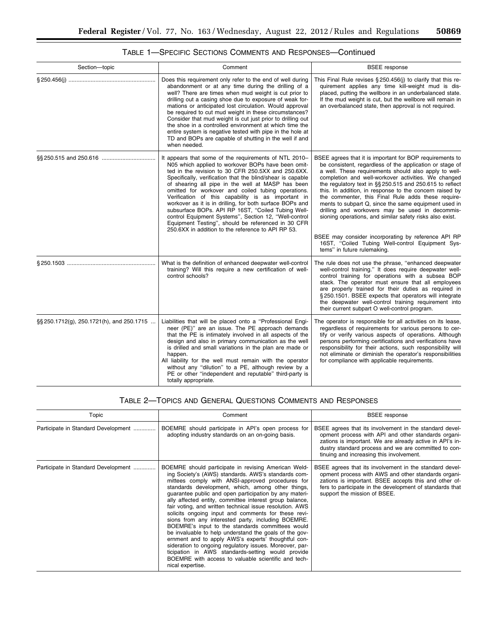۰

| Section-topic                             | Comment                                                                                                                                                                                                                                                                                                                                                                                                                                                                                                                                                                                                                                                                                 | <b>BSEE</b> response                                                                                                                                                                                                                                                                                                                                                                                                                                                                                                                                                                                                                                                                                                               |
|-------------------------------------------|-----------------------------------------------------------------------------------------------------------------------------------------------------------------------------------------------------------------------------------------------------------------------------------------------------------------------------------------------------------------------------------------------------------------------------------------------------------------------------------------------------------------------------------------------------------------------------------------------------------------------------------------------------------------------------------------|------------------------------------------------------------------------------------------------------------------------------------------------------------------------------------------------------------------------------------------------------------------------------------------------------------------------------------------------------------------------------------------------------------------------------------------------------------------------------------------------------------------------------------------------------------------------------------------------------------------------------------------------------------------------------------------------------------------------------------|
|                                           | Does this requirement only refer to the end of well during<br>abandonment or at any time during the drilling of a<br>well? There are times when mud weight is cut prior to<br>drilling out a casing shoe due to exposure of weak for-<br>mations or anticipated lost circulation. Would approval<br>be required to cut mud weight in these circumstances?<br>Consider that mud weight is cut just prior to drilling out<br>the shoe in a controlled environment at which time the<br>entire system is negative tested with pipe in the hole at<br>TD and BOPs are capable of shutting in the well if and<br>when needed.                                                                | This Final Rule revises $\S 250.456$ (j) to clarify that this re-<br>quirement applies any time kill-weight mud is dis-<br>placed, putting the wellbore in an underbalanced state.<br>If the mud weight is cut, but the wellbore will remain in<br>an overbalanced state, then approval is not required.                                                                                                                                                                                                                                                                                                                                                                                                                           |
|                                           | It appears that some of the requirements of NTL 2010-<br>N05 which applied to workover BOPs have been omit-<br>ted in the revision to 30 CFR 250.5XX and 250.6XX.<br>Specifically, verification that the blind/shear is capable<br>of shearing all pipe in the well at MASP has been<br>omitted for workover and coiled tubing operations.<br>Verification of this capability is as important in<br>workover as it is in drilling, for both surface BOPs and<br>subsurface BOPs. API RP 16ST, "Coiled Tubing Well-<br>control Equipment Systems", Section 12, "Well-control<br>Equipment Testing", should be referenced in 30 CFR<br>250.6XX in addition to the reference to API RP 53. | BSEE agrees that it is important for BOP requirements to<br>be consistent, regardless of the application or stage of<br>a well. These requirements should also apply to well-<br>completion and well-workover activities. We changed<br>the regulatory text in §§ 250.515 and 250.615 to reflect<br>this. In addition, in response to the concern raised by<br>the commenter, this Final Rule adds these require-<br>ments to subpart Q, since the same equipment used in<br>drilling and workovers may be used in decommis-<br>sioning operations, and similar safety risks also exist.<br>BSEE may consider incorporating by reference API RP<br>16ST, "Coiled Tubing Well-control Equipment Sys-<br>tems" in future rulemaking. |
|                                           | What is the definition of enhanced deepwater well-control<br>training? Will this require a new certification of well-<br>control schools?                                                                                                                                                                                                                                                                                                                                                                                                                                                                                                                                               | The rule does not use the phrase, "enhanced deepwater<br>well-control training." It does require deepwater well-<br>control training for operations with a subsea BOP<br>stack. The operator must ensure that all employees<br>are properly trained for their duties as required in<br>§250.1501. BSEE expects that operators will integrate<br>the deepwater well-control training requirement into<br>their current subpart O well-control program.                                                                                                                                                                                                                                                                              |
| §§ 250.1712(g), 250.1721(h), and 250.1715 | Liabilities that will be placed onto a "Professional Engi-<br>neer (PE)" are an issue. The PE approach demands<br>that the PE is intimately involved in all aspects of the<br>design and also in primary communication as the well<br>is drilled and small variations in the plan are made or<br>happen.<br>All liability for the well must remain with the operator<br>without any "dilution" to a PE, although review by a<br>PE or other "independent and reputable" third-party is<br>totally appropriate.                                                                                                                                                                          | The operator is responsible for all activities on its lease,<br>regardless of requirements for various persons to cer-<br>tify or verify various aspects of operations. Although<br>persons performing certifications and verifications have<br>responsibility for their actions, such responsibility will<br>not eliminate or diminish the operator's responsibilities<br>for compliance with applicable requirements.                                                                                                                                                                                                                                                                                                            |

# TABLE 1—SPECIFIC SECTIONS COMMENTS AND RESPONSES—Continued

# TABLE 2—TOPICS AND GENERAL QUESTIONS COMMENTS AND RESPONSES

| Topic                               | Comment                                                                                                                                                                                                                                                                                                                                                                                                                                                                                                                                                                                                                                                                                                                                                                                                                                                                            | <b>BSEE</b> response                                                                                                                                                                                                                                                           |
|-------------------------------------|------------------------------------------------------------------------------------------------------------------------------------------------------------------------------------------------------------------------------------------------------------------------------------------------------------------------------------------------------------------------------------------------------------------------------------------------------------------------------------------------------------------------------------------------------------------------------------------------------------------------------------------------------------------------------------------------------------------------------------------------------------------------------------------------------------------------------------------------------------------------------------|--------------------------------------------------------------------------------------------------------------------------------------------------------------------------------------------------------------------------------------------------------------------------------|
| Participate in Standard Development | BOEMRE should participate in API's open process for<br>adopting industry standards on an on-going basis.                                                                                                                                                                                                                                                                                                                                                                                                                                                                                                                                                                                                                                                                                                                                                                           | BSEE agrees that its involvement in the standard devel-<br>opment process with API and other standards organi-<br>zations is important. We are already active in API's in-<br>dustry standard process and we are committed to con-<br>tinuing and increasing this involvement. |
| Participate in Standard Development | BOEMRE should participate in revising American Weld-<br>ing Society's (AWS) standards. AWS's standards com-<br>mittees comply with ANSI-approved procedures for<br>standards development, which, among other things,<br>quarantee public and open participation by any materi-<br>ally affected entity, committee interest group balance,<br>fair voting, and written technical issue resolution. AWS<br>solicits ongoing input and comments for these revi-<br>sions from any interested party, including BOEMRE.<br>BOEMRE's input to the standards committees would<br>be invaluable to help understand the goals of the gov-<br>ernment and to apply AWS's experts' thoughtful con-<br>sideration to ongoing regulatory issues. Moreover, par-<br>ticipation in AWS standards-setting would provide<br>BOEMRE with access to valuable scientific and tech-<br>nical expertise. | BSEE agrees that its involvement in the standard devel-<br>opment process with AWS and other standards organi-<br>zations is important. BSEE accepts this and other of-<br>fers to participate in the development of standards that<br>support the mission of BSEE.            |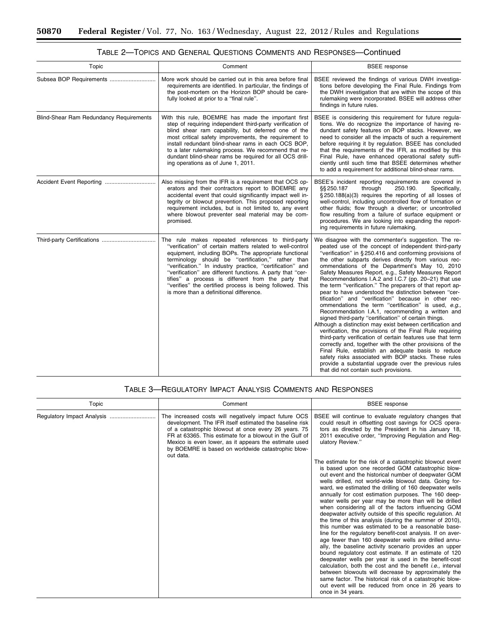-

| Topic                                   | Comment                                                                                                                                                                                                                                                                                                                                                                                                                                                                                                               | <b>BSEE</b> response                                                                                                                                                                                                                                                                                                                                                                                                                                                                                                                                                                                                                                                                                                                                                                                                                                                                                                                                                                                                                                                                                                                                                                                                    |
|-----------------------------------------|-----------------------------------------------------------------------------------------------------------------------------------------------------------------------------------------------------------------------------------------------------------------------------------------------------------------------------------------------------------------------------------------------------------------------------------------------------------------------------------------------------------------------|-------------------------------------------------------------------------------------------------------------------------------------------------------------------------------------------------------------------------------------------------------------------------------------------------------------------------------------------------------------------------------------------------------------------------------------------------------------------------------------------------------------------------------------------------------------------------------------------------------------------------------------------------------------------------------------------------------------------------------------------------------------------------------------------------------------------------------------------------------------------------------------------------------------------------------------------------------------------------------------------------------------------------------------------------------------------------------------------------------------------------------------------------------------------------------------------------------------------------|
| Subsea BOP Requirements                 | More work should be carried out in this area before final<br>requirements are identified. In particular, the findings of<br>the post-mortem on the Horizon BOP should be care-<br>fully looked at prior to a "final rule".                                                                                                                                                                                                                                                                                            | BSEE reviewed the findings of various DWH investiga-<br>tions before developing the Final Rule. Findings from<br>the DWH investigation that are within the scope of this<br>rulemaking were incorporated. BSEE will address other<br>findings in future rules.                                                                                                                                                                                                                                                                                                                                                                                                                                                                                                                                                                                                                                                                                                                                                                                                                                                                                                                                                          |
| Blind-Shear Ram Redundancy Requirements | With this rule, BOEMRE has made the important first<br>step of requiring independent third-party verification of<br>blind shear ram capability, but deferred one of the<br>most critical safety improvements, the requirement to<br>install redundant blind-shear rams in each OCS BOP,<br>to a later rulemaking process. We recommend that re-<br>dundant blind-shear rams be required for all OCS drill-<br>ing operations as of June 1, 2011.                                                                      | BSEE is considering this requirement for future regula-<br>tions. We do recognize the importance of having re-<br>dundant safety features on BOP stacks. However, we<br>need to consider all the impacts of such a requirement<br>before requiring it by regulation. BSEE has concluded<br>that the requirements of the IFR, as modified by this<br>Final Rule, have enhanced operational safety suffi-<br>ciently until such time that BSEE determines whether<br>to add a requirement for additional blind-shear rams.                                                                                                                                                                                                                                                                                                                                                                                                                                                                                                                                                                                                                                                                                                |
| Accident Event Reporting                | Also missing from the IFR is a requirement that OCS op-<br>erators and their contractors report to BOEMRE any<br>accidental event that could significantly impact well in-<br>tegrity or blowout prevention. This proposed reporting<br>requirement includes, but is not limited to, any event<br>where blowout preventer seal material may be com-<br>promised.                                                                                                                                                      | BSEE's incident reporting requirements are covered in<br>§§ 250.187<br>through<br>250.190.<br>Specifically,<br>§250.188(a)(3) requires the reporting of all losses of<br>well-control, including uncontrolled flow of formation or<br>other fluids; flow through a diverter; or uncontrolled<br>flow resulting from a failure of surface equipment or<br>procedures. We are looking into expanding the report-<br>ing requirements in future rulemaking.                                                                                                                                                                                                                                                                                                                                                                                                                                                                                                                                                                                                                                                                                                                                                                |
|                                         | The rule makes repeated references to third-party<br>"verification" of certain matters related to well-control<br>equipment, including BOPs. The appropriate functional<br>terminology should be "certification," rather than<br>"verification." In industry practice, "certification" and<br>"verification" are different functions. A party that "cer-<br>tifies" a process is different from the party that<br>"verifies" the certified process is being followed. This<br>is more than a definitional difference. | We disagree with the commenter's suggestion. The re-<br>peated use of the concept of independent third-party<br>"verification" in §250.416 and conforming provisions of<br>the other subparts derives directly from various rec-<br>ommendations of the Department's May 10, 2010<br>Safety Measures Report, e.g., Safety Measures Report<br>Recommendations I.A.2 and I.C.7 (pp. 20-21) that use<br>the term "verification." The preparers of that report ap-<br>pear to have understood the distinction between "cer-<br>tification" and "verification" because in other rec-<br>ommendations the term "certification" is used, e.g.,<br>Recommendation I.A.1, recommending a written and<br>signed third-party "certification" of certain things.<br>Although a distinction may exist between certification and<br>verification, the provisions of the Final Rule requiring<br>third-party verification of certain features use that term<br>correctly and, together with the other provisions of the<br>Final Rule, establish an adequate basis to reduce<br>safety risks associated with BOP stacks. These rules<br>provide a substantial upgrade over the previous rules<br>that did not contain such provisions. |

# TABLE 2—TOPICS AND GENERAL QUESTIONS COMMENTS AND RESPONSES—Continued

# TABLE 3—REGULATORY IMPACT ANALYSIS COMMENTS AND RESPONSES

| Topic                      | Comment                                                                                                                                                                                                                                                                                                                                                                          | <b>BSEE</b> response                                                                                                                                                                                                                                                                                                                                                                                                                                                                                                                                                                                                                                                                                                                                                                                                                                                                                                                                                                                                                                                                     |
|----------------------------|----------------------------------------------------------------------------------------------------------------------------------------------------------------------------------------------------------------------------------------------------------------------------------------------------------------------------------------------------------------------------------|------------------------------------------------------------------------------------------------------------------------------------------------------------------------------------------------------------------------------------------------------------------------------------------------------------------------------------------------------------------------------------------------------------------------------------------------------------------------------------------------------------------------------------------------------------------------------------------------------------------------------------------------------------------------------------------------------------------------------------------------------------------------------------------------------------------------------------------------------------------------------------------------------------------------------------------------------------------------------------------------------------------------------------------------------------------------------------------|
| Regulatory Impact Analysis | The increased costs will negatively impact future OCS<br>development. The IFR itself estimated the baseline risk<br>of a catastrophic blowout at once every 26 years. 75<br>FR at 63365. This estimate for a blowout in the Gulf of<br>Mexico is even lower, as it appears the estimate used<br>by BOEMRE is based on worldwide catastrophic blow-<br>out data.                  | BSEE will continue to evaluate regulatory changes that<br>could result in offsetting cost savings for OCS opera-<br>tors as directed by the President in his January 18,<br>2011 executive order, "Improving Regulation and Reg-<br>ulatory Review."<br>The estimate for the risk of a catastrophic blowout event<br>is based upon one recorded GOM catastrophic blow-<br>out event and the historical number of deepwater GOM<br>wells drilled, not world-wide blowout data. Going for-<br>ward, we estimated the drilling of 160 deepwater wells<br>annually for cost estimation purposes. The 160 deep-<br>water wells per year may be more than will be drilled<br>when considering all of the factors influencing GOM<br>deepwater activity outside of this specific regulation. At<br>the time of this analysis (during the summer of 2010),<br>this number was estimated to be a reasonable base-<br>line for the regulatory benefit-cost analysis. If on aver-<br>age fewer than 160 deepwater wells are drilled annu-<br>ally, the baseline activity scenario provides an upper |
|                            | bound regulatory cost estimate. If an estimate of 120<br>deepwater wells per year is used in the benefit-cost<br>calculation, both the cost and the benefit <i>i.e.</i> , interval<br>between blowouts will decrease by approximately the<br>same factor. The historical risk of a catastrophic blow-<br>out event will be reduced from once in 26 years to<br>once in 34 years. |                                                                                                                                                                                                                                                                                                                                                                                                                                                                                                                                                                                                                                                                                                                                                                                                                                                                                                                                                                                                                                                                                          |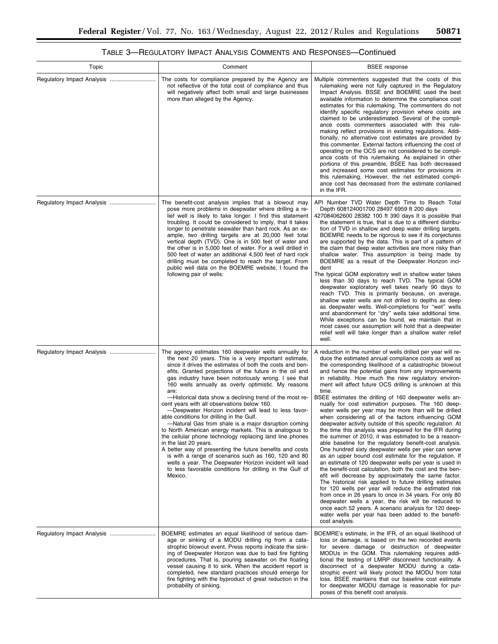| Topic                      | Comment                                                                                                                                                                                                                                                                                                                                                                                                                                                                                                                                                                                                                                                                                                                                                                                                                                                                                                                                                                                                                                 | <b>BSEE</b> response                                                                                                                                                                                                                                                                                                                                                                                                                                                                                                                                                                                                                                                                                                                                                                                                                                                                                                                                                                                                                                                                                                                                                                                                                                                                                                                                                                                                                                                                                                  |
|----------------------------|-----------------------------------------------------------------------------------------------------------------------------------------------------------------------------------------------------------------------------------------------------------------------------------------------------------------------------------------------------------------------------------------------------------------------------------------------------------------------------------------------------------------------------------------------------------------------------------------------------------------------------------------------------------------------------------------------------------------------------------------------------------------------------------------------------------------------------------------------------------------------------------------------------------------------------------------------------------------------------------------------------------------------------------------|-----------------------------------------------------------------------------------------------------------------------------------------------------------------------------------------------------------------------------------------------------------------------------------------------------------------------------------------------------------------------------------------------------------------------------------------------------------------------------------------------------------------------------------------------------------------------------------------------------------------------------------------------------------------------------------------------------------------------------------------------------------------------------------------------------------------------------------------------------------------------------------------------------------------------------------------------------------------------------------------------------------------------------------------------------------------------------------------------------------------------------------------------------------------------------------------------------------------------------------------------------------------------------------------------------------------------------------------------------------------------------------------------------------------------------------------------------------------------------------------------------------------------|
| Regulatory Impact Analysis | The costs for compliance prepared by the Agency are<br>not reflective of the total cost of compliance and thus<br>will negatively affect both small and large businesses<br>more than alleged by the Agency.                                                                                                                                                                                                                                                                                                                                                                                                                                                                                                                                                                                                                                                                                                                                                                                                                            | Multiple commenters suggested that the costs of this<br>rulemaking were not fully captured in the Regulatory<br>Impact Analysis. BSSE and BOEMRE used the best<br>available information to determine the compliance cost<br>estimates for this rulemaking. The commenters do not<br>identify specific regulatory provision where costs are<br>claimed to be underestimated. Several of the compli-<br>ance costs commenters associated with this rule-<br>making reflect provisions in existing regulations. Addi-<br>tionally, no alternative cost estimates are provided by<br>this commenter. External factors influencing the cost of<br>operating on the OCS are not considered to be compli-<br>ance costs of this rulemaking. As explained in other<br>portions of this preamble, BSEE has both decreased<br>and increased some cost estimates for provisions in<br>this rulemaking. However, the net estimated compli-<br>ance cost has decreased from the estimate contained<br>in the IFR.                                                                                                                                                                                                                                                                                                                                                                                                                                                                                                                  |
| Regulatory Impact Analysis | The benefit-cost analysis implies that a blowout may<br>pose more problems in deepwater where drilling a re-<br>lief well is likely to take longer. I find this statement<br>troubling. It could be considered to imply, that it takes<br>longer to penetrate seawater than hard rock. As an ex-<br>ample, two drilling targets are at 20,000 feet total<br>vertical depth (TVD). One is in 500 feet of water and<br>the other is in 5,000 feet of water. For a well drilled in<br>500 feet of water an additional 4,500 feet of hard rock<br>drilling must be completed to reach the target. From<br>public well data on the BOEMRE website, I found the<br>following pair of wells:                                                                                                                                                                                                                                                                                                                                                   | API Number TVD Water Depth Time to Reach Total<br>Depth 608124001700 28497 6959 ft 200 days<br>427084062600 28382 100 ft 390 days It is possible that<br>the statement is true, that is due to a different distribu-<br>tion of TVD in shallow and deep water drilling targets.<br>BOEMRE needs to be rigorous to see if its conjectures<br>are supported by the data. This is part of a pattern of<br>the claim that deep water activities are more risky than<br>shallow water. This assumption is being made by<br>BOEMRE as a result of the Deepwater Horizon inci-<br>dent<br>The typical GOM exploratory well in shallow water takes<br>less than 30 days to reach TVD. The typical GOM<br>deepwater exploratory well takes nearly 90 days to<br>reach TVD. This is primarily because, on average,<br>shallow water wells are not drilled to depths as deep<br>as deepwater wells. Well-completions for "wet" wells<br>and abandonment for "dry" wells take additional time.<br>While exceptions can be found, we maintain that in<br>most cases our assumption will hold that a deepwater<br>relief well will take longer than a shallow water relief<br>well.                                                                                                                                                                                                                                                                                                                                                 |
|                            | The agency estimates 160 deepwater wells annually for<br>the next 20 years. This is a very important estimate,<br>since it drives the estimates of both the costs and ben-<br>efits. Granted projections of the future in the oil and<br>gas industry have been notoriously wrong. I see that<br>160 wells annually as overly optimistic. My reasons<br>are:<br>-Historical data show a declining trend of the most re-<br>cent years with all observations below 160.<br>-Deepwater Horizon incident will lead to less favor-<br>able conditions for drilling in the Gulf.<br>-Natural Gas from shale is a major disruption coming<br>to North American energy markets. This is analogous to<br>the cellular phone technology replacing land line phones<br>in the last 20 years.<br>A better way of presenting the future benefits and costs<br>is with a range of scenarios such as 160, 120 and 80<br>wells a year. The Deepwater Horizon incident will lead<br>to less favorable conditions for drilling in the Gulf of<br>Mexico. | A reduction in the number of wells drilled per year will re-<br>duce the estimated annual compliance costs as well as<br>the corresponding likelihood of a catastrophic blowout<br>and hence the potential gains from any improvements<br>in reliability. How much the new regulatory environ-<br>ment will affect future OCS drilling is unknown at this<br>time.<br>BSEE estimates the drilling of 160 deepwater wells an-<br>nually for cost estimation purposes. The 160 deep-<br>water wells per year may be more than will be drilled<br>when considering all of the factors influencing GOM<br>deepwater activity outside of this specific regulation. At<br>the time this analysis was prepared for the IFR during<br>the summer of 2010, it was estimated to be a reason-<br>able baseline for the regulatory benefit-cost analysis.<br>One hundred sixty deepwater wells per year can serve<br>as an upper bound cost estimate for the regulation. If<br>an estimate of 120 deepwater wells per year is used in<br>the benefit-cost calculation, both the cost and the ben-<br>efit will decrease by approximately the same factor.<br>The historical risk applied to future drilling estimates<br>for 120 wells per year will reduce the estimated risk<br>from once in 26 years to once in 34 years. For only 80<br>deepwater wells a year, the risk will be reduced to<br>once each 52 years. A scenario analysis for 120 deep-<br>water wells per year has been added to the benefit-<br>cost analysis. |
|                            | BOEMRE estimates an equal likelihood of serious dam-<br>age or sinking of a MODU drilling rig from a cata-<br>strophic blowout event. Press reports indicate the sink-<br>ing of Deepwater Horizon was due to bad fire fighting<br>procedures. That is, pouring seawater on the floating<br>vessel causing it to sink. When the accident report is<br>completed, new standard practices should emerge for<br>fire fighting with the byproduct of great reduction in the<br>probability of sinking.                                                                                                                                                                                                                                                                                                                                                                                                                                                                                                                                      | BOEMRE's estimate, in the IFR, of an equal likelihood of<br>loss or damage, is based on the two recorded events<br>for severe damage or destruction of deepwater<br>MODUs in the GOM. This rulemaking requires addi-<br>tional the testing of LMRP disconnect functionality. A<br>disconnect of a deepwater MODU during a cata-<br>strophic event will likely protect the MODU from total<br>loss. BSEE maintains that our baseline cost estimate<br>for deepwater MODU damage is reasonable for pur-<br>poses of this benefit cost analysis.                                                                                                                                                                                                                                                                                                                                                                                                                                                                                                                                                                                                                                                                                                                                                                                                                                                                                                                                                                         |

# TABLE 3—REGULATORY IMPACT ANALYSIS COMMENTS AND RESPONSES—Continued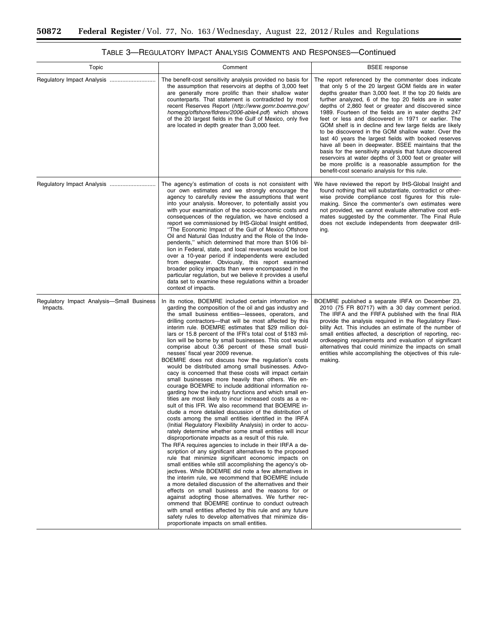$\equiv$ 

| Topic                                                 | Comment                                                                                                                                                                                                                                                                                                                                                                                                                                                                                                                                                                                                                                                                                                                                                                                                                                                                                                                                                                                                                                                                                                                                                                                                                                                                                                                                                                                                                                                                                                                                                                                                                                                                                                                                                                                                                                                                                                                                                                                                                                     | <b>BSEE</b> response                                                                                                                                                                                                                                                                                                                                                                                                                                                                                                                                                                                                                                                                                                                                                                                                                                                         |
|-------------------------------------------------------|---------------------------------------------------------------------------------------------------------------------------------------------------------------------------------------------------------------------------------------------------------------------------------------------------------------------------------------------------------------------------------------------------------------------------------------------------------------------------------------------------------------------------------------------------------------------------------------------------------------------------------------------------------------------------------------------------------------------------------------------------------------------------------------------------------------------------------------------------------------------------------------------------------------------------------------------------------------------------------------------------------------------------------------------------------------------------------------------------------------------------------------------------------------------------------------------------------------------------------------------------------------------------------------------------------------------------------------------------------------------------------------------------------------------------------------------------------------------------------------------------------------------------------------------------------------------------------------------------------------------------------------------------------------------------------------------------------------------------------------------------------------------------------------------------------------------------------------------------------------------------------------------------------------------------------------------------------------------------------------------------------------------------------------------|------------------------------------------------------------------------------------------------------------------------------------------------------------------------------------------------------------------------------------------------------------------------------------------------------------------------------------------------------------------------------------------------------------------------------------------------------------------------------------------------------------------------------------------------------------------------------------------------------------------------------------------------------------------------------------------------------------------------------------------------------------------------------------------------------------------------------------------------------------------------------|
|                                                       | The benefit-cost sensitivity analysis provided no basis for<br>the assumption that reservoirs at depths of 3,000 feet<br>are generally more prolific than their shallow water<br>counterparts. That statement is contradicted by most<br>recent Reserves Report (http://www.gomr.boemre.gov/<br>homepg/offshore/fldresv/2006-able4.pdf) which shows<br>of the 20 largest fields in the Gulf of Mexico, only five<br>are located in depth greater than 3,000 feet.                                                                                                                                                                                                                                                                                                                                                                                                                                                                                                                                                                                                                                                                                                                                                                                                                                                                                                                                                                                                                                                                                                                                                                                                                                                                                                                                                                                                                                                                                                                                                                           | The report referenced by the commenter does indicate<br>that only 5 of the 20 largest GOM fields are in water<br>depths greater than 3,000 feet. If the top 20 fields are<br>further analyzed, 6 of the top 20 fields are in water<br>depths of 2,860 feet or greater and discovered since<br>1989. Fourteen of the fields are in water depths 247<br>feet or less and discovered in 1971 or earlier. The<br>GOM shelf is in decline and few large fields are likely<br>to be discovered in the GOM shallow water. Over the<br>last 40 years the largest fields with booked reserves<br>have all been in deepwater. BSEE maintains that the<br>basis for the sensitivity analysis that future discovered<br>reservoirs at water depths of 3,000 feet or greater will<br>be more prolific is a reasonable assumption for the<br>benefit-cost scenario analysis for this rule. |
| Regulatory Impact Analysis                            | The agency's estimation of costs is not consistent with<br>our own estimates and we strongly encourage the<br>agency to carefully review the assumptions that went<br>into your analysis. Moreover, to potentially assist you<br>with your examination of the socio-economic costs and<br>consequences of the regulation, we have enclosed a<br>report we commissioned by IHS-Global Insight entitled,<br>"The Economic Impact of the Gulf of Mexico Offshore<br>Oil and Natural Gas Industry and the Role of the Inde-<br>pendents," which determined that more than \$106 bil-<br>lion in Federal, state, and local revenues would be lost<br>over a 10-year period if independents were excluded<br>from deepwater. Obviously, this report examined<br>broader policy impacts than were encompassed in the<br>particular regulation, but we believe it provides a useful<br>data set to examine these regulations within a broader<br>context of impacts.                                                                                                                                                                                                                                                                                                                                                                                                                                                                                                                                                                                                                                                                                                                                                                                                                                                                                                                                                                                                                                                                                | We have reviewed the report by IHS-Global Insight and<br>found nothing that will substantiate, contradict or other-<br>wise provide compliance cost figures for this rule-<br>making. Since the commenter's own estimates were<br>not provided, we cannot evaluate alternative cost esti-<br>mates suggested by the commenter. The Final Rule<br>does not exclude independents from deepwater drill-<br>ing.                                                                                                                                                                                                                                                                                                                                                                                                                                                                 |
| Regulatory Impact Analysis-Small Business<br>Impacts. | In its notice, BOEMRE included certain information re-<br>garding the composition of the oil and gas industry and<br>the small business entities-lessees, operators, and<br>drilling contractors—that will be most affected by this<br>interim rule. BOEMRE estimates that \$29 million dol-<br>lars or 15.8 percent of the IFR's total cost of \$183 mil-<br>lion will be borne by small businesses. This cost would<br>comprise about 0.36 percent of these small busi-<br>nesses' fiscal year 2009 revenue.<br>BOEMRE does not discuss how the regulation's costs<br>would be distributed among small businesses. Advo-<br>cacy is concerned that these costs will impact certain<br>small businesses more heavily than others. We en-<br>courage BOEMRE to include additional information re-<br>garding how the industry functions and which small en-<br>tities are most likely to incur increased costs as a re-<br>sult of this IFR. We also recommend that BOEMRE in-<br>clude a more detailed discussion of the distribution of<br>costs among the small entities identified in the IRFA<br>(Initial Regulatory Flexibility Analysis) in order to accu-<br>rately determine whether some small entities will incur<br>disproportionate impacts as a result of this rule.<br>The RFA requires agencies to include in their IRFA a de-<br>scription of any significant alternatives to the proposed<br>rule that minimize significant economic impacts on<br>small entities while still accomplishing the agency's ob-<br>jectives. While BOEMRE did note a few alternatives in<br>the interim rule, we recommend that BOEMRE include<br>a more detailed discussion of the alternatives and their<br>effects on small business and the reasons for or<br>against adopting those alternatives. We further rec-<br>ommend that BOEMRE continue to conduct outreach<br>with small entities affected by this rule and any future<br>safety rules to develop alternatives that minimize dis-<br>proportionate impacts on small entities. | BOEMRE published a separate IRFA on December 23,<br>2010 (75 FR 80717) with a 30 day comment period.<br>The IRFA and the FRFA published with the final RIA<br>provide the analysis required in the Regulatory Flexi-<br>bility Act. This includes an estimate of the number of<br>small entities affected, a description of reporting, rec-<br>ordkeeping requirements and evaluation of significant<br>alternatives that could minimize the impacts on small<br>entities while accomplishing the objectives of this rule-<br>making.                                                                                                                                                                                                                                                                                                                                        |

# TABLE 3—REGULATORY IMPACT ANALYSIS COMMENTS AND RESPONSES—Continued

۲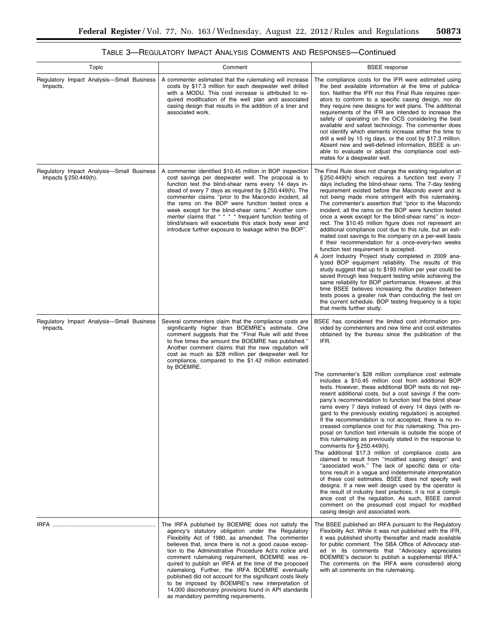| Topic                                                              | Comment                                                                                                                                                                                                                                                                                                                                                                                                                                                                                                                                                                                                                                                           | <b>BSEE</b> response                                                                                                                                                                                                                                                                                                                                                                                                                                                                                                                                                                                                                                                                                                                                                                                                                                                                                                                                                                                                                                                                                                                                                                                                                                               |
|--------------------------------------------------------------------|-------------------------------------------------------------------------------------------------------------------------------------------------------------------------------------------------------------------------------------------------------------------------------------------------------------------------------------------------------------------------------------------------------------------------------------------------------------------------------------------------------------------------------------------------------------------------------------------------------------------------------------------------------------------|--------------------------------------------------------------------------------------------------------------------------------------------------------------------------------------------------------------------------------------------------------------------------------------------------------------------------------------------------------------------------------------------------------------------------------------------------------------------------------------------------------------------------------------------------------------------------------------------------------------------------------------------------------------------------------------------------------------------------------------------------------------------------------------------------------------------------------------------------------------------------------------------------------------------------------------------------------------------------------------------------------------------------------------------------------------------------------------------------------------------------------------------------------------------------------------------------------------------------------------------------------------------|
| Regulatory Impact Analysis-Small Business<br>Impacts.              | A commenter estimated that the rulemaking will increase<br>costs by \$17.3 million for each deepwater well drilled<br>with a MODU. This cost increase is attributed to re-<br>quired modification of the well plan and associated<br>casing design that results in the addition of a liner and<br>associated work.                                                                                                                                                                                                                                                                                                                                                | The compliance costs for the IFR were estimated using<br>the best available information at the time of publica-<br>tion. Neither the IFR nor this Final Rule requires oper-<br>ators to conform to a specific casing design, nor do<br>they require new designs for well plans. The additional<br>requirements of the IFR are intended to increase the<br>safety of operating on the OCS considering the best<br>available and safest technology. The commenter does<br>not identify which elements increase either the time to<br>drill a well by 15 rig days, or the cost by \$17.3 million.<br>Absent new and well-defined information, BSEE is un-<br>able to evaluate or adjust the compliance cost esti-<br>mates for a deepwater well.                                                                                                                                                                                                                                                                                                                                                                                                                                                                                                                      |
| Regulatory Impact Analysis-Small Business<br>Impacts § 250.449(h). | A commenter identified \$10.45 million in BOP inspection<br>cost savings per deepwater well. The proposal is to<br>function test the blind-shear rams every 14 days in-<br>stead of every 7 days as required by §250.449(h). The<br>commenter claims "prior to the Macondo incident, all<br>the rams on the BOP were function tested once a<br>week except for the blind-shear rams." Another com-<br>menter claims that " * * * frequent function testing of<br>blind/shears will exacerbate this stack body wear and<br>introduce further exposure to leakage within the BOP".                                                                                  | The Final Rule does not change the existing regulation at<br>$\S 250.449(h)$ which requires a function test every 7<br>days including the blind-shear rams. The 7-day testing<br>requirement existed before the Macondo event and is<br>not being made more stringent with this rulemaking.<br>The commenter's assertion that "prior to the Macondo"<br>incident, all the rams on the BOP were function tested<br>once a week except for the blind-shear rams" is incor-<br>rect. The \$10.45 million figure does not represent an<br>additional compliance cost due to this rule, but an esti-<br>mated cost savings to the company on a per-well basis<br>if their recommendation for a once-every-two weeks<br>function test requirement is accepted.<br>A Joint Industry Project study completed in 2009 ana-<br>lyzed BOP equipment reliability. The results of this<br>study suggest that up to \$193 million per year could be<br>saved through less frequent testing while achieving the<br>same reliability for BOP performance. However, at this<br>time BSEE believes increasing the duration between<br>tests poses a greater risk than conducting the test on<br>the current schedule. BOP testing frequency is a topic<br>that merits further study. |
| Regulatory Impact Analysis-Small Business<br>Impacts.              | Several commenters claim that the compliance costs are<br>significantly higher than BOEMRE's estimate. One<br>comment suggests that the "Final Rule will add three<br>to five times the amount the BOEMRE has published."<br>Another comment claims that the new regulation will<br>cost as much as \$28 million per deepwater well for<br>compliance, compared to the \$1.42 million estimated                                                                                                                                                                                                                                                                   | BSEE has considered the limited cost information pro-<br>vided by commenters and new time and cost estimates<br>obtained by the bureau since the publication of the<br>IFR.                                                                                                                                                                                                                                                                                                                                                                                                                                                                                                                                                                                                                                                                                                                                                                                                                                                                                                                                                                                                                                                                                        |
|                                                                    | by BOEMRE.                                                                                                                                                                                                                                                                                                                                                                                                                                                                                                                                                                                                                                                        | The commenter's \$28 million compliance cost estimate<br>includes a \$10.45 million cost from additional BOP<br>tests. However, these additional BOP tests do not rep-<br>resent additional costs, but a cost savings if the com-<br>pany's recommendation to function test the blind shear<br>rams every 7 days instead of every 14 days (with re-<br>gard to the previously existing regulation) is accepted.<br>If the recommendation is not accepted, there is no in-<br>creased compliance cost for this rulemaking. This pro-<br>posal on function test intervals is outside the scope of<br>this rulemaking as previously stated in the response to<br>comments for $\S 250.449(h)$ .<br>The additional \$17.3 million of compliance costs are<br>claimed to result from "modified casing design" and<br>"associated work." The lack of specific data or cita-<br>tions result in a vague and indeterminate interpretation<br>of these cost estimates. BSEE does not specify well<br>designs. If a new well design used by the operator is<br>the result of industry best practices, it is not a compli-<br>ance cost of the regulation. As such, BSEE cannot<br>comment on the presumed cost impact for modified<br>casing design and associated work.     |
| IRFA ………………………………………………………                                         | The IRFA published by BOEMRE does not satisfy the<br>agency's statutory obligation under the Regulatory<br>Flexibility Act of 1980, as amended. The commenter<br>believes that, since there is not a good cause excep-<br>tion to the Administrative Procedure Act's notice and<br>comment rulemaking requirement, BOEMRE was re-<br>quired to publish an IRFA at the time of the proposed<br>rulemaking. Further, the IRFA BOEMRE eventually<br>published did not account for the significant costs likely<br>to be imposed by BOEMRE's new interpretation of<br>14,000 discretionary provisions found in API standards<br>as mandatory permitting requirements. | The BSEE published an IRFA pursuant to the Regulatory<br>Flexibility Act. While it was not published with the IFR.<br>it was published shortly thereafter and made available<br>for public comment. The SBA Office of Advocacy stat-<br>ed in its comments that "Advocacy appreciates<br>BOEMRE's decision to publish a supplemental IRFA."<br>The comments on the IRFA were considered along<br>with all comments on the rulemaking.                                                                                                                                                                                                                                                                                                                                                                                                                                                                                                                                                                                                                                                                                                                                                                                                                              |

# TABLE 3—REGULATORY IMPACT ANALYSIS COMMENTS AND RESPONSES—Continued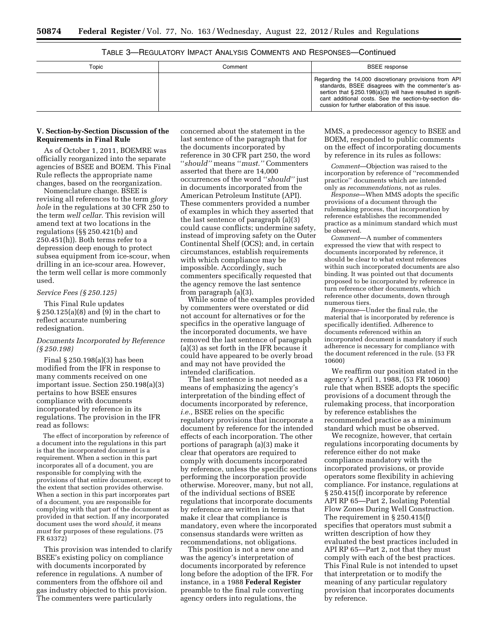| Topic | Comment | <b>BSEE</b> response                                                                                                                                                                                                                                                                   |
|-------|---------|----------------------------------------------------------------------------------------------------------------------------------------------------------------------------------------------------------------------------------------------------------------------------------------|
|       |         | Regarding the 14,000 discretionary provisions from API<br>standards, BSEE disagrees with the commenter's as-<br>sertion that §250.198(a)(3) will have resulted in signifi-<br>cant additional costs. See the section-by-section dis-<br>cussion for further elaboration of this issue. |

#### TABLE 3—REGULATORY IMPACT ANALYSIS COMMENTS AND RESPONSES—Continued

#### **V. Section-by-Section Discussion of the Requirements in Final Rule**

As of October 1, 2011, BOEMRE was officially reorganized into the separate agencies of BSEE and BOEM. This Final Rule reflects the appropriate name changes, based on the reorganization.

Nomenclature change. BSEE is revising all references to the term *glory hole* in the regulations at 30 CFR 250 to the term *well cellar.* This revision will amend text at two locations in the regulations (§§ 250.421(b) and 250.451(h)). Both terms refer to a depression deep enough to protect subsea equipment from ice-scour, when drilling in an ice-scour area. However, the term well cellar is more commonly used.

#### *Service Fees (§ 250.125)*

This Final Rule updates § 250.125(a)(8) and (9) in the chart to reflect accurate numbering redesignation.

#### *Documents Incorporated by Reference (§ 250.198)*

Final § 250.198(a)(3) has been modified from the IFR in response to many comments received on one important issue. Section 250.198(a)(3) pertains to how BSEE ensures compliance with documents incorporated by reference in its regulations. The provision in the IFR read as follows:

The effect of incorporation by reference of a document into the regulations in this part is that the incorporated document is a requirement. When a section in this part incorporates all of a document, you are responsible for complying with the provisions of that entire document, except to the extent that section provides otherwise. When a section in this part incorporates part of a document, you are responsible for complying with that part of the document as provided in that section. If any incorporated document uses the word *should,* it means *must* for purposes of these regulations. (75 FR 63372)

This provision was intended to clarify BSEE's existing policy on compliance with documents incorporated by reference in regulations. A number of commenters from the offshore oil and gas industry objected to this provision. The commenters were particularly

concerned about the statement in the last sentence of the paragraph that for the documents incorporated by reference in 30 CFR part 250, the word ''*should''* means ''*must.''* Commenters asserted that there are 14,000 occurrences of the word ''*should''* just in documents incorporated from the American Petroleum Institute (API). These commenters provided a number of examples in which they asserted that the last sentence of paragraph (a)(3) could cause conflicts; undermine safety, instead of improving safety on the Outer Continental Shelf (OCS); and, in certain circumstances, establish requirements with which compliance may be impossible. Accordingly, such commenters specifically requested that the agency remove the last sentence from paragraph (a)(3).

While some of the examples provided by commenters were overstated or did not account for alternatives or for the specifics in the operative language of the incorporated documents, we have removed the last sentence of paragraph (a)(3) as set forth in the IFR because it could have appeared to be overly broad and may not have provided the intended clarification.

The last sentence is not needed as a means of emphasizing the agency's interpretation of the binding effect of documents incorporated by reference, *i.e.,* BSEE relies on the specific regulatory provisions that incorporate a document by reference for the intended effects of each incorporation. The other portions of paragraph (a)(3) make it clear that operators are required to comply with documents incorporated by reference, unless the specific sections performing the incorporation provide otherwise. Moreover, many, but not all, of the individual sections of BSEE regulations that incorporate documents by reference are written in terms that make it clear that compliance is mandatory, even where the incorporated consensus standards were written as recommendations, not obligations.

This position is not a new one and was the agency's interpretation of documents incorporated by reference long before the adoption of the IFR. For instance, in a 1988 **Federal Register**  preamble to the final rule converting agency orders into regulations, the

MMS, a predecessor agency to BSEE and BOEM, responded to public comments on the effect of incorporating documents by reference in its rules as follows:

*Comment*—Objection was raised to the incorporation by reference of ''recommended practice'' documents which are intended only as *recommendations,* not as rules.

*Response*—When MMS adopts the specific provisions of a document through the rulemaking process, that incorporation by reference establishes the recommended practice as a minimum standard which must be observed.

*Comment*—A number of commenters expressed the view that with respect to documents incorporated by reference, it should be clear to what extent references within such incorporated documents are also binding. It was pointed out that documents proposed to be incorporated by reference in turn reference other documents, which reference other documents, down through numerous tiers.

*Response*—Under the final rule, the material that is incorporated by reference is specifically identified. Adherence to documents referenced within an incorporated document is mandatory if such adherence is necessary for compliance with the document referenced in the rule. (53 FR 10600)

We reaffirm our position stated in the agency's April 1, 1988, (53 FR 10600) rule that when BSEE adopts the specific provisions of a document through the rulemaking process, that incorporation by reference establishes the recommended practice as a minimum standard which must be observed.

We recognize, however, that certain regulations incorporating documents by reference either do not make compliance mandatory with the incorporated provisions, or provide operators some flexibility in achieving compliance. For instance, regulations at § 250.415(f) incorporate by reference API RP 65—Part 2, Isolating Potential Flow Zones During Well Construction. The requirement in § 250.415(f) specifies that operators must submit a written description of how they evaluated the best practices included in API RP 65—Part 2, not that they must comply with each of the best practices. This Final Rule is not intended to upset that interpretation or to modify the meaning of any particular regulatory provision that incorporates documents by reference.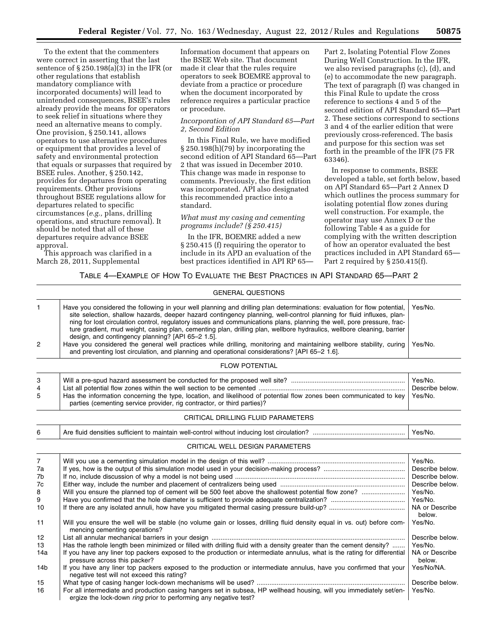To the extent that the commenters were correct in asserting that the last sentence of § 250.198(a)(3) in the IFR (or other regulations that establish mandatory compliance with incorporated documents) will lead to unintended consequences, BSEE's rules already provide the means for operators to seek relief in situations where they need an alternative means to comply. One provision, § 250.141, allows operators to use alternative procedures or equipment that provides a level of safety and environmental protection that equals or surpasses that required by BSEE rules. Another, § 250.142, provides for departures from operating requirements. Other provisions throughout BSEE regulations allow for departures related to specific circumstances (*e.g.,* plans, drilling operations, and structure removal). It should be noted that all of these departures require advance BSEE approval.

This approach was clarified in a March 28, 2011, Supplemental

Information document that appears on the BSEE Web site. That document made it clear that the rules require operators to seek BOEMRE approval to deviate from a practice or procedure when the document incorporated by reference requires a particular practice or procedure.

#### *Incorporation of API Standard 65—Part 2, Second Edition*

In this Final Rule, we have modified § 250.198(h)(79) by incorporating the second edition of API Standard 65—Part 2 that was issued in December 2010. This change was made in response to comments. Previously, the first edition was incorporated. API also designated this recommended practice into a standard.

#### *What must my casing and cementing programs include? (§ 250.415)*

In the IFR, BOEMRE added a new § 250.415 (f) requiring the operator to include in its APD an evaluation of the best practices identified in API RP 65Part 2, Isolating Potential Flow Zones During Well Construction. In the IFR, we also revised paragraphs (c), (d), and (e) to accommodate the new paragraph. The text of paragraph (f) was changed in this Final Rule to update the cross reference to sections 4 and 5 of the second edition of API Standard 65—Part 2. These sections correspond to sections 3 and 4 of the earlier edition that were previously cross-referenced. The basis and purpose for this section was set forth in the preamble of the IFR (75 FR 63346).

In response to comments, BSEE developed a table, set forth below, based on API Standard 65—Part 2 Annex D which outlines the process summary for isolating potential flow zones during well construction. For example, the operator may use Annex D or the following Table 4 as a guide for complying with the written description of how an operator evaluated the best practices included in API Standard 65— Part 2 required by § 250.415(f).

#### TABLE 4—EXAMPLE OF HOW TO EVALUATE THE BEST PRACTICES IN API STANDARD 65—PART 2

|                                            | <b>GENERAL QUESTIONS</b>                                                                                                                                                                                                                                                                                                                                                                                                                                                                                                                                                                                                                                                                                                                                                           |                                                                                        |
|--------------------------------------------|------------------------------------------------------------------------------------------------------------------------------------------------------------------------------------------------------------------------------------------------------------------------------------------------------------------------------------------------------------------------------------------------------------------------------------------------------------------------------------------------------------------------------------------------------------------------------------------------------------------------------------------------------------------------------------------------------------------------------------------------------------------------------------|----------------------------------------------------------------------------------------|
| 1<br>$\overline{2}$                        | Have you considered the following in your well planning and drilling plan determinations: evaluation for flow potential,<br>site selection, shallow hazards, deeper hazard contingency planning, well-control planning for fluid influxes, plan-<br>ning for lost circulation control, regulatory issues and communications plans, planning the well, pore pressure, frac-<br>ture gradient, mud weight, casing plan, cementing plan, drilling plan, wellbore hydraulics, wellbore cleaning, barrier<br>design, and contingency planning? [API 65-2 1.5].<br>Have you considered the general well practices while drilling, monitoring and maintaining wellbore stability, curing<br>and preventing lost circulation, and planning and operational considerations? [API 65-2 1.6]. | Yes/No.<br>Yes/No.                                                                     |
|                                            | <b>FLOW POTENTIAL</b>                                                                                                                                                                                                                                                                                                                                                                                                                                                                                                                                                                                                                                                                                                                                                              |                                                                                        |
| 3<br>4<br>5                                | Has the information concerning the type, location, and likelihood of potential flow zones been communicated to key<br>parties (cementing service provider, rig contractor, or third parties)?                                                                                                                                                                                                                                                                                                                                                                                                                                                                                                                                                                                      | Yes/No.<br>Describe below.<br>Yes/No.                                                  |
|                                            | CRITICAL DRILLING FLUID PARAMETERS                                                                                                                                                                                                                                                                                                                                                                                                                                                                                                                                                                                                                                                                                                                                                 |                                                                                        |
| 6                                          |                                                                                                                                                                                                                                                                                                                                                                                                                                                                                                                                                                                                                                                                                                                                                                                    | Yes/No.                                                                                |
|                                            | CRITICAL WELL DESIGN PARAMETERS                                                                                                                                                                                                                                                                                                                                                                                                                                                                                                                                                                                                                                                                                                                                                    |                                                                                        |
| $\overline{7}$<br>7a<br>7b<br>7c<br>8<br>9 | Will you ensure the planned top of cement will be 500 feet above the shallowest potential flow zone?                                                                                                                                                                                                                                                                                                                                                                                                                                                                                                                                                                                                                                                                               | Yes/No.<br>Describe below.<br>Describe below.<br>Describe below.<br>Yes/No.<br>Yes/No. |
| 10<br>11<br>12<br>13                       | Will you ensure the well will be stable (no volume gain or losses, drilling fluid density equal in vs. out) before com-<br>mencing cementing operations?<br>Has the rathole length been minimized or filled with drilling fluid with a density greater than the cement density?                                                                                                                                                                                                                                                                                                                                                                                                                                                                                                    | NA or Describe<br>below.<br>Yes/No.<br>Describe below.<br>Yes/No.                      |
| 14a<br>14 <sub>b</sub><br>15               | If you have any liner top packers exposed to the production or intermediate annulus, what is the rating for differential<br>pressure across this packer?<br>If you have any liner top packers exposed to the production or intermediate annulus, have you confirmed that your<br>negative test will not exceed this rating?                                                                                                                                                                                                                                                                                                                                                                                                                                                        | NA or Describe<br>below.<br>Yes/No/NA.<br>Describe below.                              |
| 16                                         | For all intermediate and production casing hangers set in subsea, HP wellhead housing, will you immediately set/en-<br>ergize the lock-down <i>ring</i> prior to performing any negative test?                                                                                                                                                                                                                                                                                                                                                                                                                                                                                                                                                                                     | Yes/No.                                                                                |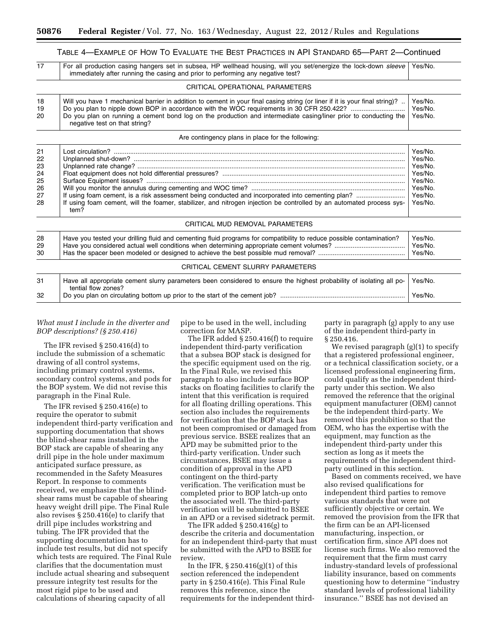## TABLE 4—EXAMPLE OF HOW TO EVALUATE THE BEST PRACTICES IN API STANDARD 65—PART 2—Continued

| 17             | Yes/No.<br>For all production casing hangers set in subsea, HP wellhead housing, will you set/energize the lock-down sleeve<br>immediately after running the casing and prior to performing any negative test?                                                                   |                               |  |  |  |  |
|----------------|----------------------------------------------------------------------------------------------------------------------------------------------------------------------------------------------------------------------------------------------------------------------------------|-------------------------------|--|--|--|--|
|                | CRITICAL OPERATIONAL PARAMETERS                                                                                                                                                                                                                                                  |                               |  |  |  |  |
| 18<br>19<br>20 | Will you have 1 mechanical barrier in addition to cement in your final casing string (or liner if it is your final string)?<br>Do you plan on running a cement bond log on the production and intermediate casing/liner prior to conducting the<br>negative test on that string? | Yes/No.<br>Yes/No.<br>Yes/No. |  |  |  |  |
|                | Are contingency plans in place for the following:                                                                                                                                                                                                                                |                               |  |  |  |  |
| 21             | net circulation?                                                                                                                                                                                                                                                                 | Voe/No                        |  |  |  |  |

| 21<br>22       |                                                                                                                                             | Yes/No.<br>Yes/No.            |
|----------------|---------------------------------------------------------------------------------------------------------------------------------------------|-------------------------------|
| 23             |                                                                                                                                             | Yes/No.                       |
| 24             |                                                                                                                                             | Yes/No.                       |
| 25             |                                                                                                                                             | Yes/No.                       |
| 26             |                                                                                                                                             | Yes/No.                       |
| 27             |                                                                                                                                             | Yes/No.                       |
| 28             | If using foam cement, will the foamer, stabilizer, and nitrogen injection be controlled by an automated process sys-<br>tem?                | Yes/No.                       |
|                | CRITICAL MUD REMOVAL PARAMETERS                                                                                                             |                               |
| 28<br>29<br>30 | Have you tested your drilling fluid and cementing fluid programs for compatibility to reduce possible contamination?                        | Yes/No.<br>Yes/No.<br>Yes/No. |
|                | CRITICAL CEMENT SLURRY PARAMETERS                                                                                                           |                               |
| 31             | Have all appropriate cement slurry parameters been considered to ensure the highest probability of isolating all po-<br>tential flow zones? | Yes/No.                       |
| 32             |                                                                                                                                             |                               |

#### *What must I include in the diverter and BOP descriptions? (§ 250.416)*

The IFR revised § 250.416(d) to include the submission of a schematic drawing of all control systems, including primary control systems, secondary control systems, and pods for the BOP system. We did not revise this paragraph in the Final Rule.

The IFR revised § 250.416(e) to require the operator to submit independent third-party verification and supporting documentation that shows the blind-shear rams installed in the BOP stack are capable of shearing any drill pipe in the hole under maximum anticipated surface pressure, as recommended in the Safety Measures Report. In response to comments received, we emphasize that the blindshear rams must be capable of shearing heavy weight drill pipe. The Final Rule also revises § 250.416(e) to clarify that drill pipe includes workstring and tubing. The IFR provided that the supporting documentation has to include test results, but did not specify which tests are required. The Final Rule clarifies that the documentation must include actual shearing and subsequent pressure integrity test results for the most rigid pipe to be used and calculations of shearing capacity of all

pipe to be used in the well, including correction for MASP.

The IFR added § 250.416(f) to require independent third-party verification that a subsea BOP stack is designed for the specific equipment used on the rig. In the Final Rule, we revised this paragraph to also include surface BOP stacks on floating facilities to clarify the intent that this verification is required for all floating drilling operations. This section also includes the requirements for verification that the BOP stack has not been compromised or damaged from previous service. BSEE realizes that an APD may be submitted prior to the third-party verification. Under such circumstances, BSEE may issue a condition of approval in the APD contingent on the third-party verification. The verification must be completed prior to BOP latch-up onto the associated well. The third-party verification will be submitted to BSEE in an APD or a revised sidetrack permit.

The IFR added § 250.416(g) to describe the criteria and documentation for an independent third-party that must be submitted with the APD to BSEE for review.

In the IFR, § 250.416(g)(1) of this section referenced the independent party in § 250.416(e). This Final Rule removes this reference, since the requirements for the independent thirdparty in paragraph (g) apply to any use of the independent third-party in § 250.416.

We revised paragraph (g)(1) to specify that a registered professional engineer, or a technical classification society, or a licensed professional engineering firm, could qualify as the independent thirdparty under this section. We also removed the reference that the original equipment manufacturer (OEM) cannot be the independent third-party. We removed this prohibition so that the OEM, who has the expertise with the equipment, may function as the independent third-party under this section as long as it meets the requirements of the independent thirdparty outlined in this section.

Based on comments received, we have also revised qualifications for independent third parties to remove various standards that were not sufficiently objective or certain. We removed the provision from the IFR that the firm can be an API-licensed manufacturing, inspection, or certification firm, since API does not license such firms. We also removed the requirement that the firm must carry industry-standard levels of professional liability insurance, based on comments questioning how to determine ''industry standard levels of professional liability insurance.'' BSEE has not devised an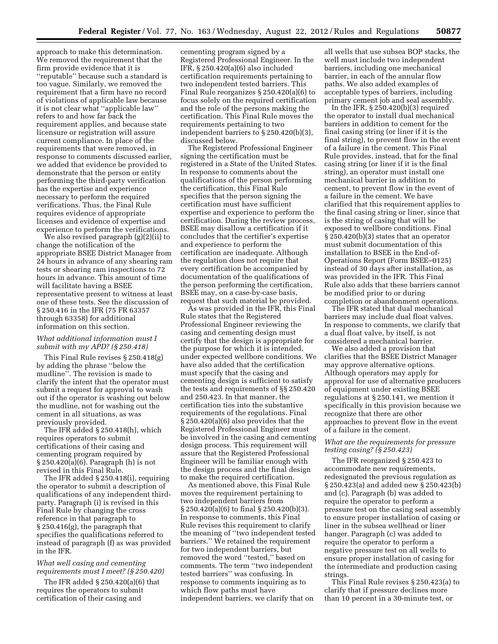approach to make this determination. We removed the requirement that the firm provide evidence that it is ''reputable'' because such a standard is too vague. Similarly, we removed the requirement that a firm have no record of violations of applicable law because it is not clear what ''applicable law'' refers to and how far back the requirement applies, and because state licensure or registration will assure current compliance. In place of the requirements that were removed, in response to comments discussed earlier, we added that evidence be provided to demonstrate that the person or entity performing the third-party verification has the expertise and experience necessary to perform the required verifications. Thus, the Final Rule requires evidence of appropriate licenses and evidence of expertise and experience to perform the verifications.

We also revised paragraph (g)(2)(ii) to change the notification of the appropriate BSEE District Manager from 24 hours in advance of any shearing ram tests or shearing ram inspections to 72 hours in advance. This amount of time will facilitate having a BSEE representative present to witness at least one of these tests. See the discussion of § 250.416 in the IFR (75 FR 63357 through 63358) for additional information on this section.

#### *What additional information must I submit with my APD? (§ 250.418)*

This Final Rule revises § 250.418(g) by adding the phrase ''below the mudline''. The revision is made to clarify the intent that the operator must submit a request for approval to wash out if the operator is washing out below the mudline, not for washing out the cement in all situations, as was previously provided.

The IFR added § 250.418(h), which requires operators to submit certifications of their casing and cementing program required by § 250.420(a)(6). Paragraph (h) is not revised in this Final Rule.

The IFR added § 250.418(i), requiring the operator to submit a description of qualifications of any independent thirdparty. Paragraph (i) is revised in this Final Rule by changing the cross reference in that paragraph to § 250.416(g), the paragraph that specifies the qualifications referred to instead of paragraph (f) as was provided in the IFR.

#### *What well casing and cementing requirements must I meet? (§ 250.420)*

The IFR added § 250.420(a)(6) that requires the operators to submit certification of their casing and

cementing program signed by a Registered Professional Engineer. In the IFR, § 250.420(a)(6) also included certification requirements pertaining to two independent tested barriers. This Final Rule reorganizes § 250.420(a)(6) to focus solely on the required certification and the role of the persons making the certification. This Final Rule moves the requirements pertaining to two independent barriers to § 250.420(b)(3), discussed below.

The Registered Professional Engineer signing the certification must be registered in a State of the United States. In response to comments about the qualifications of the person performing the certification, this Final Rule specifies that the person signing the certification must have sufficient expertise and experience to perform the certification. During the review process, BSEE may disallow a certification if it concludes that the certifier's expertise and experience to perform the certification are inadequate. Although the regulation does not require that every certification be accompanied by documentation of the qualifications of the person performing the certification, BSEE may, on a case-by-case basis, request that such material be provided.

As was provided in the IFR, this Final Rule states that the Registered Professional Engineer reviewing the casing and cementing design must certify that the design is appropriate for the purpose for which it is intended, under expected wellbore conditions. We have also added that the certification must specify that the casing and cementing design is sufficient to satisfy the tests and requirements of §§ 250.420 and 250.423. In that manner, the certification ties into the substantive requirements of the regulations. Final § 250.420(a)(6) also provides that the Registered Professional Engineer must be involved in the casing and cementing design process. This requirement will assure that the Registered Professional Engineer will be familiar enough with the design process and the final design to make the required certification.

As mentioned above, this Final Rule moves the requirement pertaining to two independent barriers from § 250.420(a)(6) to final § 250.420(b)(3). In response to comments, this Final Rule revises this requirement to clarify the meaning of ''two independent tested barriers.'' We retained the requirement for two independent barriers, but removed the word ''tested,'' based on comments. The term ''two independent tested barriers'' was confusing. In response to comments inquiring as to which flow paths must have independent barriers, we clarify that on

all wells that use subsea BOP stacks, the well must include two independent barriers, including one mechanical barrier, in each of the annular flow paths. We also added examples of acceptable types of barriers, including primary cement job and seal assembly.

In the IFR,  $\S 250.420(b)(3)$  required the operator to install dual mechanical barriers in addition to cement for the final casing string (or liner if it is the final string), to prevent flow in the event of a failure in the cement. This Final Rule provides, instead, that for the final casing string (or liner if it is the final string), an operator must install one mechanical barrier in addition to cement, to prevent flow in the event of a failure in the cement. We have clarified that this requirement applies to the final casing string or liner, since that is the string of casing that will be exposed to wellbore conditions. Final § 250.420(b)(3) states that an operator must submit documentation of this installation to BSEE in the End-of-Operations Report (Form BSEE–0125) instead of 30 days after installation, as was provided in the IFR. This Final Rule also adds that these barriers cannot be modified prior to or during completion or abandonment operations.

The IFR stated that dual mechanical barriers may include dual float valves. In response to comments, we clarify that a dual float valve, by itself, is not considered a mechanical barrier.

We also added a provision that clarifies that the BSEE District Manager may approve alternative options. Although operators may apply for approval for use of alternative producers of equipment under existing BSEE regulations at § 250.141, we mention it specifically in this provision because we recognize that there are other approaches to prevent flow in the event of a failure in the cement.

#### *What are the requirements for pressure testing casing? (§ 250.423)*

The IFR reorganized § 250.423 to accommodate new requirements, redesignated the previous regulation as § 250.423(a) and added new § 250.423(b) and (c). Paragraph (b) was added to require the operator to perform a pressure test on the casing seal assembly to ensure proper installation of casing or liner in the subsea wellhead or liner hanger. Paragraph (c) was added to require the operator to perform a negative pressure test on all wells to ensure proper installation of casing for the intermediate and production casing strings.

This Final Rule revises § 250.423(a) to clarify that if pressure declines more than 10 percent in a 30-minute test, or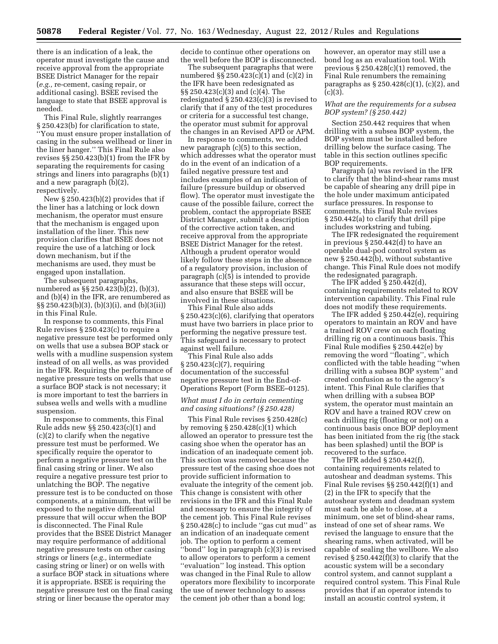there is an indication of a leak, the operator must investigate the cause and receive approval from the appropriate BSEE District Manager for the repair (*e.g.,* re-cement, casing repair, or additional casing). BSEE revised the language to state that BSEE approval is needed.

This Final Rule, slightly rearranges § 250.423(b) for clarification to state, ''You must ensure proper installation of casing in the subsea wellhead or liner in the liner hanger.'' This Final Rule also revises §§ 250.423(b)(1) from the IFR by separating the requirements for casing strings and liners into paragraphs (b)(1) and a new paragraph (b)(2), respectively.

New § 250.423(b)(2) provides that if the liner has a latching or lock down mechanism, the operator must ensure that the mechanism is engaged upon installation of the liner. This new provision clarifies that BSEE does not require the use of a latching or lock down mechanism, but if the mechanisms are used, they must be engaged upon installation.

The subsequent paragraphs, numbered as §§ 250.423(b)(2), (b)(3), and (b)(4) in the IFR, are renumbered as §§ 250.423(b)(3), (b)(3)(i), and (b)(3(ii)) in this Final Rule.

In response to comments, this Final Rule revises § 250.423(c) to require a negative pressure test be performed only on wells that use a subsea BOP stack or wells with a mudline suspension system instead of on all wells, as was provided in the IFR. Requiring the performance of negative pressure tests on wells that use a surface BOP stack is not necessary; it is more important to test the barriers in subsea wells and wells with a mudline suspension.

In response to comments, this Final Rule adds new §§ 250.423(c)(1) and (c)(2) to clarify when the negative pressure test must be performed. We specifically require the operator to perform a negative pressure test on the final casing string or liner. We also require a negative pressure test prior to unlatching the BOP. The negative pressure test is to be conducted on those components, at a minimum, that will be exposed to the negative differential pressure that will occur when the BOP is disconnected. The Final Rule provides that the BSEE District Manager may require performance of additional negative pressure tests on other casing strings or liners (*e.g.,* intermediate casing string or liner) or on wells with a surface BOP stack in situations where it is appropriate. BSEE is requiring the negative pressure test on the final casing string or liner because the operator may

decide to continue other operations on the well before the BOP is disconnected.

The subsequent paragraphs that were numbered §§ 250.423(c)(1) and (c)(2) in the IFR have been redesignated as §§ 250.423(c)(3) and (c)(4). The redesignated § 250.423(c)(3) is revised to clarify that if any of the test procedures or criteria for a successful test change, the operator must submit for approval the changes in an Revised APD or APM.

In response to comments, we added new paragraph (c)(5) to this section, which addresses what the operator must do in the event of an indication of a failed negative pressure test and includes examples of an indication of failure (pressure buildup or observed flow). The operator must investigate the cause of the possible failure, correct the problem, contact the appropriate BSEE District Manager, submit a description of the corrective action taken, and receive approval from the appropriate BSEE District Manager for the retest. Although a prudent operator would likely follow these steps in the absence of a regulatory provision, inclusion of paragraph (c)(5) is intended to provide assurance that these steps will occur, and also ensure that BSEE will be involved in these situations.

This Final Rule also adds § 250.423(c)(6), clarifying that operators must have two barriers in place prior to performing the negative pressure test. This safeguard is necessary to protect against well failure.

This Final Rule also adds § 250.423(c)(7), requiring documentation of the successful negative pressure test in the End-of-Operations Report (Form BSEE–0125).

#### *What must I do in certain cementing and casing situations? (§ 250.428)*

This Final Rule revises § 250.428(c) by removing  $\S 250.428(c)(1)$  which allowed an operator to pressure test the casing shoe when the operator has an indication of an inadequate cement job. This section was removed because the pressure test of the casing shoe does not provide sufficient information to evaluate the integrity of the cement job. This change is consistent with other revisions in the IFR and this Final Rule and necessary to ensure the integrity of the cement job. This Final Rule revises § 250.428(c) to include ''gas cut mud'' as an indication of an inadequate cement job. The option to perform a cement ''bond'' log in paragraph (c)(3) is revised to allow operators to perform a cement "evaluation" log instead. This option was changed in the Final Rule to allow operators more flexibility to incorporate the use of newer technology to assess the cement job other than a bond log;

however, an operator may still use a bond log as an evaluation tool. With previous § 250.428(c)(1) removed, the Final Rule renumbers the remaining paragraphs as  $\S 250.428(c)(1)$ , (c)(2), and  $(c)(3)$ .

#### *What are the requirements for a subsea BOP system? (§ 250.442)*

Section 250.442 requires that when drilling with a subsea BOP system, the BOP system must be installed before drilling below the surface casing. The table in this section outlines specific BOP requirements.

Paragraph (a) was revised in the IFR to clarify that the blind-shear rams must be capable of shearing any drill pipe in the hole under maximum anticipated surface pressures. In response to comments, this Final Rule revises § 250.442(a) to clarify that drill pipe includes workstring and tubing.

The IFR redesignated the requirement in previous § 250.442(d) to have an operable dual-pod control system as new § 250.442(b), without substantive change. This Final Rule does not modify the redesignated paragraph.

The IFR added § 250.442(d), containing requirements related to ROV intervention capability. This Final rule does not modify these requirements.

The IFR added § 250.442(e), requiring operators to maintain an ROV and have a trained ROV crew on each floating drilling rig on a continuous basis. This Final Rule modifies § 250.442(e) by removing the word ''floating'', which conflicted with the table heading ''when drilling with a subsea BOP system'' and created confusion as to the agency's intent. This Final Rule clarifies that when drilling with a subsea BOP system, the operator must maintain an ROV and have a trained ROV crew on each drilling rig (floating or not) on a continuous basis once BOP deployment has been initiated from the rig (the stack has been splashed) until the BOP is recovered to the surface.

The IFR added § 250.442(f), containing requirements related to autoshear and deadman systems. This Final Rule revises §§ 250.442(f)(1) and (2) in the IFR to specify that the autoshear system and deadman system must each be able to close, at a minimum, one set of blind-shear rams, instead of one set of shear rams. We revised the language to ensure that the shearing rams, when activated, will be capable of sealing the wellbore. We also revised § 250.442(f)(3) to clarify that the acoustic system will be a secondary control system, and cannot supplant a required control system. This Final Rule provides that if an operator intends to install an acoustic control system, it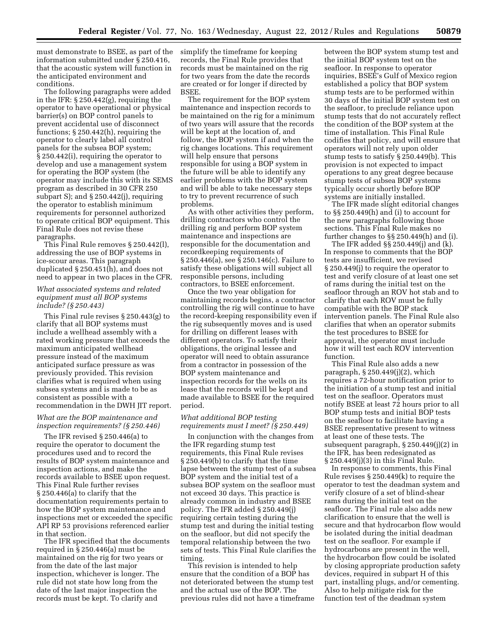must demonstrate to BSEE, as part of the information submitted under § 250.416, that the acoustic system will function in the anticipated environment and conditions.

The following paragraphs were added in the IFR: § 250.442(g), requiring the operator to have operational or physical barrier(s) on BOP control panels to prevent accidental use of disconnect functions; § 250.442(h), requiring the operator to clearly label all control panels for the subsea BOP system; § 250.442(i), requiring the operator to develop and use a management system for operating the BOP system (the operator may include this with its SEMS program as described in 30 CFR 250 subpart S); and § 250.442(j), requiring the operator to establish minimum requirements for personnel authorized to operate critical BOP equipment. This Final Rule does not revise these paragraphs.

This Final Rule removes § 250.442(l), addressing the use of BOP systems in ice-scour areas. This paragraph duplicated § 250.451(h), and does not need to appear in two places in the CFR.

#### *What associated systems and related equipment must all BOP systems include? (§ 250.443)*

This Final rule revises § 250.443(g) to clarify that all BOP systems must include a wellhead assembly with a rated working pressure that exceeds the maximum anticipated wellhead pressure instead of the maximum anticipated surface pressure as was previously provided. This revision clarifies what is required when using subsea systems and is made to be as consistent as possible with a recommendation in the DWH JIT report.

#### *What are the BOP maintenance and inspection requirements? (§ 250.446)*

The IFR revised § 250.446(a) to require the operator to document the procedures used and to record the results of BOP system maintenance and inspection actions, and make the records available to BSEE upon request. This Final Rule further revises § 250.446(a) to clarify that the documentation requirements pertain to how the BOP system maintenance and inspections met or exceeded the specific API RP 53 provisions referenced earlier in that section.

The IFR specified that the documents required in § 250.446(a) must be maintained on the rig for two years or from the date of the last major inspection, whichever is longer. The rule did not state how long from the date of the last major inspection the records must be kept. To clarify and

simplify the timeframe for keeping records, the Final Rule provides that records must be maintained on the rig for two years from the date the records are created or for longer if directed by BSEE.

The requirement for the BOP system maintenance and inspection records to be maintained on the rig for a minimum of two years will assure that the records will be kept at the location of, and follow, the BOP system if and when the rig changes locations. This requirement will help ensure that persons responsible for using a BOP system in the future will be able to identify any earlier problems with the BOP system and will be able to take necessary steps to try to prevent recurrence of such problems.

As with other activities they perform, drilling contractors who control the drilling rig and perform BOP system maintenance and inspections are responsible for the documentation and recordkeeping requirements of § 250.446(a), see § 250.146(c). Failure to satisfy these obligations will subject all responsible persons, including contractors, to BSEE enforcement.

Once the two year obligation for maintaining records begins, a contractor controlling the rig will continue to have the record-keeping responsibility even if the rig subsequently moves and is used for drilling on different leases with different operators. To satisfy their obligations, the original lessee and operator will need to obtain assurance from a contractor in possession of the BOP system maintenance and inspection records for the wells on its lease that the records will be kept and made available to BSEE for the required period.

#### *What additional BOP testing requirements must I meet? (§ 250.449)*

In conjunction with the changes from the IFR regarding stump test requirements, this Final Rule revises § 250.449(b) to clarify that the time lapse between the stump test of a subsea BOP system and the initial test of a subsea BOP system on the seafloor must not exceed 30 days. This practice is already common in industry and BSEE policy. The IFR added § 250.449(j) requiring certain testing during the stump test and during the initial testing on the seafloor, but did not specify the temporal relationship between the two sets of tests. This Final Rule clarifies the timing.

This revision is intended to help ensure that the condition of a BOP has not deteriorated between the stump test and the actual use of the BOP. The previous rules did not have a timeframe between the BOP system stump test and the initial BOP system test on the seafloor. In response to operator inquiries, BSEE's Gulf of Mexico region established a policy that BOP system stump tests are to be performed within 30 days of the initial BOP system test on the seafloor, to preclude reliance upon stump tests that do not accurately reflect the condition of the BOP system at the time of installation. This Final Rule codifies that policy, and will ensure that operators will not rely upon older stump tests to satisfy § 250.449(b). This provision is not expected to impact operations to any great degree because stump tests of subsea BOP systems typically occur shortly before BOP systems are initially installed.

The IFR made slight editorial changes to §§ 250.449(h) and (i) to account for the new paragraphs following those sections. This Final Rule makes no further changes to §§ 250.449(h) and (i).

The IFR added §§ 250.449(j) and (k). In response to comments that the BOP tests are insufficient, we revised § 250.449(j) to require the operator to test and verify closure of at least one set of rams during the initial test on the seafloor through an ROV hot stab and to clarify that each ROV must be fully compatible with the BOP stack intervention panels. The Final Rule also clarifies that when an operator submits the test procedures to BSEE for approval, the operator must include how it will test each ROV intervention function.

This Final Rule also adds a new paragraph, § 250.449(j)(2), which requires a 72-hour notification prior to the initiation of a stump test and initial test on the seafloor. Operators must notify BSEE at least 72 hours prior to all BOP stump tests and initial BOP tests on the seafloor to facilitate having a BSEE representative present to witness at least one of these tests. The subsequent paragraph, § 250.449(j)(2) in the IFR, has been redesignated as § 250.449(j)(3) in this Final Rule.

In response to comments, this Final Rule revises § 250.449(k) to require the operator to test the deadman system and verify closure of a set of blind-shear rams during the initial test on the seafloor. The Final rule also adds new clarification to ensure that the well is secure and that hydrocarbon flow would be isolated during the initial deadman test on the seafloor. For example if hydrocarbons are present in the well, the hydrocarbon flow could be isolated by closing appropriate production safety devices, required in subpart H of this part, installing plugs, and/or cementing. Also to help mitigate risk for the function test of the deadman system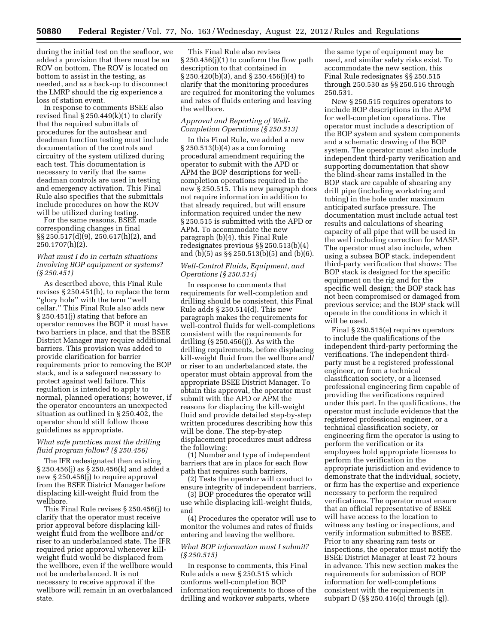during the initial test on the seafloor, we added a provision that there must be an ROV on bottom. The ROV is located on bottom to assist in the testing, as needed, and as a back-up to disconnect the LMRP should the rig experience a loss of station event.

In response to comments BSEE also revised final  $\S 250.449(k)(1)$  to clarify that the required submittals of procedures for the autoshear and deadman function testing must include documentation of the controls and circuitry of the system utilized during each test. This documentation is necessary to verify that the same deadman controls are used in testing and emergency activation. This Final Rule also specifies that the submittals include procedures on how the ROV will be utilized during testing.

For the same reasons, BSEE made corresponding changes in final  $\S\S 250.517(d)(9)$ , 250.617(h)(2), and 250.1707(h)(2).

#### *What must I do in certain situations involving BOP equipment or systems? (§ 250.451)*

As described above, this Final Rule revises § 250.451(h), to replace the term ''glory hole'' with the term ''well cellar.'' This Final Rule also adds new § 250.451(j) stating that before an operator removes the BOP it must have two barriers in place, and that the BSEE District Manager may require additional barriers. This provision was added to provide clarification for barrier requirements prior to removing the BOP stack, and is a safeguard necessary to protect against well failure. This regulation is intended to apply to normal, planned operations; however, if the operator encounters an unexpected situation as outlined in § 250.402, the operator should still follow those guidelines as appropriate.

#### *What safe practices must the drilling fluid program follow? (§ 250.456)*

The IFR redesignated then existing § 250.456(j) as § 250.456(k) and added a new § 250.456(j) to require approval from the BSEE District Manager before displacing kill-weight fluid from the wellbore.

This Final Rule revises § 250.456(j) to clarify that the operator must receive prior approval before displacing killweight fluid from the wellbore and/or riser to an underbalanced state. The IFR required prior approval whenever killweight fluid would be displaced from the wellbore, even if the wellbore would not be underbalanced. It is not necessary to receive approval if the wellbore will remain in an overbalanced state.

This Final Rule also revises § 250.456(j)(1) to conform the flow path description to that contained in § 250.420(b)(3), and § 250.456(j)(4) to clarify that the monitoring procedures are required for monitoring the volumes and rates of fluids entering and leaving the wellbore.

#### *Approval and Reporting of Well-Completion Operations (§ 250.513)*

In this Final Rule, we added a new § 250.513(b)(4) as a conforming procedural amendment requiring the operator to submit with the APD or APM the BOP descriptions for wellcompletion operations required in the new § 250.515. This new paragraph does not require information in addition to that already required, but will ensure information required under the new § 250.515 is submitted with the APD or APM. To accommodate the new paragraph (b)(4), this Final Rule redesignates previous §§ 250.513(b)(4) and (b)(5) as §§ 250.513(b)(5) and (b)(6).

#### *Well-Control Fluids, Equipment, and Operations (§ 250.514)*

In response to comments that requirements for well-completion and drilling should be consistent, this Final Rule adds § 250.514(d). This new paragraph makes the requirements for well-control fluids for well-completions consistent with the requirements for drilling (§ 250.456(j)). As with the drilling requirements, before displacing kill-weight fluid from the wellbore and/ or riser to an underbalanced state, the operator must obtain approval from the appropriate BSEE District Manager. To obtain this approval, the operator must submit with the APD or APM the reasons for displacing the kill-weight fluid and provide detailed step-by-step written procedures describing how this will be done. The step-by-step displacement procedures must address the following:

(1) Number and type of independent barriers that are in place for each flow path that requires such barriers,

(2) Tests the operator will conduct to ensure integrity of independent barriers,

(3) BOP procedures the operator will use while displacing kill-weight fluids, and

(4) Procedures the operator will use to monitor the volumes and rates of fluids entering and leaving the wellbore.

#### *What BOP information must I submit? (§ 250.515)*

In response to comments, this Final Rule adds a new § 250.515 which conforms well-completion BOP information requirements to those of the drilling and workover subparts, where

the same type of equipment may be used, and similar safety risks exist. To accommodate the new section, this Final Rule redesignates §§ 250.515 through 250.530 as §§ 250.516 through 250.531.

New § 250.515 requires operators to include BOP descriptions in the APM for well-completion operations. The operator must include a description of the BOP system and system components and a schematic drawing of the BOP system. The operator must also include independent third-party verification and supporting documentation that show the blind-shear rams installed in the BOP stack are capable of shearing any drill pipe (including workstring and tubing) in the hole under maximum anticipated surface pressure. The documentation must include actual test results and calculations of shearing capacity of all pipe that will be used in the well including correction for MASP. The operator must also include, when using a subsea BOP stack, independent third-party verification that shows: The BOP stack is designed for the specific equipment on the rig and for the specific well design; the BOP stack has not been compromised or damaged from previous service; and the BOP stack will operate in the conditions in which it will be used.

Final § 250.515(e) requires operators to include the qualifications of the independent third-party performing the verifications. The independent thirdparty must be a registered professional engineer, or from a technical classification society, or a licensed professional engineering firm capable of providing the verifications required under this part. In the qualifications, the operator must include evidence that the registered professional engineer, or a technical classification society, or engineering firm the operator is using to perform the verification or its employees hold appropriate licenses to perform the verification in the appropriate jurisdiction and evidence to demonstrate that the individual, society, or firm has the expertise and experience necessary to perform the required verifications. The operator must ensure that an official representative of BSEE will have access to the location to witness any testing or inspections, and verify information submitted to BSEE. Prior to any shearing ram tests or inspections, the operator must notify the BSEE District Manager at least 72 hours in advance. This new section makes the requirements for submission of BOP information for well-completions consistent with the requirements in subpart D (§§ 250.416(c) through (g)).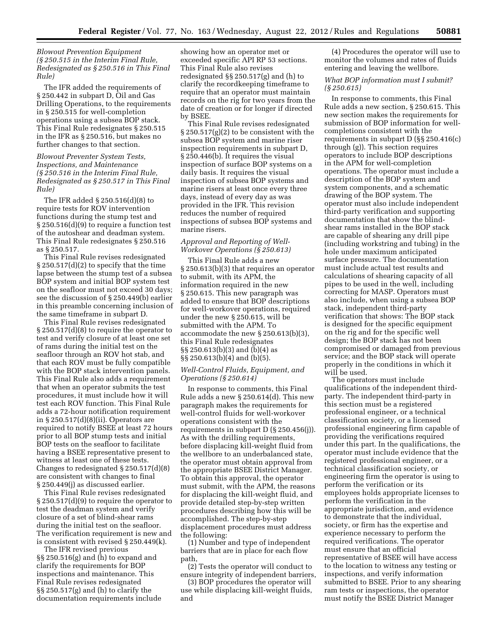#### *Blowout Prevention Equipment (§ 250.515 in the Interim Final Rule, Redesignated as § 250.516 in This Final Rule)*

The IFR added the requirements of § 250.442 in subpart D, Oil and Gas Drilling Operations, to the requirements in § 250.515 for well-completion operations using a subsea BOP stack. This Final Rule redesignates § 250.515 in the IFR as § 250.516, but makes no further changes to that section.

#### *Blowout Preventer System Tests, Inspections, and Maintenance (§ 250.516 in the Interim Final Rule, Redesignated as § 250.517 in This Final Rule)*

The IFR added § 250.516(d)(8) to require tests for ROV intervention functions during the stump test and § 250.516(d)(9) to require a function test of the autoshear and deadman system. This Final Rule redesignates § 250.516 as § 250.517.

This Final Rule revises redesignated § 250.517(d)(2) to specify that the time lapse between the stump test of a subsea BOP system and initial BOP system test on the seafloor must not exceed 30 days; see the discussion of § 250.449(b) earlier in this preamble concerning inclusion of the same timeframe in subpart D.

This Final Rule revises redesignated § 250.517(d)(8) to require the operator to test and verify closure of at least one set of rams during the initial test on the seafloor through an ROV hot stab, and that each ROV must be fully compatible with the BOP stack intervention panels. This Final Rule also adds a requirement that when an operator submits the test procedures, it must include how it will test each ROV function. This Final Rule adds a 72-hour notification requirement in § 250.517(d)(8)(ii). Operators are required to notify BSEE at least 72 hours prior to all BOP stump tests and initial BOP tests on the seafloor to facilitate having a BSEE representative present to witness at least one of these tests. Changes to redesignated § 250.517(d)(8) are consistent with changes to final § 250.449(j) as discussed earlier.

This Final Rule revises redesignated § 250.517(d)(9) to require the operator to test the deadman system and verify closure of a set of blind-shear rams during the initial test on the seafloor. The verification requirement is new and is consistent with revised § 250.449(k).

The IFR revised previous §§ 250.516(g) and (h) to expand and clarify the requirements for BOP inspections and maintenance. This Final Rule revises redesignated §§ 250.517(g) and (h) to clarify the documentation requirements include

showing how an operator met or exceeded specific API RP 53 sections. This Final Rule also revises redesignated §§ 250.517(g) and (h) to clarify the recordkeeping timeframe to require that an operator must maintain records on the rig for two years from the date of creation or for longer if directed by BSEE.

This Final Rule revises redesignated § 250.517(g)(2) to be consistent with the subsea BOP system and marine riser inspection requirements in subpart D, § 250.446(b). It requires the visual inspection of surface BOP systems on a daily basis. It requires the visual inspection of subsea BOP systems and marine risers at least once every three days, instead of every day as was provided in the IFR. This revision reduces the number of required inspections of subsea BOP systems and marine risers.

#### *Approval and Reporting of Well-Workover Operations (§ 250.613)*

This Final Rule adds a new § 250.613(b)(3) that requires an operator to submit, with its APM, the information required in the new § 250.615. This new paragraph was added to ensure that BOP descriptions for well-workover operations, required under the new § 250.615, will be submitted with the APM. To accommodate the new § 250.613(b)(3), this Final Rule redesignates §§ 250.613(b)(3) and (b)(4) as §§ 250.613(b)(4) and (b)(5).

#### *Well-Control Fluids, Equipment, and Operations (§ 250.614)*

In response to comments, this Final Rule adds a new § 250.614(d). This new paragraph makes the requirements for well-control fluids for well-workover operations consistent with the requirements in subpart D (§ 250.456(j)). As with the drilling requirements, before displacing kill-weight fluid from the wellbore to an underbalanced state, the operator must obtain approval from the appropriate BSEE District Manager. To obtain this approval, the operator must submit, with the APM, the reasons for displacing the kill-weight fluid, and provide detailed step-by-step written procedures describing how this will be accomplished. The step-by-step displacement procedures must address the following:

(1) Number and type of independent barriers that are in place for each flow path,

(2) Tests the operator will conduct to ensure integrity of independent barriers,

(3) BOP procedures the operator will use while displacing kill-weight fluids, and

(4) Procedures the operator will use to monitor the volumes and rates of fluids entering and leaving the wellbore.

#### *What BOP information must I submit? (§ 250.615)*

In response to comments, this Final Rule adds a new section, § 250.615. This new section makes the requirements for submission of BOP information for wellcompletions consistent with the requirements in subpart D (§§ 250.416(c) through (g)). This section requires operators to include BOP descriptions in the APM for well-completion operations. The operator must include a description of the BOP system and system components, and a schematic drawing of the BOP system. The operator must also include independent third-party verification and supporting documentation that show the blindshear rams installed in the BOP stack are capable of shearing any drill pipe (including workstring and tubing) in the hole under maximum anticipated surface pressure. The documentation must include actual test results and calculations of shearing capacity of all pipes to be used in the well, including correcting for MASP. Operators must also include, when using a subsea BOP stack, independent third-party verification that shows: The BOP stack is designed for the specific equipment on the rig and for the specific well design; the BOP stack has not been compromised or damaged from previous service; and the BOP stack will operate properly in the conditions in which it will be used.

The operators must include qualifications of the independent thirdparty. The independent third-party in this section must be a registered professional engineer, or a technical classification society, or a licensed professional engineering firm capable of providing the verifications required under this part. In the qualifications, the operator must include evidence that the registered professional engineer, or a technical classification society, or engineering firm the operator is using to perform the verification or its employees holds appropriate licenses to perform the verification in the appropriate jurisdiction, and evidence to demonstrate that the individual, society, or firm has the expertise and experience necessary to perform the required verifications. The operator must ensure that an official representative of BSEE will have access to the location to witness any testing or inspections, and verify information submitted to BSEE. Prior to any shearing ram tests or inspections, the operator must notify the BSEE District Manager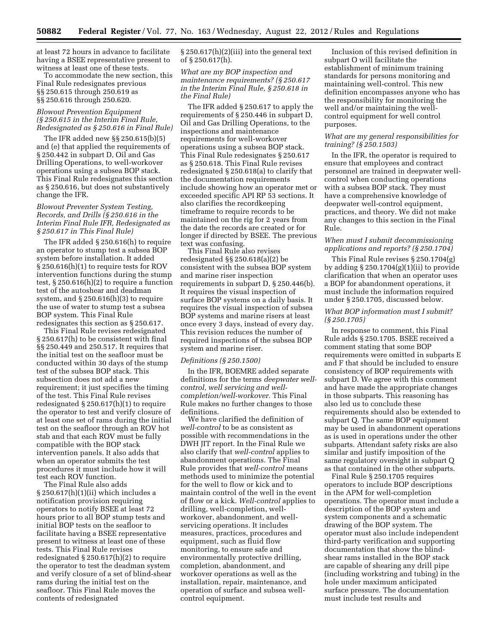at least 72 hours in advance to facilitate having a BSEE representative present to witness at least one of these tests.

To accommodate the new section, this Final Rule redesignates previous §§ 250.615 through 250.619 as §§ 250.616 through 250.620.

#### *Blowout Prevention Equipment (§ 250.615 in the Interim Final Rule, Redesignated as § 250.616 in Final Rule)*

The IFR added new §§ 250.615(b)(5) and (e) that applied the requirements of § 250.442 in subpart D, Oil and Gas Drilling Operations, to well-workover operations using a subsea BOP stack. This Final Rule redesignates this section as § 250.616, but does not substantively change the IFR.

#### *Blowout Preventer System Testing, Records, and Drills (§ 250.616 in the Interim Final Rule IFR, Redesignated as § 250.617 in This Final Rule)*

The IFR added § 250.616(h) to require an operator to stump test a subsea BOP system before installation. It added § 250.616(h)(1) to require tests for ROV intervention functions during the stump test, § 250.616(h)(2) to require a function test of the autoshear and deadman system, and  $\S 250.616(h)(3)$  to require the use of water to stump test a subsea BOP system. This Final Rule redesignates this section as § 250.617.

This Final Rule revises redesignated § 250.617(h) to be consistent with final §§ 250.449 and 250.517. It requires that the initial test on the seafloor must be conducted within 30 days of the stump test of the subsea BOP stack. This subsection does not add a new requirement; it just specifies the timing of the test. This Final Rule revises redesignated § 250.617(h)(1) to require the operator to test and verify closure of at least one set of rams during the initial test on the seafloor through an ROV hot stab and that each ROV must be fully compatible with the BOP stack intervention panels. It also adds that when an operator submits the test procedures it must include how it will test each ROV function.

The Final Rule also adds § 250.617(h)(1)(ii) which includes a notification provision requiring operators to notify BSEE at least 72 hours prior to all BOP stump tests and initial BOP tests on the seafloor to facilitate having a BSEE representative present to witness at least one of these tests. This Final Rule revises redesignated § 250.617(h)(2) to require the operator to test the deadman system and verify closure of a set of blind-shear rams during the initial test on the seafloor. This Final Rule moves the contents of redesignated

§ 250.617(h)(2)(iii) into the general text of § 250.617(h).

*What are my BOP inspection and maintenance requirements? (§ 250.617 in the Interim Final Rule, § 250.618 in the Final Rule)* 

The IFR added § 250.617 to apply the requirements of § 250.446 in subpart D, Oil and Gas Drilling Operations, to the inspections and maintenance requirements for well-workover operations using a subsea BOP stack. This Final Rule redesignates § 250.617 as § 250.618. This Final Rule revises redesignated § 250.618(a) to clarify that the documentation requirements include showing how an operator met or exceeded specific API RP 53 sections. It also clarifies the recordkeeping timeframe to require records to be maintained on the rig for 2 years from the date the records are created or for longer if directed by BSEE. The previous text was confusing.

This Final Rule also revises redesignated §§ 250.618(a)(2) be consistent with the subsea BOP system and marine riser inspection requirements in subpart D, § 250.446(b). It requires the visual inspection of surface BOP systems on a daily basis. It requires the visual inspection of subsea BOP systems and marine risers at least once every 3 days, instead of every day. This revision reduces the number of required inspections of the subsea BOP system and marine riser.

#### *Definitions (§ 250.1500)*

In the IFR, BOEMRE added separate definitions for the terms *deepwater wellcontrol, well servicing and wellcompletion/well-workover.* This Final Rule makes no further changes to those definitions.

We have clarified the definition of *well-control* to be as consistent as possible with recommendations in the DWH JIT report. In the Final Rule we also clarify that *well-control* applies to abandonment operations. The Final Rule provides that *well-control* means methods used to minimize the potential for the well to flow or kick and to maintain control of the well in the event of flow or a kick. *Well-control* applies to drilling, well-completion, wellworkover, abandonment, and wellservicing operations. It includes measures, practices, procedures and equipment, such as fluid flow monitoring, to ensure safe and environmentally protective drilling, completion, abandonment, and workover operations as well as the installation, repair, maintenance, and operation of surface and subsea wellcontrol equipment.

Inclusion of this revised definition in subpart O will facilitate the establishment of minimum training standards for persons monitoring and maintaining well-control. This new definition encompasses anyone who has the responsibility for monitoring the well and/or maintaining the wellcontrol equipment for well control purposes.

#### *What are my general responsibilities for training? (§ 250.1503)*

In the IFR, the operator is required to ensure that employees and contract personnel are trained in deepwater wellcontrol when conducting operations with a subsea BOP stack. They must have a comprehensive knowledge of deepwater well-control equipment, practices, and theory. We did not make any changes to this section in the Final Rule.

#### *When must I submit decommissioning applications and reports? (§ 250.1704)*

This Final Rule revises § 250.1704(g) by adding § 250.1704(g)(1)(ii) to provide clarification that when an operator uses a BOP for abandonment operations, it must include the information required under § 250.1705, discussed below.

#### *What BOP information must I submit? (§ 250.1705)*

In response to comment, this Final Rule adds § 250.1705. BSEE received a comment stating that some BOP requirements were omitted in subparts E and F that should be included to ensure consistency of BOP requirements with subpart D. We agree with this comment and have made the appropriate changes in those subparts. This reasoning has also led us to conclude these requirements should also be extended to subpart Q. The same BOP equipment may be used in abandonment operations as is used in operations under the other subparts. Attendant safety risks are also similar and justify imposition of the same regulatory oversight in subpart Q as that contained in the other subparts.

Final Rule § 250.1705 requires operators to include BOP descriptions in the APM for well-completion operations. The operator must include a description of the BOP system and system components and a schematic drawing of the BOP system. The operator must also include independent third-party verification and supporting documentation that show the blindshear rams installed in the BOP stack are capable of shearing any drill pipe (including workstring and tubing) in the hole under maximum anticipated surface pressure. The documentation must include test results and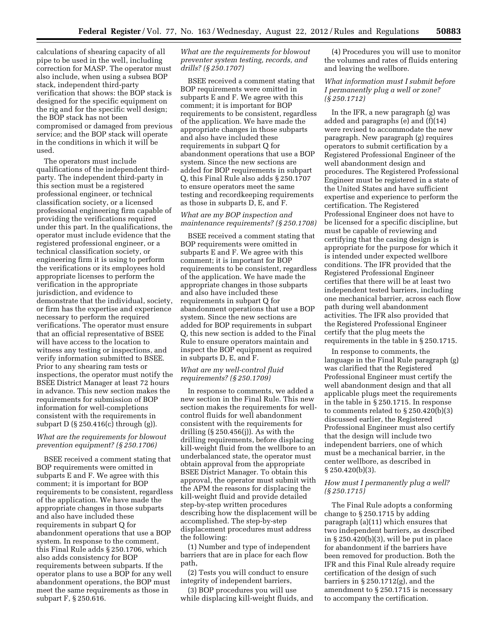calculations of shearing capacity of all pipe to be used in the well, including correction for MASP. The operator must also include, when using a subsea BOP stack, independent third-party verification that shows: the BOP stack is designed for the specific equipment on the rig and for the specific well design; the BOP stack has not been compromised or damaged from previous service; and the BOP stack will operate in the conditions in which it will be used.

The operators must include qualifications of the independent thirdparty. The independent third-party in this section must be a registered professional engineer, or technical classification society, or a licensed professional engineering firm capable of providing the verifications required under this part. In the qualifications, the operator must include evidence that the registered professional engineer, or a technical classification society, or engineering firm it is using to perform the verifications or its employees hold appropriate licenses to perform the verification in the appropriate jurisdiction, and evidence to demonstrate that the individual, society, or firm has the expertise and experience necessary to perform the required verifications. The operator must ensure that an official representative of BSEE will have access to the location to witness any testing or inspections, and verify information submitted to BSEE. Prior to any shearing ram tests or inspections, the operator must notify the BSEE District Manager at least 72 hours in advance. This new section makes the requirements for submission of BOP information for well-completions consistent with the requirements in subpart D (§ 250.416(c) through (g)).

#### *What are the requirements for blowout prevention equipment? (§ 250.1706)*

BSEE received a comment stating that BOP requirements were omitted in subparts E and F. We agree with this comment; it is important for BOP requirements to be consistent, regardless of the application. We have made the appropriate changes in those subparts and also have included these requirements in subpart Q for abandonment operations that use a BOP system. In response to the comment, this Final Rule adds § 250.1706, which also adds consistency for BOP requirements between subparts. If the operator plans to use a BOP for any well abandonment operations, the BOP must meet the same requirements as those in subpart F, § 250.616.

*What are the requirements for blowout preventer system testing, records, and drills? (§ 250.1707)* 

BSEE received a comment stating that BOP requirements were omitted in subparts E and F. We agree with this comment; it is important for BOP requirements to be consistent, regardless of the application. We have made the appropriate changes in those subparts and also have included these requirements in subpart Q for abandonment operations that use a BOP system. Since the new sections are added for BOP requirements in subpart Q, this Final Rule also adds § 250.1707 to ensure operators meet the same testing and recordkeeping requirements as those in subparts D, E, and F.

#### *What are my BOP inspection and maintenance requirements? (§ 250.1708)*

BSEE received a comment stating that BOP requirements were omitted in subparts E and F. We agree with this comment; it is important for BOP requirements to be consistent, regardless of the application. We have made the appropriate changes in those subparts and also have included these requirements in subpart Q for abandonment operations that use a BOP system. Since the new sections are added for BOP requirements in subpart Q, this new section is added to the Final Rule to ensure operators maintain and inspect the BOP equipment as required in subparts D, E, and F.

#### *What are my well-control fluid requirements? (§ 250.1709)*

In response to comments, we added a new section in the Final Rule. This new section makes the requirements for wellcontrol fluids for well abandonment consistent with the requirements for drilling (§ 250.456(j)). As with the drilling requirements, before displacing kill-weight fluid from the wellbore to an underbalanced state, the operator must obtain approval from the appropriate BSEE District Manager. To obtain this approval, the operator must submit with the APM the reasons for displacing the kill-weight fluid and provide detailed step-by-step written procedures describing how the displacement will be accomplished. The step-by-step displacement procedures must address the following:

(1) Number and type of independent barriers that are in place for each flow path,

(2) Tests you will conduct to ensure integrity of independent barriers,

(3) BOP procedures you will use while displacing kill-weight fluids, and

(4) Procedures you will use to monitor the volumes and rates of fluids entering and leaving the wellbore.

#### *What information must I submit before I permanently plug a well or zone? (§ 250.1712)*

In the IFR, a new paragraph (g) was added and paragraphs (e) and (f)(14) were revised to accommodate the new paragraph. New paragraph (g) requires operators to submit certification by a Registered Professional Engineer of the well abandonment design and procedures. The Registered Professional Engineer must be registered in a state of the United States and have sufficient expertise and experience to perform the certification. The Registered Professional Engineer does not have to be licensed for a specific discipline, but must be capable of reviewing and certifying that the casing design is appropriate for the purpose for which it is intended under expected wellbore conditions. The IFR provided that the Registered Professional Engineer certifies that there will be at least two independent tested barriers, including one mechanical barrier, across each flow path during well abandonment activities. The IFR also provided that the Registered Professional Engineer certify that the plug meets the requirements in the table in § 250.1715.

In response to comments, the language in the Final Rule paragraph (g) was clarified that the Registered Professional Engineer must certify the well abandonment design and that all applicable plugs meet the requirements in the table in § 250.1715. In response to comments related to § 250.420(b)(3) discussed earlier, the Registered Professional Engineer must also certify that the design will include two independent barriers, one of which must be a mechanical barrier, in the center wellbore, as described in § 250.420(b)(3).

#### *How must I permanently plug a well? (§ 250.1715)*

The Final Rule adopts a conforming change to § 250.1715 by adding paragraph (a)(11) which ensures that two independent barriers, as described in  $\S 250.420(b)(3)$ , will be put in place for abandonment if the barriers have been removed for production. Both the IFR and this Final Rule already require certification of the design of such barriers in § 250.1712(g), and the amendment to § 250.1715 is necessary to accompany the certification.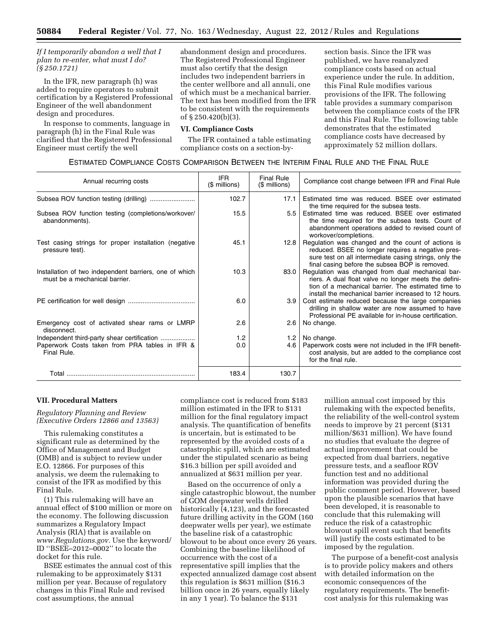#### *If I temporarily abandon a well that I plan to re-enter, what must I do? (§ 250.1721)*

In the IFR, new paragraph (h) was added to require operators to submit certification by a Registered Professional Engineer of the well abandonment design and procedures.

In response to comments, language in paragraph (h) in the Final Rule was clarified that the Registered Professional Engineer must certify the well

abandonment design and procedures. The Registered Professional Engineer must also certify that the design includes two independent barriers in the center wellbore and all annuli, one of which must be a mechanical barrier. The text has been modified from the IFR to be consistent with the requirements of § 250.420(b)(3).

#### **VI. Compliance Costs**

The IFR contained a table estimating compliance costs on a section-by-

section basis. Since the IFR was published, we have reanalyzed compliance costs based on actual experience under the rule. In addition, this Final Rule modifies various provisions of the IFR. The following table provides a summary comparison between the compliance costs of the IFR and this Final Rule. The following table demonstrates that the estimated compliance costs have decreased by approximately 52 million dollars.

#### ESTIMATED COMPLIANCE COSTS COMPARISON BETWEEN THE INTERIM FINAL RULE AND THE FINAL RULE

| Annual recurring costs                                                                  | <b>IFR</b><br>$$$ millions) | <b>Final Rule</b><br>(\$ millions) | Compliance cost change between IFR and Final Rule                                                                                                                                                                         |
|-----------------------------------------------------------------------------------------|-----------------------------|------------------------------------|---------------------------------------------------------------------------------------------------------------------------------------------------------------------------------------------------------------------------|
|                                                                                         | 102.7                       | 17.1                               | Estimated time was reduced. BSEE over estimated<br>the time required for the subsea tests.                                                                                                                                |
| Subsea ROV function testing (completions/workover/<br>abandonments).                    | 15.5                        |                                    | 5.5 Estimated time was reduced. BSEE over estimated<br>the time required for the subsea tests. Count of<br>abandonment operations added to revised count of<br>workover/completions.                                      |
| Test casing strings for proper installation (negative<br>pressure test).                | 45.1                        | 12.8                               | Regulation was changed and the count of actions is<br>reduced. BSEE no longer requires a negative pres-<br>sure test on all intermediate casing strings, only the<br>final casing before the subsea BOP is removed.       |
| Installation of two independent barriers, one of which<br>must be a mechanical barrier. | 10.3                        | 83.0                               | Regulation was changed from dual mechanical bar-<br>riers. A dual float valve no longer meets the defini-<br>tion of a mechanical barrier. The estimated time to<br>install the mechanical barrier increased to 12 hours. |
|                                                                                         | 6.0                         |                                    | 3.9   Cost estimate reduced because the large companies<br>drilling in shallow water are now assumed to have<br>Professional PE available for in-house certification.                                                     |
| Emergency cost of activated shear rams or LMRP<br>disconnect.                           | 2.6                         | 2.6                                | No change.                                                                                                                                                                                                                |
| Independent third-party shear certification                                             | 1.2                         | 1.2 <sub>1</sub>                   | No change.                                                                                                                                                                                                                |
| Paperwork Costs taken from PRA tables in IFR &<br>Final Rule.                           | 0.0                         | 4.6                                | Paperwork costs were not included in the IFR benefit-<br>cost analysis, but are added to the compliance cost<br>for the final rule.                                                                                       |
| Total                                                                                   | 183.4                       | 130.7                              |                                                                                                                                                                                                                           |

#### **VII. Procedural Matters**

*Regulatory Planning and Review (Executive Orders 12866 and 13563)* 

This rulemaking constitutes a significant rule as determined by the Office of Management and Budget (OMB) and is subject to review under E.O. 12866. For purposes of this analysis, we deem the rulemaking to consist of the IFR as modified by this Final Rule.

(1) This rulemaking will have an annual effect of \$100 million or more on the economy. The following discussion summarizes a Regulatory Impact Analysis (RIA) that is available on *[www.Regulations.gov.](http://www.Regulations.gov)* Use the keyword/ ID ''BSEE–2012–0002'' to locate the docket for this rule.

BSEE estimates the annual cost of this rulemaking to be approximately \$131 million per year. Because of regulatory changes in this Final Rule and revised cost assumptions, the annual

compliance cost is reduced from \$183 million estimated in the IFR to \$131 million for the final regulatory impact analysis. The quantification of benefits is uncertain, but is estimated to be represented by the avoided costs of a catastrophic spill, which are estimated under the stipulated scenario as being \$16.3 billion per spill avoided and annualized at \$631 million per year.

Based on the occurrence of only a single catastrophic blowout, the number of GOM deepwater wells drilled historically  $(4,123)$ , and the forecasted future drilling activity in the GOM (160 deepwater wells per year), we estimate the baseline risk of a catastrophic blowout to be about once every 26 years. Combining the baseline likelihood of occurrence with the cost of a representative spill implies that the expected annualized damage cost absent this regulation is \$631 million (\$16.3 billion once in 26 years, equally likely in any 1 year). To balance the \$131

million annual cost imposed by this rulemaking with the expected benefits, the reliability of the well-control system needs to improve by 21 percent (\$131 million/\$631 million). We have found no studies that evaluate the degree of actual improvement that could be expected from dual barriers, negative pressure tests, and a seafloor ROV function test and no additional information was provided during the public comment period. However, based upon the plausible scenarios that have been developed, it is reasonable to conclude that this rulemaking will reduce the risk of a catastrophic blowout spill event such that benefits will justify the costs estimated to be imposed by the regulation.

The purpose of a benefit-cost analysis is to provide policy makers and others with detailed information on the economic consequences of the regulatory requirements. The benefitcost analysis for this rulemaking was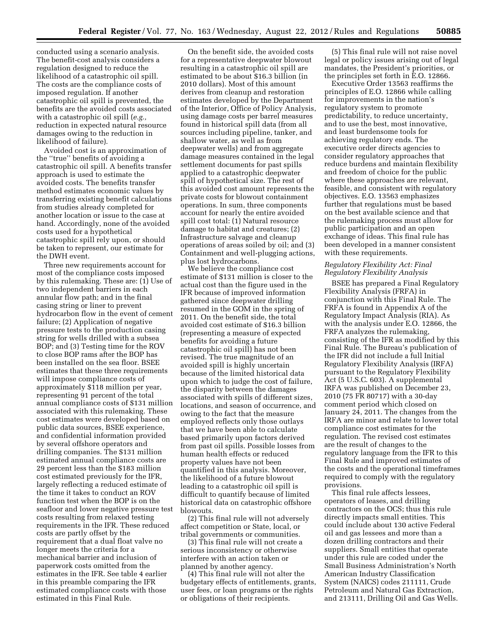conducted using a scenario analysis. The benefit-cost analysis considers a regulation designed to reduce the likelihood of a catastrophic oil spill. The costs are the compliance costs of imposed regulation. If another catastrophic oil spill is prevented, the benefits are the avoided costs associated with a catastrophic oil spill (*e.g.,*  reduction in expected natural resource damages owing to the reduction in likelihood of failure).

Avoided cost is an approximation of the ''true'' benefits of avoiding a catastrophic oil spill. A benefits transfer approach is used to estimate the avoided costs. The benefits transfer method estimates economic values by transferring existing benefit calculations from studies already completed for another location or issue to the case at hand. Accordingly, none of the avoided costs used for a hypothetical catastrophic spill rely upon, or should be taken to represent, our estimate for the DWH event.

Three new requirements account for most of the compliance costs imposed by this rulemaking. These are: (1) Use of two independent barriers in each annular flow path; and in the final casing string or liner to prevent hydrocarbon flow in the event of cement failure; (2) Application of negative pressure tests to the production casing string for wells drilled with a subsea BOP; and (3) Testing time for the ROV to close BOP rams after the BOP has been installed on the sea floor. BSEE estimates that these three requirements will impose compliance costs of approximately \$118 million per year, representing 91 percent of the total annual compliance costs of \$131 million associated with this rulemaking. These cost estimates were developed based on public data sources, BSEE experience, and confidential information provided by several offshore operators and drilling companies. The \$131 million estimated annual compliance costs are 29 percent less than the \$183 million cost estimated previously for the IFR, largely reflecting a reduced estimate of the time it takes to conduct an ROV function test when the BOP is on the seafloor and lower negative pressure test costs resulting from relaxed testing requirements in the IFR. These reduced costs are partly offset by the requirement that a dual float valve no longer meets the criteria for a mechanical barrier and inclusion of paperwork costs omitted from the estimates in the IFR. See table 4 earlier in this preamble comparing the IFR estimated compliance costs with those estimated in this Final Rule.

On the benefit side, the avoided costs for a representative deepwater blowout resulting in a catastrophic oil spill are estimated to be about \$16.3 billion (in 2010 dollars). Most of this amount derives from cleanup and restoration estimates developed by the Department of the Interior, Office of Policy Analysis, using damage costs per barrel measures found in historical spill data (from all sources including pipeline, tanker, and shallow water, as well as from deepwater wells) and from aggregate damage measures contained in the legal settlement documents for past spills applied to a catastrophic deepwater spill of hypothetical size. The rest of this avoided cost amount represents the private costs for blowout containment operations. In sum, three components account for nearly the entire avoided spill cost total: (1) Natural resource damage to habitat and creatures; (2) Infrastructure salvage and cleanup operations of areas soiled by oil; and (3) Containment and well-plugging actions, plus lost hydrocarbons.

We believe the compliance cost estimate of \$131 million is closer to the actual cost than the figure used in the IFR because of improved information gathered since deepwater drilling resumed in the GOM in the spring of 2011. On the benefit side, the total avoided cost estimate of \$16.3 billion (representing a measure of expected benefits for avoiding a future catastrophic oil spill) has not been revised. The true magnitude of an avoided spill is highly uncertain because of the limited historical data upon which to judge the cost of failure, the disparity between the damages associated with spills of different sizes, locations, and season of occurrence, and owing to the fact that the measure employed reflects only those outlays that we have been able to calculate based primarily upon factors derived from past oil spills. Possible losses from human health effects or reduced property values have not been quantified in this analysis. Moreover, the likelihood of a future blowout leading to a catastrophic oil spill is difficult to quantify because of limited historical data on catastrophic offshore blowouts.

(2) This final rule will not adversely affect competition or State, local, or tribal governments or communities.

(3) This final rule will not create a serious inconsistency or otherwise interfere with an action taken or planned by another agency.

(4) This final rule will not alter the budgetary effects of entitlements, grants, user fees, or loan programs or the rights or obligations of their recipients.

(5) This final rule will not raise novel legal or policy issues arising out of legal mandates, the President's priorities, or the principles set forth in E.O. 12866.

Executive Order 13563 reaffirms the principles of E.O. 12866 while calling for improvements in the nation's regulatory system to promote predictability, to reduce uncertainty, and to use the best, most innovative, and least burdensome tools for achieving regulatory ends. The executive order directs agencies to consider regulatory approaches that reduce burdens and maintain flexibility and freedom of choice for the public where these approaches are relevant, feasible, and consistent with regulatory objectives. E.O. 13563 emphasizes further that regulations must be based on the best available science and that the rulemaking process must allow for public participation and an open exchange of ideas. This final rule has been developed in a manner consistent with these requirements.

#### *Regulatory Flexibility Act: Final Regulatory Flexibility Analysis*

BSEE has prepared a Final Regulatory Flexibility Analysis (FRFA) in conjunction with this Final Rule. The FRFA is found in Appendix A of the Regulatory Impact Analysis (RIA). As with the analysis under E.O. 12866, the FRFA analyzes the rulemaking, consisting of the IFR as modified by this Final Rule. The Bureau's publication of the IFR did not include a full Initial Regulatory Flexibility Analysis (IRFA) pursuant to the Regulatory Flexibility Act (5 U.S.C. 603). A supplemental IRFA was published on December 23, 2010 (75 FR 80717) with a 30-day comment period which closed on January 24, 2011. The changes from the IRFA are minor and relate to lower total compliance cost estimates for the regulation. The revised cost estimates are the result of changes to the regulatory language from the IFR to this Final Rule and improved estimates of the costs and the operational timeframes required to comply with the regulatory provisions.

This final rule affects lessees, operators of leases, and drilling contractors on the OCS; thus this rule directly impacts small entities. This could include about 130 active Federal oil and gas lessees and more than a dozen drilling contractors and their suppliers. Small entities that operate under this rule are coded under the Small Business Administration's North American Industry Classification System (NAICS) codes 211111, Crude Petroleum and Natural Gas Extraction, and 213111, Drilling Oil and Gas Wells.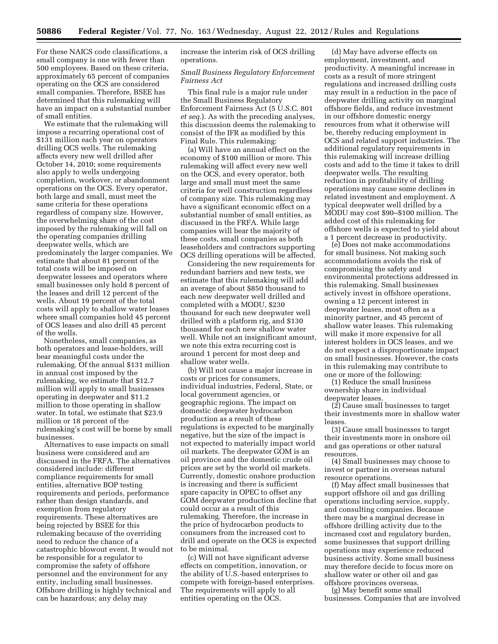For these NAICS code classifications, a small company is one with fewer than 500 employees. Based on these criteria, approximately 65 percent of companies operating on the OCS are considered small companies. Therefore, BSEE has determined that this rulemaking will have an impact on a substantial number of small entities.

We estimate that the rulemaking will impose a recurring operational cost of \$131 million each year on operators drilling OCS wells. The rulemaking affects every new well drilled after October 14, 2010; some requirements also apply to wells undergoing completion, workover, or abandonment operations on the OCS. Every operator, both large and small, must meet the same criteria for these operations regardless of company size. However, the overwhelming share of the cost imposed by the rulemaking will fall on the operating companies drilling deepwater wells, which are predominately the larger companies. We estimate that about 81 percent of the total costs will be imposed on deepwater lessees and operators where small businesses only hold 8 percent of the leases and drill 12 percent of the wells. About 19 percent of the total costs will apply to shallow water leases where small companies hold 45 percent of OCS leases and also drill 45 percent of the wells.

Nonetheless, small companies, as both operators and lease-holders, will bear meaningful costs under the rulemaking. Of the annual \$131 million in annual cost imposed by the rulemaking, we estimate that \$12.7 million will apply to small businesses operating in deepwater and \$11.2 million to those operating in shallow water. In total, we estimate that \$23.9 million or 18 percent of the rulemaking's cost will be borne by small businesses.

Alternatives to ease impacts on small business were considered and are discussed in the FRFA. The alternatives considered include: different compliance requirements for small entities, alternative BOP testing requirements and periods, performance rather than design standards, and exemption from regulatory requirements. These alternatives are being rejected by BSEE for this rulemaking because of the overriding need to reduce the chance of a catastrophic blowout event. It would not be responsible for a regulator to compromise the safety of offshore personnel and the environment for any entity, including small businesses. Offshore drilling is highly technical and can be hazardous; any delay may

increase the interim risk of OCS drilling operations.

#### *Small Business Regulatory Enforcement Fairness Act*

This final rule is a major rule under the Small Business Regulatory Enforcement Fairness Act (5 U.S.C. 801 *et seq.*). As with the preceding analyses, this discussion deems the rulemaking to consist of the IFR as modified by this Final Rule. This rulemaking:

(a) Will have an annual effect on the economy of \$100 million or more. This rulemaking will affect every new well on the OCS, and every operator, both large and small must meet the same criteria for well construction regardless of company size. This rulemaking may have a significant economic effect on a substantial number of small entities, as discussed in the FRFA. While large companies will bear the majority of these costs, small companies as both leaseholders and contractors supporting OCS drilling operations will be affected.

Considering the new requirements for redundant barriers and new tests, we estimate that this rulemaking will add an average of about \$850 thousand to each new deepwater well drilled and completed with a MODU, \$230 thousand for each new deepwater well drilled with a platform rig, and \$130 thousand for each new shallow water well. While not an insignificant amount, we note this extra recurring cost is around 1 percent for most deep and shallow water wells.

(b) Will not cause a major increase in costs or prices for consumers, individual industries, Federal, State, or local government agencies, or geographic regions. The impact on domestic deepwater hydrocarbon production as a result of these regulations is expected to be marginally negative, but the size of the impact is not expected to materially impact world oil markets. The deepwater GOM is an oil province and the domestic crude oil prices are set by the world oil markets. Currently, domestic onshore production is increasing and there is sufficient spare capacity in OPEC to offset any GOM deepwater production decline that could occur as a result of this rulemaking. Therefore, the increase in the price of hydrocarbon products to consumers from the increased cost to drill and operate on the OCS is expected to be minimal.

(c) Will not have significant adverse effects on competition, innovation, or the ability of U.S.-based enterprises to compete with foreign-based enterprises. The requirements will apply to all entities operating on the OCS.

(d) May have adverse effects on employment, investment, and productivity. A meaningful increase in costs as a result of more stringent regulations and increased drilling costs may result in a reduction in the pace of deepwater drilling activity on marginal offshore fields, and reduce investment in our offshore domestic energy resources from what it otherwise will be, thereby reducing employment in OCS and related support industries. The additional regulatory requirements in this rulemaking will increase drilling costs and add to the time it takes to drill deepwater wells. The resulting reduction in profitability of drilling operations may cause some declines in related investment and employment. A typical deepwater well drilled by a MODU may cost \$90–\$100 million. The added cost of this rulemaking for offshore wells is expected to yield about a 1 percent decrease in productivity.

(e) Does not make accommodations for small business. Not making such accommodations avoids the risk of compromising the safety and environmental protections addressed in this rulemaking. Small businesses actively invest in offshore operations, owning a 12 percent interest in deepwater leases, most often as a minority partner, and 45 percent of shallow water leases. This rulemaking will make it more expensive for all interest holders in OCS leases, and we do not expect a disproportionate impact on small businesses. However, the costs in this rulemaking may contribute to one or more of the following:

(1) Reduce the small business ownership share in individual deepwater leases.

(2) Cause small businesses to target their investments more in shallow water leases.

(3) Cause small businesses to target their investments more in onshore oil and gas operations or other natural resources.

(4) Small businesses may choose to invest or partner in overseas natural resource operations.

(f) May affect small businesses that support offshore oil and gas drilling operations including service, supply, and consulting companies. Because there may be a marginal decrease in offshore drilling activity due to the increased cost and regulatory burden, some businesses that support drilling operations may experience reduced business activity. Some small business may therefore decide to focus more on shallow water or other oil and gas offshore provinces overseas.

(g) May benefit some small businesses. Companies that are involved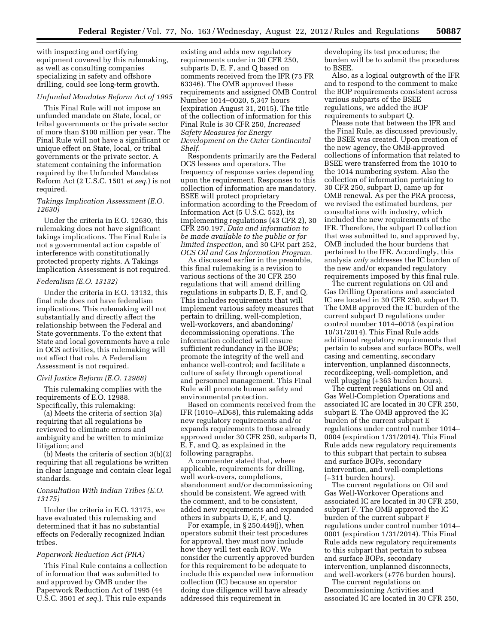with inspecting and certifying equipment covered by this rulemaking, as well as consulting companies specializing in safety and offshore drilling, could see long-term growth.

#### *Unfunded Mandates Reform Act of 1995*

This Final Rule will not impose an unfunded mandate on State, local, or tribal governments or the private sector of more than \$100 million per year. The Final Rule will not have a significant or unique effect on State, local, or tribal governments or the private sector. A statement containing the information required by the Unfunded Mandates Reform Act (2 U.S.C. 1501 *et seq.*) is not required.

#### *Takings Implication Assessment (E.O. 12630)*

Under the criteria in E.O. 12630, this rulemaking does not have significant takings implications. The Final Rule is not a governmental action capable of interference with constitutionally protected property rights. A Takings Implication Assessment is not required.

#### *Federalism (E.O. 13132)*

Under the criteria in E.O. 13132, this final rule does not have federalism implications. This rulemaking will not substantially and directly affect the relationship between the Federal and State governments. To the extent that State and local governments have a role in OCS activities, this rulemaking will not affect that role. A Federalism Assessment is not required.

#### *Civil Justice Reform (E.O. 12988)*

This rulemaking complies with the requirements of E.O. 12988. Specifically, this rulemaking:

(a) Meets the criteria of section 3(a) requiring that all regulations be reviewed to eliminate errors and ambiguity and be written to minimize litigation; and

(b) Meets the criteria of section 3(b)(2) requiring that all regulations be written in clear language and contain clear legal standards.

#### *Consultation With Indian Tribes (E.O. 13175)*

Under the criteria in E.O. 13175, we have evaluated this rulemaking and determined that it has no substantial effects on Federally recognized Indian tribes.

#### *Paperwork Reduction Act (PRA)*

This Final Rule contains a collection of information that was submitted to and approved by OMB under the Paperwork Reduction Act of 1995 (44 U.S.C. 3501 *et seq.*). This rule expands

existing and adds new regulatory requirements under in 30 CFR 250, subparts D, E, F, and Q based on comments received from the IFR (75 FR 63346). The OMB approved these requirements and assigned OMB Control Number 1014–0020, 5,347 hours (expiration August 31, 2015). The title of the collection of information for this Final Rule is 30 CFR 250, *Increased Safety Measures for Energy Development on the Outer Continental Shelf.* 

Respondents primarily are the Federal OCS lessees and operators. The frequency of response varies depending upon the requirement. Responses to this collection of information are mandatory. BSEE will protect proprietary information according to the Freedom of Information Act (5 U.S.C. 552), its implementing regulations (43 CFR 2), 30 CFR 250.197, *Data and information to be made available to the public or for limited inspection,* and 30 CFR part 252, *OCS Oil and Gas Information Program.* 

As discussed earlier in the preamble, this final rulemaking is a revision to various sections of the 30 CFR 250 regulations that will amend drilling regulations in subparts D, E, F, and Q. This includes requirements that will implement various safety measures that pertain to drilling, well-completion, well-workovers, and abandoning/ decommissioning operations. The information collected will ensure sufficient redundancy in the BOPs; promote the integrity of the well and enhance well-control; and facilitate a culture of safety through operational and personnel management. This Final Rule will promote human safety and environmental protection.

Based on comments received from the IFR (1010–AD68), this rulemaking adds new regulatory requirements and/or expands requirements to those already approved under 30 CFR 250, subparts D, E, F, and Q, as explained in the following paragraphs.

A commenter stated that, where applicable, requirements for drilling, well work-overs, completions, abandonment and/or decommissioning should be consistent. We agreed with the comment, and to be consistent, added new requirements and expanded others in subparts D, E, F, and Q.

For example, in § 250.449(j), when operators submit their test procedures for approval, they must now include how they will test each ROV. We consider the currently approved burden for this requirement to be adequate to include this expanded new information collection (IC) because an operator doing due diligence will have already addressed this requirement in

developing its test procedures; the burden will be to submit the procedures to BSEE.

Also, as a logical outgrowth of the IFR and to respond to the comment to make the BOP requirements consistent across various subparts of the BSEE regulations, we added the BOP requirements to subpart Q.

Please note that between the IFR and the Final Rule, as discussed previously, the BSEE was created. Upon creation of the new agency, the OMB-approved collections of information that related to BSEE were transferred from the 1010 to the 1014 numbering system. Also the collection of information pertaining to 30 CFR 250, subpart D, came up for OMB renewal. As per the PRA process, we revised the estimated burdens, per consultations with industry, which included the new requirements of the IFR. Therefore, the subpart D collection that was submitted to, and approved by, OMB included the hour burdens that pertained to the IFR. Accordingly, this analysis *only* addresses the IC burden of the new and/or expanded regulatory requirements imposed by this final rule.

The current regulations on Oil and Gas Drilling Operations and associated IC are located in 30 CFR 250, subpart D. The OMB approved the IC burden of the current subpart D regulations under control number 1014–0018 (expiration 10/31/2014). This Final Rule adds additional regulatory requirements that pertain to subsea and surface BOPs, well casing and cementing, secondary intervention, unplanned disconnects, recordkeeping, well-completion, and well plugging (+363 burden hours).

The current regulations on Oil and Gas Well-Completion Operations and associated IC are located in 30 CFR 250, subpart E. The OMB approved the IC burden of the current subpart E regulations under control number 1014– 0004 (expiration 1/31/2014). This Final Rule adds new regulatory requirements to this subpart that pertain to subsea and surface BOPs, secondary intervention, and well-completions (+311 burden hours).

The current regulations on Oil and Gas Well-Workover Operations and associated IC are located in 30 CFR 250, subpart F. The OMB approved the IC burden of the current subpart F regulations under control number 1014– 0001 (expiration 1/31/2014). This Final Rule adds new regulatory requirements to this subpart that pertain to subsea and surface BOPs, secondary intervention, unplanned disconnects, and well-workers (+776 burden hours).

The current regulations on Decommissioning Activities and associated IC are located in 30 CFR 250,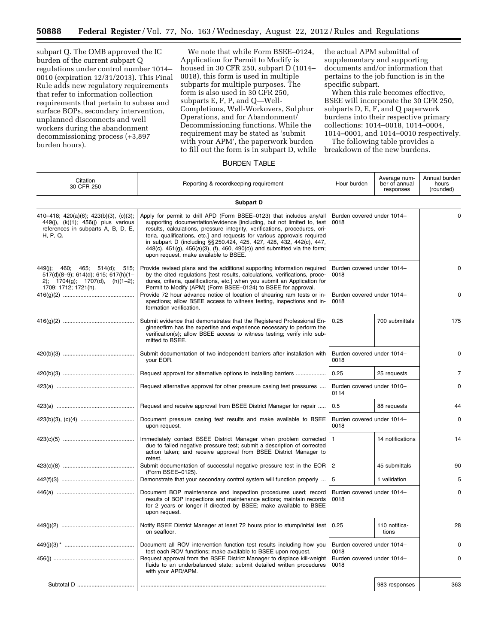subpart Q. The OMB approved the IC burden of the current subpart Q regulations under control number 1014– 0010 (expiration 12/31/2013). This Final Rule adds new regulatory requirements that refer to information collection requirements that pertain to subsea and surface BOPs, secondary intervention, unplanned disconnects and well workers during the abandonment decommissioning process (+3,897 burden hours).

We note that while Form BSEE–0124, Application for Permit to Modify is housed in 30 CFR 250, subpart D (1014– 0018), this form is used in multiple subparts for multiple purposes. The form is also used in 30 CFR 250, subparts E, F, P, and Q—Well-Completions, Well-Workovers, Sulphur Operations, and for Abandonment/ Decommissioning functions. While the requirement may be stated as 'submit with your APM', the paperwork burden to fill out the form is in subpart D, while the actual APM submittal of supplementary and supporting documents and/or information that pertains to the job function is in the specific subpart.

When this rule becomes effective, BSEE will incorporate the 30 CFR 250, subparts D, E, F, and Q paperwork burdens into their respective primary collections: 1014–0018, 1014–0004, 1014–0001, and 1014–0010 respectively.

The following table provides a breakdown of the new burdens.

#### BURDEN TABLE

| Citation<br>30 CFR 250                                                                                                                                                                                                                                              | Hour burden                                                                                                                                                                                                                            | Average num-<br>ber of annual<br>responses | Annual burden<br>hours<br>(rounded) |             |
|---------------------------------------------------------------------------------------------------------------------------------------------------------------------------------------------------------------------------------------------------------------------|----------------------------------------------------------------------------------------------------------------------------------------------------------------------------------------------------------------------------------------|--------------------------------------------|-------------------------------------|-------------|
|                                                                                                                                                                                                                                                                     | Subpart D                                                                                                                                                                                                                              |                                            |                                     |             |
| 410–418; 420(a)(6); 423(b)(3), (c)(3);<br>449(j), (k)(1); 456(j) plus various<br>references in subparts A, B, D, E,<br>H, P, Q.                                                                                                                                     | Burden covered under 1014-<br>0018                                                                                                                                                                                                     |                                            | $\mathbf 0$                         |             |
| 449(j); 460; 465; 514(d); 515;<br>517(d)(8-9); 614(d); 615; 617(h)(1-<br>2); $1704(g)$ ; $1707(d)$ , $(h)(1-2)$ ;<br>1709; 1712; 1721(h).                                                                                                                           | Burden covered under 1014-<br>0018<br>Burden covered under 1014-<br>0018                                                                                                                                                               |                                            | 0<br>0                              |             |
|                                                                                                                                                                                                                                                                     | 0.25                                                                                                                                                                                                                                   | 700 submittals                             | 175                                 |             |
|                                                                                                                                                                                                                                                                     | Submit documentation of two independent barriers after installation with<br>your EOR.                                                                                                                                                  | Burden covered under 1014-                 | 0                                   |             |
|                                                                                                                                                                                                                                                                     | Request approval for alternative options to installing barriers                                                                                                                                                                        | 0.25                                       | 25 requests                         | 7           |
|                                                                                                                                                                                                                                                                     | Request alternative approval for other pressure casing test pressures                                                                                                                                                                  | Burden covered under 1010-<br>0114         |                                     | 0           |
|                                                                                                                                                                                                                                                                     | Request and receive approval from BSEE District Manager for repair                                                                                                                                                                     | 0.5                                        | 88 requests                         | 44          |
|                                                                                                                                                                                                                                                                     | Document pressure casing test results and make available to BSEE<br>upon request.                                                                                                                                                      | Burden covered under 1014-<br>0018         |                                     | 0           |
|                                                                                                                                                                                                                                                                     | Immediately contact BSEE District Manager when problem corrected<br>due to failed negative pressure test; submit a description of corrected<br>action taken; and receive approval from BSEE District Manager to<br>retest.             | $\mathbf{1}$                               | 14 notifications                    | 14          |
|                                                                                                                                                                                                                                                                     | Submit documentation of successful negative pressure test in the EOR<br>(Form BSEE-0125).                                                                                                                                              | 2                                          | 45 submittals                       | 90          |
|                                                                                                                                                                                                                                                                     | Demonstrate that your secondary control system will function properly                                                                                                                                                                  | 5                                          | 1 validation                        | 5           |
| Document BOP maintenance and inspection procedures used; record<br>Burden covered under 1014-<br>results of BOP inspections and maintenance actions; maintain records<br>0018<br>for 2 years or longer if directed by BSEE; make available to BSEE<br>upon request. |                                                                                                                                                                                                                                        |                                            |                                     | $\mathbf 0$ |
|                                                                                                                                                                                                                                                                     | Notify BSEE District Manager at least 72 hours prior to stump/initial test<br>on seafloor.                                                                                                                                             | 0.25                                       | 110 notifica-<br>tions              | 28          |
|                                                                                                                                                                                                                                                                     | Document all ROV intervention function test results including how you                                                                                                                                                                  | Burden covered under 1014-<br>0018         |                                     | O           |
|                                                                                                                                                                                                                                                                     | test each ROV functions; make available to BSEE upon request.<br>Request approval from the BSEE District Manager to displace kill-weight<br>fluids to an underbalanced state; submit detailed written procedures<br>with your APD/APM. | Burden covered under 1014-<br>0018         | 0                                   |             |
|                                                                                                                                                                                                                                                                     |                                                                                                                                                                                                                                        |                                            | 983 responses                       | 363         |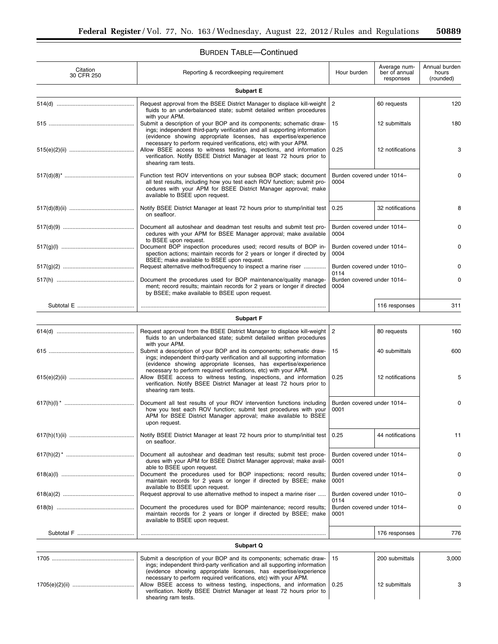# BURDEN TABLE—Continued

| Citation<br>30 CFR 250 | Hour burden                                                                                                                                                                                                                                                                               | Average num-<br>ber of annual<br>responses | Annual burden<br>hours<br>(rounded) |       |
|------------------------|-------------------------------------------------------------------------------------------------------------------------------------------------------------------------------------------------------------------------------------------------------------------------------------------|--------------------------------------------|-------------------------------------|-------|
|                        | <b>Subpart E</b>                                                                                                                                                                                                                                                                          |                                            |                                     |       |
|                        | Request approval from the BSEE District Manager to displace kill-weight<br>fluids to an underbalanced state; submit detailed written procedures                                                                                                                                           | $\overline{2}$                             | 60 requests                         | 120   |
|                        | with your APM.<br>Submit a description of your BOP and its components; schematic draw-<br>ings; independent third-party verification and all supporting information<br>(evidence showing appropriate licenses, has expertise/experience                                                   | 15                                         | 12 submittals                       | 180   |
|                        | necessary to perform required verifications, etc) with your APM.<br>Allow BSEE access to witness testing, inspections, and information<br>verification. Notify BSEE District Manager at least 72 hours prior to<br>shearing ram tests.                                                    | 0.25                                       | 12 notifications                    | 3     |
|                        | Function test ROV interventions on your subsea BOP stack; document<br>all test results, including how you test each ROV function; submit pro-<br>cedures with your APM for BSEE District Manager approval; make<br>available to BSEE upon request.                                        | Burden covered under 1014-<br>0004         |                                     | 0     |
|                        | Notify BSEE District Manager at least 72 hours prior to stump/initial test<br>on seafloor.                                                                                                                                                                                                | 0.25                                       | 32 notifications                    | 8     |
|                        | Document all autoshear and deadman test results and submit test pro-<br>cedures with your APM for BSEE Manager approval; make available<br>to BSEE upon request.                                                                                                                          | Burden covered under 1014-<br>0004         |                                     | 0     |
|                        | Document BOP inspection procedures used; record results of BOP in-<br>spection actions; maintain records for 2 years or longer if directed by<br>BSEE; make available to BSEE upon request.                                                                                               | Burden covered under 1014-<br>0004         |                                     | 0     |
|                        | Request alternative method/frequency to inspect a marine riser                                                                                                                                                                                                                            | Burden covered under 1010-<br>0114         |                                     |       |
|                        | Document the procedures used for BOP maintenance/quality manage-<br>ment; record results; maintain records for 2 years or longer if directed<br>by BSEE; make available to BSEE upon request.                                                                                             | Burden covered under 1014-<br>0004         | 0                                   |       |
|                        |                                                                                                                                                                                                                                                                                           |                                            | 116 responses                       | 311   |
|                        | <b>Subpart F</b>                                                                                                                                                                                                                                                                          |                                            |                                     |       |
|                        | Request approval from the BSEE District Manager to displace kill-weight                                                                                                                                                                                                                   | $\overline{2}$                             | 80 requests                         | 160   |
|                        | fluids to an underbalanced state; submit detailed written procedures<br>with your APM.                                                                                                                                                                                                    |                                            |                                     |       |
|                        | Submit a description of your BOP and its components; schematic draw-<br>ings; independent third-party verification and all supporting information<br>(evidence showing appropriate licenses, has expertise/experience<br>necessary to perform required verifications, etc) with your APM. | 15                                         | 40 submittals                       | 600   |
|                        | Allow BSEE access to witness testing, inspections, and information<br>verification. Notify BSEE District Manager at least 72 hours prior to<br>shearing ram tests.                                                                                                                        | 0.25                                       | 12 notifications                    | 5     |
|                        | Document all test results of your ROV intervention functions including<br>how you test each ROV function; submit test procedures with your<br>APM for BSEE District Manager approval; make available to BSEE<br>upon request.                                                             | Burden covered under 1014-<br>0001         |                                     | 0     |
|                        | Notify BSEE District Manager at least 72 hours prior to stump/initial test<br>on seafloor.                                                                                                                                                                                                | 0.25                                       | 44 notifications                    | 11    |
|                        | Document all autoshear and deadman test results; submit test proce-<br>dures with your APM for BSEE District Manager approval; make avail-<br>able to BSEE upon request.                                                                                                                  | Burden covered under 1014-<br>0001         |                                     | 0     |
|                        | Document the procedures used for BOP inspections; record results;<br>maintain records for 2 years or longer if directed by BSEE; make<br>available to BSEE upon request.                                                                                                                  | Burden covered under 1014-<br>0001         |                                     | 0     |
|                        | Request approval to use alternative method to inspect a marine riser                                                                                                                                                                                                                      | Burden covered under 1010-                 |                                     |       |
|                        | 0114<br>Document the procedures used for BOP maintenance; record results;<br>Burden covered under 1014-<br>maintain records for 2 years or longer if directed by BSEE; make<br>0001<br>available to BSEE upon request.                                                                    |                                            |                                     |       |
|                        |                                                                                                                                                                                                                                                                                           |                                            | 176 responses                       | 776   |
|                        | Subpart Q                                                                                                                                                                                                                                                                                 |                                            |                                     |       |
|                        | Submit a description of your BOP and its components; schematic draw-<br>ings; independent third-party verification and all supporting information<br>(evidence showing appropriate licenses, has expertise/experience<br>necessary to perform required verifications, etc) with your APM. | 15                                         | 200 submittals                      | 3,000 |
|                        | Allow BSEE access to witness testing, inspections, and information<br>verification. Notify BSEE District Manager at least 72 hours prior to<br>shearing ram tests.                                                                                                                        | 0.25                                       | 12 submittals                       | 3     |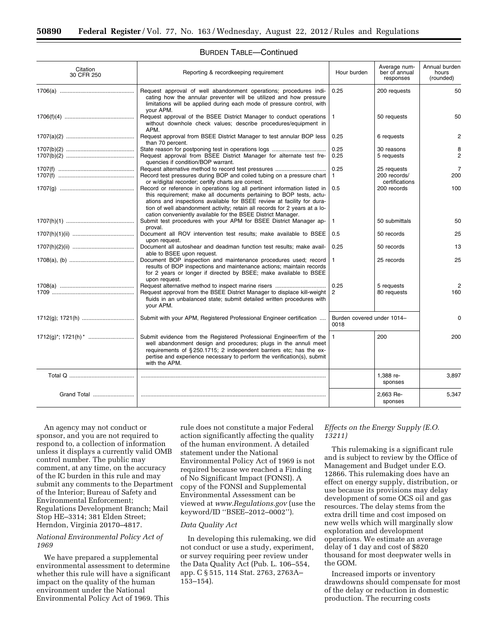| Citation<br>30 CFR 250 | Reporting & recordkeeping requirement                                                                                                                                                                                                                                                                                                                                    | Hour burden                        | Average num-<br>ber of annual<br>responses    | Annual burden<br>hours<br>(rounded) |
|------------------------|--------------------------------------------------------------------------------------------------------------------------------------------------------------------------------------------------------------------------------------------------------------------------------------------------------------------------------------------------------------------------|------------------------------------|-----------------------------------------------|-------------------------------------|
|                        | Request approval of well abandonment operations; procedures indi-<br>cating how the annular preventer will be utilized and how pressure<br>limitations will be applied during each mode of pressure control, with<br>your APM.                                                                                                                                           | 0.25                               | 200 requests                                  | 50                                  |
|                        | Request approval of the BSEE District Manager to conduct operations<br>without downhole check values; describe procedures/equipment in<br>APM.                                                                                                                                                                                                                           | 1                                  | 50 requests                                   | 50                                  |
|                        | Request approval from BSEE District Manager to test annular BOP less<br>than 70 percent.                                                                                                                                                                                                                                                                                 | 0.25                               | 6 requests                                    | $\overline{2}$                      |
|                        | State reason for postponing test in operations logs<br>Request approval from BSEE District Manager for alternate test fre-<br>quencies if condition/BOP warrant.                                                                                                                                                                                                         | 0.25<br>0.25                       | 30 reasons<br>5 requests                      | 8<br>$\overline{2}$                 |
|                        | Record test pressures during BOP and coiled tubing on a pressure chart<br>or w/digital recorder; certify charts are correct.                                                                                                                                                                                                                                             | 0.25<br>1                          | 25 requests<br>200 records/<br>certifications | $\overline{7}$<br>200               |
|                        | Record or reference in operations log all pertinent information listed in<br>this requirement; make all documents pertaining to BOP tests, actu-<br>ations and inspections available for BSEE review at facility for dura-<br>tion of well abandonment activity; retain all records for 2 years at a lo-<br>cation conveniently available for the BSEE District Manager. | 0.5                                | 200 records                                   | 100                                 |
|                        | Submit test procedures with your APM for BSEE District Manager ap-<br>proval.                                                                                                                                                                                                                                                                                            | 1                                  | 50 submittals                                 | 50                                  |
|                        | Document all ROV intervention test results; make available to BSEE<br>upon request.                                                                                                                                                                                                                                                                                      | 0.5                                | 50 records                                    | 25                                  |
|                        | Document all autoshear and deadman function test results; make avail-<br>able to BSEE upon request.                                                                                                                                                                                                                                                                      | 0.25                               | 50 records                                    | 13                                  |
|                        | Document BOP inspection and maintenance procedures used; record<br>results of BOP inspections and maintenance actions; maintain records<br>for 2 years or longer if directed by BSEE; make available to BSEE<br>upon request.                                                                                                                                            | 1                                  | 25 records                                    | 25                                  |
|                        | Request approval from the BSEE District Manager to displace kill-weight<br>fluids in an unbalanced state; submit detailed written procedures with<br>your APM.                                                                                                                                                                                                           | 0.25<br>2                          | 5 requests<br>80 requests                     | $\mathfrak{p}$<br>160               |
|                        | Submit with your APM, Registered Professional Engineer certification                                                                                                                                                                                                                                                                                                     | Burden covered under 1014-<br>0018 |                                               | $\Omega$                            |
|                        | Submit evidence from the Registered Professional Engineer/firm of the<br>well abandonment design and procedures; plugs in the annuli meet<br>requirements of §250.1715; 2 independent barriers etc; has the ex-<br>pertise and experience necessary to perform the verification(s), submit<br>with the APM.                                                              | 1.                                 | 200                                           | 200                                 |
|                        |                                                                                                                                                                                                                                                                                                                                                                          |                                    | 1,388 re-<br>sponses                          | 3,897                               |
| Grand Total            |                                                                                                                                                                                                                                                                                                                                                                          |                                    | 2,663 Re-<br>sponses                          | 5,347                               |

#### BURDEN TABLE—Continued

An agency may not conduct or sponsor, and you are not required to respond to, a collection of information unless it displays a currently valid OMB control number. The public may comment, at any time, on the accuracy of the IC burden in this rule and may submit any comments to the Department of the Interior; Bureau of Safety and Environmental Enforcement; Regulations Development Branch; Mail Stop HE–3314; 381 Elden Street; Herndon, Virginia 20170–4817.

#### *National Environmental Policy Act of 1969*

We have prepared a supplemental environmental assessment to determine whether this rule will have a significant impact on the quality of the human environment under the National Environmental Policy Act of 1969. This

rule does not constitute a major Federal action significantly affecting the quality of the human environment. A detailed statement under the National Environmental Policy Act of 1969 is not required because we reached a Finding of No Significant Impact (FONSI). A copy of the FONSI and Supplemental Environmental Assessment can be viewed at *[www.Regulations.gov](http://www.Regulations.gov)* (use the keyword/ID ''BSEE–2012–0002'').

#### *Data Quality Act*

In developing this rulemaking, we did not conduct or use a study, experiment, or survey requiring peer review under the Data Quality Act (Pub. L. 106–554, app. C § 515, 114 Stat. 2763, 2763A– 153–154).

#### *Effects on the Energy Supply (E.O. 13211)*

This rulemaking is a significant rule and is subject to review by the Office of Management and Budget under E.O. 12866. This rulemaking does have an effect on energy supply, distribution, or use because its provisions may delay development of some OCS oil and gas resources. The delay stems from the extra drill time and cost imposed on new wells which will marginally slow exploration and development operations. We estimate an average delay of 1 day and cost of \$820 thousand for most deepwater wells in the GOM.

Increased imports or inventory drawdowns should compensate for most of the delay or reduction in domestic production. The recurring costs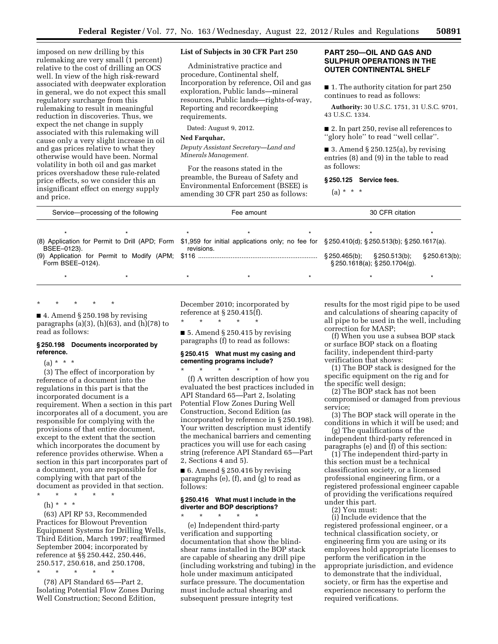imposed on new drilling by this rulemaking are very small (1 percent) relative to the cost of drilling an OCS well. In view of the high risk-reward associated with deepwater exploration in general, we do not expect this small regulatory surcharge from this rulemaking to result in meaningful reduction in discoveries. Thus, we expect the net change in supply associated with this rulemaking will cause only a very slight increase in oil and gas prices relative to what they otherwise would have been. Normal volatility in both oil and gas market prices overshadow these rule-related price effects, so we consider this an insignificant effect on energy supply and price.

#### **List of Subjects in 30 CFR Part 250**

Administrative practice and procedure, Continental shelf, Incorporation by reference, Oil and gas exploration, Public lands—mineral resources, Public lands—rights-of-way, Reporting and recordkeeping requirements.

Dated: August 9, 2012.

#### **Ned Farquhar,**

*Deputy Assistant Secretary—Land and Minerals Management.* 

For the reasons stated in the preamble, the Bureau of Safety and Environmental Enforcement (BSEE) is amending 30 CFR part 250 as follows:

#### **PART 250—OIL AND GAS AND SULPHUR OPERATIONS IN THE OUTER CONTINENTAL SHELF**

■ 1. The authority citation for part 250 continues to read as follows:

**Authority:** 30 U.S.C. 1751, 31 U.S.C. 9701, 43 U.S.C. 1334.

■ 2. In part 250, revise all references to ''glory hole'' to read ''well cellar''.

■ 3. Amend § 250.125(a), by revising entries (8) and (9) in the table to read as follows:

#### **§ 250.125 Service fees.**

 $(a) * * * *$ 

| Service—processing of the following |  | Fee amount |  |  | 30 CFR citation                                                                                                                          |               |  |
|-------------------------------------|--|------------|--|--|------------------------------------------------------------------------------------------------------------------------------------------|---------------|--|
|                                     |  |            |  |  |                                                                                                                                          |               |  |
| BSEE-0123).                         |  | revisions. |  |  | (8) Application for Permit to Drill (APD; Form \$1,959 for initial applications only; no fee for §250.410(d); §250.513(b); §250.1617(a). |               |  |
| Form BSEE-0124).                    |  |            |  |  | $\S 250.465(b)$ ; $\S 250.513(b)$ ;<br>$\S$ 250.1618(a); $\S$ 250.1704(g).                                                               | § 250.613(b); |  |
|                                     |  |            |  |  |                                                                                                                                          |               |  |

## \* \* \* \* \*

 $\blacksquare$  4. Amend § 250.198 by revising paragraphs (a)(3), (h)(63), and (h)(78) to read as follows:

#### **§ 250.198 Documents incorporated by reference.**

 $(a) * * * *$ 

(3) The effect of incorporation by reference of a document into the regulations in this part is that the incorporated document is a requirement. When a section in this part incorporates all of a document, you are responsible for complying with the provisions of that entire document, except to the extent that the section which incorporates the document by reference provides otherwise. When a section in this part incorporates part of a document, you are responsible for complying with that part of the document as provided in that section.

\* \* \* \* \*

(h) \* \* \*

(63) API RP 53, Recommended Practices for Blowout Prevention Equipment Systems for Drilling Wells, Third Edition, March 1997; reaffirmed September 2004; incorporated by reference at §§ 250.442, 250.446, 250.517, 250.618, and 250.1708, \* \* \* \* \*

(78) API Standard 65—Part 2, Isolating Potential Flow Zones During Well Construction; Second Edition,

December 2010; incorporated by reference at § 250.415(f).

 $\star$   $\qquad$   $\star$   $\qquad$   $\star$ 

\* \* \* \* \*

 $\blacksquare$  5. Amend § 250.415 by revising paragraphs (f) to read as follows:

#### **§ 250.415 What must my casing and cementing programs include?**

(f) A written description of how you evaluated the best practices included in API Standard 65—Part 2, Isolating Potential Flow Zones During Well Construction, Second Edition (as incorporated by reference in § 250.198). Your written description must identify the mechanical barriers and cementing practices you will use for each casing string (reference API Standard 65—Part 2, Sections 4 and 5).

 $\blacksquare$  6. Amend § 250.416 by revising paragraphs (e), (f), and (g) to read as follows:

#### **§ 250.416 What must I include in the diverter and BOP descriptions?**

\* \* \* \* \* (e) Independent third-party verification and supporting documentation that show the blindshear rams installed in the BOP stack are capable of shearing any drill pipe (including workstring and tubing) in the hole under maximum anticipated surface pressure. The documentation must include actual shearing and subsequent pressure integrity test

results for the most rigid pipe to be used and calculations of shearing capacity of all pipe to be used in the well, including correction for MASP;

(f) When you use a subsea BOP stack or surface BOP stack on a floating facility, independent third-party verification that shows:

(1) The BOP stack is designed for the specific equipment on the rig and for the specific well design;

(2) The BOP stack has not been compromised or damaged from previous service;

(3) The BOP stack will operate in the conditions in which it will be used; and

(g) The qualifications of the independent third-party referenced in paragraphs (e) and (f) of this section:

(1) The independent third-party in this section must be a technical classification society, or a licensed professional engineering firm, or a registered professional engineer capable of providing the verifications required under this part.

(2) You must:

(i) Include evidence that the registered professional engineer, or a technical classification society, or engineering firm you are using or its employees hold appropriate licenses to perform the verification in the appropriate jurisdiction, and evidence to demonstrate that the individual, society, or firm has the expertise and experience necessary to perform the required verifications.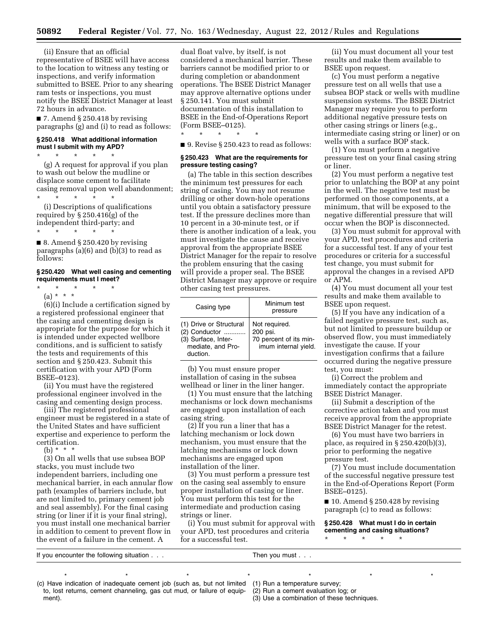(ii) Ensure that an official representative of BSEE will have access to the location to witness any testing or inspections, and verify information submitted to BSEE. Prior to any shearing ram tests or inspections, you must notify the BSEE District Manager at least 72 hours in advance.

 $\blacksquare$  7. Amend § 250.418 by revising paragraphs (g) and (i) to read as follows:

#### **§ 250.418 What additional information must I submit with my APD?**

\* \* \* \* \* (g) A request for approval if you plan to wash out below the mudline or displace some cement to facilitate casing removal upon well abandonment; \* \* \* \* \*

(i) Descriptions of qualifications required by § 250.416(g) of the independent third-party; and

\* \* \* \* \*  $\blacksquare$  8. Amend § 250.420 by revising paragraphs (a)(6) and (b)(3) to read as follows:

#### **§ 250.420 What well casing and cementing requirements must I meet?**

- \* \* \* \* \*
- (a) \* \* \*

(6)(i) Include a certification signed by a registered professional engineer that the casing and cementing design is appropriate for the purpose for which it is intended under expected wellbore conditions, and is sufficient to satisfy the tests and requirements of this section and § 250.423. Submit this certification with your APD (Form BSEE–0123).

(ii) You must have the registered professional engineer involved in the casing and cementing design process.

(iii) The registered professional engineer must be registered in a state of the United States and have sufficient expertise and experience to perform the certification.

(b) \* \* \*

(3) On all wells that use subsea BOP stacks, you must include two independent barriers, including one mechanical barrier, in each annular flow path (examples of barriers include, but are not limited to, primary cement job and seal assembly). For the final casing string (or liner if it is your final string), you must install one mechanical barrier in addition to cement to prevent flow in the event of a failure in the cement. A

dual float valve, by itself, is not considered a mechanical barrier. These barriers cannot be modified prior to or during completion or abandonment operations. The BSEE District Manager may approve alternative options under § 250.141. You must submit documentation of this installation to BSEE in the End-of-Operations Report (Form BSEE–0125).

■ 9. Revise § 250.423 to read as follows:

\* \* \* \* \*

#### **§ 250.423 What are the requirements for pressure testing casing?**

(a) The table in this section describes the minimum test pressures for each string of casing. You may not resume drilling or other down-hole operations until you obtain a satisfactory pressure test. If the pressure declines more than 10 percent in a 30-minute test, or if there is another indication of a leak, you must investigate the cause and receive approval from the appropriate BSEE District Manager for the repair to resolve the problem ensuring that the casing will provide a proper seal. The BSEE District Manager may approve or require other casing test pressures.

| Casing type                                                                                      | Minimum test<br>pressure                                                    |
|--------------------------------------------------------------------------------------------------|-----------------------------------------------------------------------------|
| (1) Drive or Structural<br>(2) Conductor<br>(3) Surface, Inter-<br>mediate, and Pro-<br>duction. | Not required.<br>200 psi.<br>70 percent of its min-<br>imum internal yield. |

(b) You must ensure proper installation of casing in the subsea wellhead or liner in the liner hanger.

(1) You must ensure that the latching mechanisms or lock down mechanisms are engaged upon installation of each casing string.

(2) If you run a liner that has a latching mechanism or lock down mechanism, you must ensure that the latching mechanisms or lock down mechanisms are engaged upon installation of the liner.

(3) You must perform a pressure test on the casing seal assembly to ensure proper installation of casing or liner. You must perform this test for the intermediate and production casing strings or liner.

(i) You must submit for approval with your APD, test procedures and criteria for a successful test.

\*\*\*\*\*\*\*

(ii) You must document all your test results and make them available to BSEE upon request.

(c) You must perform a negative pressure test on all wells that use a subsea BOP stack or wells with mudline suspension systems. The BSEE District Manager may require you to perform additional negative pressure tests on other casing strings or liners (e.g., intermediate casing string or liner) or on wells with a surface BOP stack.

(1) You must perform a negative pressure test on your final casing string or liner.

(2) You must perform a negative test prior to unlatching the BOP at any point in the well. The negative test must be performed on those components, at a minimum, that will be exposed to the negative differential pressure that will occur when the BOP is disconnected.

(3) You must submit for approval with your APD, test procedures and criteria for a successful test. If any of your test procedures or criteria for a successful test change, you must submit for approval the changes in a revised APD or APM.

(4) You must document all your test results and make them available to BSEE upon request.

(5) If you have any indication of a failed negative pressure test, such as, but not limited to pressure buildup or observed flow, you must immediately investigate the cause. If your investigation confirms that a failure occurred during the negative pressure test, you must:

(i) Correct the problem and immediately contact the appropriate BSEE District Manager.

(ii) Submit a description of the corrective action taken and you must receive approval from the appropriate BSEE District Manager for the retest.

(6) You must have two barriers in place, as required in  $\S 250.420(b)(3)$ , prior to performing the negative pressure test.

(7) You must include documentation of the successful negative pressure test in the End-of-Operations Report (Form BSEE–0125).

 $\blacksquare$  10. Amend § 250.428 by revising paragraph (c) to read as follows:

**§ 250.428 What must I do in certain cementing and casing situations?**  \* \* \* \* \*

If you encounter the following situation . . . Then you must . . .

(c) Have indication of inadequate cement job (such as, but not limited to, lost returns, cement channeling, gas cut mud, or failure of equipment).

(1) Run a temperature survey;

(2) Run a cement evaluation log; or

(3) Use a combination of these techniques.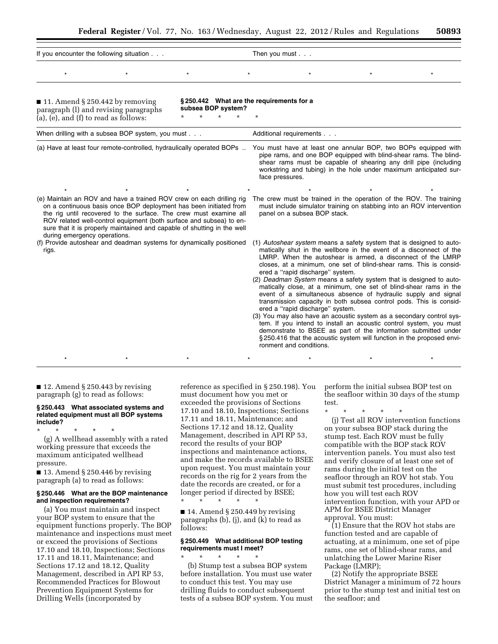|                                                                                                                                                                                                                                                                                                                                                                                                  |                                          | 100                                                                                                                                                                                                                                                                                             |
|--------------------------------------------------------------------------------------------------------------------------------------------------------------------------------------------------------------------------------------------------------------------------------------------------------------------------------------------------------------------------------------------------|------------------------------------------|-------------------------------------------------------------------------------------------------------------------------------------------------------------------------------------------------------------------------------------------------------------------------------------------------|
| If you encounter the following situation                                                                                                                                                                                                                                                                                                                                                         |                                          | Then you must $\ldots$                                                                                                                                                                                                                                                                          |
| $\star$                                                                                                                                                                                                                                                                                                                                                                                          |                                          |                                                                                                                                                                                                                                                                                                 |
| $\blacksquare$ 11. Amend § 250.442 by removing<br>paragraph (l) and revising paragraphs<br>(a), (e), and (f) to read as follows:                                                                                                                                                                                                                                                                 | subsea BOP system?<br>$\star$<br>$\star$ | §250.442 What are the requirements for a<br>$\star$                                                                                                                                                                                                                                             |
| When drilling with a subsea BOP system, you must                                                                                                                                                                                                                                                                                                                                                 |                                          | Additional requirements                                                                                                                                                                                                                                                                         |
| (a) Have at least four remote-controlled, hydraulically operated BOPs                                                                                                                                                                                                                                                                                                                            |                                          | You must have at least one annular BOP, two BOPs equipped with<br>pipe rams, and one BOP equipped with blind-shear rams. The blind-<br>shear rams must be capable of shearing any drill pipe (including<br>workstring and tubing) in the hole under maximum anticipated sur-<br>face pressures. |
|                                                                                                                                                                                                                                                                                                                                                                                                  |                                          |                                                                                                                                                                                                                                                                                                 |
| (e) Maintain an ROV and have a trained ROV crew on each drilling rig<br>on a continuous basis once BOP deployment has been initiated from<br>the rig until recovered to the surface. The crew must examine all<br>ROV related well-control equipment (both surface and subsea) to en-<br>sure that it is properly maintained and capable of shutting in the well<br>during emergency operations. |                                          | The crew must be trained in the operation of the ROV. The training<br>must include simulator training on stabbing into an ROV intervention<br>panel on a subsea BOP stack.                                                                                                                      |
| (f) Provide autoshear and deadman systems for dynamically positioned<br>rigs.                                                                                                                                                                                                                                                                                                                    |                                          | (1) Autoshear system means a safety system that is designed to auto-<br>matically shut in the wellbore in the event of a disconnect of the                                                                                                                                                      |

matically shut in the wellbore in the event of a disconnect of the LMRP. When the autoshear is armed, a disconnect of the LMRP closes, at a minimum, one set of blind-shear rams. This is considered a ''rapid discharge'' system.

- (2) *Deadman System* means a safety system that is designed to automatically close, at a minimum, one set of blind-shear rams in the event of a simultaneous absence of hydraulic supply and signal transmission capacity in both subsea control pods. This is considered a ''rapid discharge'' system.
- (3) You may also have an acoustic system as a secondary control system. If you intend to install an acoustic control system, you must demonstrate to BSEE as part of the information submitted under § 250.416 that the acoustic system will function in the proposed environment and conditions.

 $\blacksquare$  12. Amend § 250.443 by revising paragraph (g) to read as follows:

#### **§ 250.443 What associated systems and related equipment must all BOP systems include?**

\* \* \* \* \* (g) A wellhead assembly with a rated working pressure that exceeds the maximum anticipated wellhead pressure.

 $\blacksquare$  13. Amend § 250.446 by revising paragraph (a) to read as follows:

#### **§ 250.446 What are the BOP maintenance and inspection requirements?**

(a) You must maintain and inspect your BOP system to ensure that the equipment functions properly. The BOP maintenance and inspections must meet or exceed the provisions of Sections 17.10 and 18.10, Inspections; Sections 17.11 and 18.11, Maintenance; and Sections 17.12 and 18.12, Quality Management, described in API RP 53, Recommended Practices for Blowout Prevention Equipment Systems for Drilling Wells (incorporated by

reference as specified in § 250.198). You must document how you met or exceeded the provisions of Sections 17.10 and 18.10, Inspections; Sections 17.11 and 18.11, Maintenance; and Sections 17.12 and 18.12, Quality Management, described in API RP 53, record the results of your BOP inspections and maintenance actions, and make the records available to BSEE upon request. You must maintain your records on the rig for 2 years from the date the records are created, or for a longer period if directed by BSEE;

\*\*\*\*\*\*\*

 $\blacksquare$  14. Amend § 250.449 by revising paragraphs (b), (j), and (k) to read as follows:

\* \* \* \* \*

#### **§ 250.449 What additional BOP testing requirements must I meet?**

\* \* \* \* \* (b) Stump test a subsea BOP system before installation. You must use water to conduct this test. You may use drilling fluids to conduct subsequent tests of a subsea BOP system. You must perform the initial subsea BOP test on the seafloor within 30 days of the stump test.

\* \* \* \* \* (j) Test all ROV intervention functions on your subsea BOP stack during the stump test. Each ROV must be fully compatible with the BOP stack ROV intervention panels. You must also test and verify closure of at least one set of rams during the initial test on the seafloor through an ROV hot stab. You must submit test procedures, including how you will test each ROV intervention function, with your APD or APM for BSEE District Manager approval. You must:

(1) Ensure that the ROV hot stabs are function tested and are capable of actuating, at a minimum, one set of pipe rams, one set of blind-shear rams, and unlatching the Lower Marine Riser Package (LMRP);

(2) Notify the appropriate BSEE District Manager a minimum of 72 hours prior to the stump test and initial test on the seafloor; and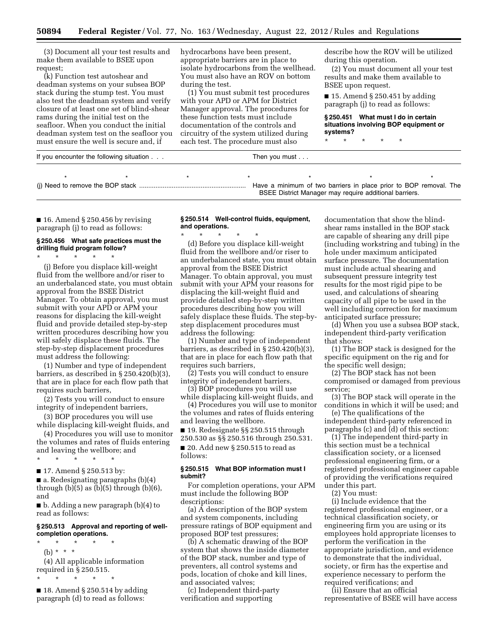(3) Document all your test results and make them available to BSEE upon request;

(k) Function test autoshear and deadman systems on your subsea BOP stack during the stump test. You must also test the deadman system and verify closure of at least one set of blind-shear rams during the initial test on the seafloor. When you conduct the initial deadman system test on the seafloor you must ensure the well is secure and, if

hydrocarbons have been present, appropriate barriers are in place to isolate hydrocarbons from the wellhead. You must also have an ROV on bottom during the test.

(1) You must submit test procedures with your APD or APM for District Manager approval. The procedures for these function tests must include documentation of the controls and circuitry of the system utilized during each test. The procedure must also

describe how the ROV will be utilized during this operation.

(2) You must document all your test results and make them available to BSEE upon request.

 $\blacksquare$  15. Amend § 250.451 by adding paragraph (j) to read as follows:

**§ 250.451 What must I do in certain situations involving BOP equipment or systems?** 

\* \* \* \* \*

BSEE District Manager may require additional barriers.

| If you encounter the following situation |  |  | Then you must                                                     |  |  |  |  |
|------------------------------------------|--|--|-------------------------------------------------------------------|--|--|--|--|
|                                          |  |  |                                                                   |  |  |  |  |
|                                          |  |  | Have a minimum of two barriers in place prior to BOP removal. The |  |  |  |  |

 $\blacksquare$  16. Amend § 250.456 by revising paragraph (j) to read as follows:

#### **§ 250.456 What safe practices must the drilling fluid program follow?**

\* \* \* \* \*

(j) Before you displace kill-weight fluid from the wellbore and/or riser to an underbalanced state, you must obtain approval from the BSEE District Manager. To obtain approval, you must submit with your APD or APM your reasons for displacing the kill-weight fluid and provide detailed step-by-step written procedures describing how you will safely displace these fluids. The step-by-step displacement procedures must address the following:

(1) Number and type of independent barriers, as described in § 250.420(b)(3), that are in place for each flow path that requires such barriers,

(2) Tests you will conduct to ensure integrity of independent barriers,

(3) BOP procedures you will use while displacing kill-weight fluids, and

(4) Procedures you will use to monitor the volumes and rates of fluids entering and leaving the wellbore; and

\* \* \* \* \* ■ 17. Amend § 250.513 by:

■ a. Redesignating paragraphs (b)(4) through  $(b)(5)$  as  $(b)(5)$  through  $(b)(6)$ , and

■ b. Adding a new paragraph (b)(4) to read as follows:

#### **§ 250.513 Approval and reporting of wellcompletion operations.**

- \* \* \* \* \* (b) \* \* \* (4) All applicable information required in § 250.515.
- \* \* \* \* \*

 $\blacksquare$  18. Amend § 250.514 by adding paragraph (d) to read as follows:

#### **§ 250.514 Well-control fluids, equipment, and operations.**

\* \* \* \* \* (d) Before you displace kill-weight fluid from the wellbore and/or riser to an underbalanced state, you must obtain approval from the BSEE District Manager. To obtain approval, you must submit with your APM your reasons for displacing the kill-weight fluid and provide detailed step-by-step written procedures describing how you will safely displace these fluids. The step-bystep displacement procedures must address the following:

(1) Number and type of independent barriers, as described in § 250.420(b)(3), that are in place for each flow path that requires such barriers,

(2) Tests you will conduct to ensure integrity of independent barriers,

(3) BOP procedures you will use while displacing kill-weight fluids, and

(4) Procedures you will use to monitor the volumes and rates of fluids entering and leaving the wellbore.

■ 19. Redesignate §§ 250.515 through 250.530 as §§ 250.516 through 250.531.

■ 20. Add new § 250.515 to read as follows:

#### **§ 250.515 What BOP information must I submit?**

For completion operations, your APM must include the following BOP descriptions:

(a) A description of the BOP system and system components, including pressure ratings of BOP equipment and proposed BOP test pressures;

(b) A schematic drawing of the BOP system that shows the inside diameter of the BOP stack, number and type of preventers, all control systems and pods, location of choke and kill lines, and associated valves;

(c) Independent third-party verification and supporting

documentation that show the blindshear rams installed in the BOP stack are capable of shearing any drill pipe (including workstring and tubing) in the hole under maximum anticipated surface pressure. The documentation must include actual shearing and subsequent pressure integrity test results for the most rigid pipe to be used, and calculations of shearing capacity of all pipe to be used in the well including correction for maximum anticipated surface pressure;

(d) When you use a subsea BOP stack, independent third-party verification that shows:

(1) The BOP stack is designed for the specific equipment on the rig and for the specific well design;

(2) The BOP stack has not been compromised or damaged from previous service;

(3) The BOP stack will operate in the conditions in which it will be used; and

(e) The qualifications of the independent third-party referenced in paragraphs (c) and (d) of this section:

(1) The independent third-party in this section must be a technical classification society, or a licensed professional engineering firm, or a registered professional engineer capable of providing the verifications required under this part.

(2) You must:

(i) Include evidence that the registered professional engineer, or a technical classification society, or engineering firm you are using or its employees hold appropriate licenses to perform the verification in the appropriate jurisdiction, and evidence to demonstrate that the individual, society, or firm has the expertise and experience necessary to perform the required verifications; and

(ii) Ensure that an official representative of BSEE will have access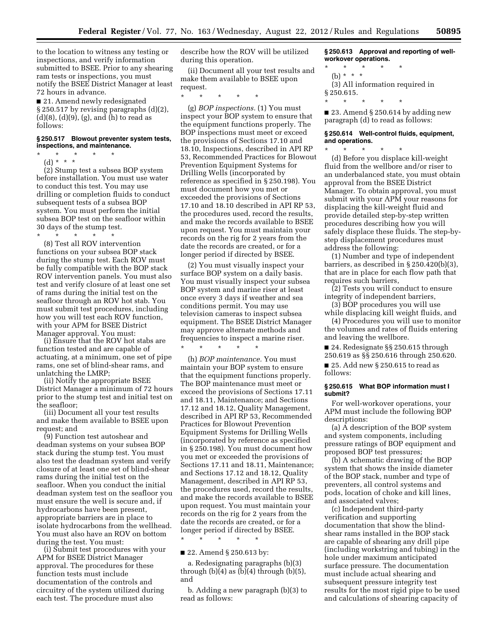to the location to witness any testing or inspections, and verify information submitted to BSEE. Prior to any shearing ram tests or inspections, you must notify the BSEE District Manager at least 72 hours in advance.

■ 21. Amend newly redesignated § 250.517 by revising paragraphs (d)(2), (d)(8), (d)(9), (g), and (h) to read as follows:

#### **§ 250.517 Blowout preventer system tests, inspections, and maintenance.**

\* \* \* \* \* (d) \* \* \*

(2) Stump test a subsea BOP system before installation. You must use water to conduct this test. You may use drilling or completion fluids to conduct subsequent tests of a subsea BOP system. You must perform the initial subsea BOP test on the seafloor within 30 days of the stump test. \* \* \* \* \*

(8) Test all ROV intervention functions on your subsea BOP stack during the stump test. Each ROV must be fully compatible with the BOP stack ROV intervention panels. You must also test and verify closure of at least one set of rams during the initial test on the seafloor through an ROV hot stab. You must submit test procedures, including how you will test each ROV function, with your APM for BSEE District Manager approval. You must:

(i) Ensure that the ROV hot stabs are function tested and are capable of actuating, at a minimum, one set of pipe rams, one set of blind-shear rams, and unlatching the LMRP;

(ii) Notify the appropriate BSEE District Manager a minimum of 72 hours prior to the stump test and initial test on the seafloor;

(iii) Document all your test results and make them available to BSEE upon request; and

(9) Function test autoshear and deadman systems on your subsea BOP stack during the stump test. You must also test the deadman system and verify closure of at least one set of blind-shear rams during the initial test on the seafloor. When you conduct the initial deadman system test on the seafloor you must ensure the well is secure and, if hydrocarbons have been present, appropriate barriers are in place to isolate hydrocarbons from the wellhead. You must also have an ROV on bottom during the test. You must:

(i) Submit test procedures with your APM for BSEE District Manager approval. The procedures for these function tests must include documentation of the controls and circuitry of the system utilized during each test. The procedure must also

describe how the ROV will be utilized during this operation.

(ii) Document all your test results and make them available to BSEE upon request.

\* \* \* \* \*

(g) *BOP inspections.* (1) You must inspect your BOP system to ensure that the equipment functions properly. The BOP inspections must meet or exceed the provisions of Sections 17.10 and 18.10, Inspections, described in API RP 53, Recommended Practices for Blowout Prevention Equipment Systems for Drilling Wells (incorporated by reference as specified in § 250.198). You must document how you met or exceeded the provisions of Sections 17.10 and 18.10 described in API RP 53, the procedures used, record the results, and make the records available to BSEE upon request. You must maintain your records on the rig for 2 years from the date the records are created, or for a longer period if directed by BSEE.

(2) You must visually inspect your surface BOP system on a daily basis. You must visually inspect your subsea BOP system and marine riser at least once every 3 days if weather and sea conditions permit. You may use television cameras to inspect subsea equipment. The BSEE District Manager may approve alternate methods and frequencies to inspect a marine riser. \* \* \* \* \*

(h) *BOP maintenance.* You must maintain your BOP system to ensure that the equipment functions properly. The BOP maintenance must meet or exceed the provisions of Sections 17.11 and 18.11, Maintenance; and Sections 17.12 and 18.12, Quality Management, described in API RP 53, Recommended Practices for Blowout Prevention Equipment Systems for Drilling Wells (incorporated by reference as specified in § 250.198). You must document how you met or exceeded the provisions of Sections 17.11 and 18.11, Maintenance; and Sections 17.12 and 18.12, Quality Management, described in API RP 53, the procedures used, record the results, and make the records available to BSEE upon request. You must maintain your records on the rig for 2 years from the date the records are created, or for a longer period if directed by BSEE.

■ 22. Amend § 250.613 by:

\* \* \* \* \*

a. Redesignating paragraphs (b)(3) through  $(b)(4)$  as  $(b)(4)$  through  $(b)(5)$ , and

b. Adding a new paragraph (b)(3) to read as follows:

**§ 250.613 Approval and reporting of wellworkover operations.** 

- \* \* \* \* \*
	- (b) \* \* \*
- (3) All information required in § 250.615.
- \* \* \* \* \*

■ 23. Amend § 250.614 by adding new paragraph (d) to read as follows:

#### **§ 250.614 Well-control fluids, equipment, and operations.**  \* \* \* \* \*

(d) Before you displace kill-weight fluid from the wellbore and/or riser to an underbalanced state, you must obtain approval from the BSEE District Manager. To obtain approval, you must submit with your APM your reasons for displacing the kill-weight fluid and provide detailed step-by-step written procedures describing how you will safely displace these fluids. The step-bystep displacement procedures must address the following:

(1) Number and type of independent barriers, as described in § 250.420(b)(3), that are in place for each flow path that requires such barriers,

(2) Tests you will conduct to ensure integrity of independent barriers,

(3) BOP procedures you will use while displacing kill weight fluids, and

(4) Procedures you will use to monitor the volumes and rates of fluids entering and leaving the wellbore.

■ 24. Redesignate §§ 250.615 through 250.619 as §§ 250.616 through 250.620.

■ 25. Add new § 250.615 to read as follows:

#### **§ 250.615 What BOP information must I submit?**

For well-workover operations, your APM must include the following BOP descriptions:

(a) A description of the BOP system and system components, including pressure ratings of BOP equipment and proposed BOP test pressures;

(b) A schematic drawing of the BOP system that shows the inside diameter of the BOP stack, number and type of preventers, all control systems and pods, location of choke and kill lines, and associated valves;

(c) Independent third-party verification and supporting documentation that show the blindshear rams installed in the BOP stack are capable of shearing any drill pipe (including workstring and tubing) in the hole under maximum anticipated surface pressure. The documentation must include actual shearing and subsequent pressure integrity test results for the most rigid pipe to be used and calculations of shearing capacity of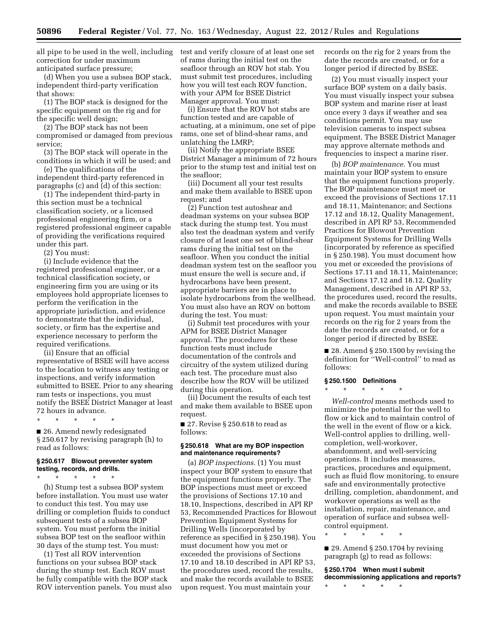all pipe to be used in the well, including correction for under maximum anticipated surface pressure;

(d) When you use a subsea BOP stack, independent third-party verification that shows:

(1) The BOP stack is designed for the specific equipment on the rig and for the specific well design;

(2) The BOP stack has not been compromised or damaged from previous service;

(3) The BOP stack will operate in the conditions in which it will be used; and

(e) The qualifications of the independent third-party referenced in paragraphs (c) and (d) of this section:

(1) The independent third-party in this section must be a technical classification society, or a licensed professional engineering firm, or a registered professional engineer capable of providing the verifications required under this part.

(2) You must:

(i) Include evidence that the registered professional engineer, or a technical classification society, or engineering firm you are using or its employees hold appropriate licenses to perform the verification in the appropriate jurisdiction, and evidence to demonstrate that the individual, society, or firm has the expertise and experience necessary to perform the required verifications.

(ii) Ensure that an official representative of BSEE will have access to the location to witness any testing or inspections, and verify information submitted to BSEE. Prior to any shearing ram tests or inspections, you must notify the BSEE District Manager at least 72 hours in advance.

\* \* \* \* \*

■ 26. Amend newly redesignated § 250.617 by revising paragraph (h) to read as follows:

#### **§ 250.617 Blowout preventer system testing, records, and drills.**

\* \* \* \* \* (h) Stump test a subsea BOP system

before installation. You must use water to conduct this test. You may use drilling or completion fluids to conduct subsequent tests of a subsea BOP system. You must perform the initial subsea BOP test on the seafloor within 30 days of the stump test. You must:

(1) Test all ROV intervention functions on your subsea BOP stack during the stump test. Each ROV must be fully compatible with the BOP stack ROV intervention panels. You must also test and verify closure of at least one set of rams during the initial test on the seafloor through an ROV hot stab. You must submit test procedures, including how you will test each ROV function, with your APM for BSEE District Manager approval. You must:

(i) Ensure that the ROV hot stabs are function tested and are capable of actuating, at a minimum, one set of pipe rams, one set of blind-shear rams, and unlatching the LMRP;

(ii) Notify the appropriate BSEE District Manager a minimum of 72 hours prior to the stump test and initial test on the seafloor;

(iii) Document all your test results and make them available to BSEE upon request; and

(2) Function test autoshear and deadman systems on your subsea BOP stack during the stump test. You must also test the deadman system and verify closure of at least one set of blind-shear rams during the initial test on the seafloor. When you conduct the initial deadman system test on the seafloor you must ensure the well is secure and, if hydrocarbons have been present, appropriate barriers are in place to isolate hydrocarbons from the wellhead. You must also have an ROV on bottom during the test. You must:

(i) Submit test procedures with your APM for BSEE District Manager approval. The procedures for these function tests must include documentation of the controls and circuitry of the system utilized during each test. The procedure must also describe how the ROV will be utilized during this operation.

(ii) Document the results of each test and make them available to BSEE upon request.

■ 27. Revise § 250.618 to read as follows:

#### **§ 250.618 What are my BOP inspection and maintenance requirements?**

(a) *BOP inspections.* (1) You must inspect your BOP system to ensure that the equipment functions properly. The BOP inspections must meet or exceed the provisions of Sections 17.10 and 18.10, Inspections, described in API RP 53, Recommended Practices for Blowout Prevention Equipment Systems for Drilling Wells (incorporated by reference as specified in § 250.198). You must document how you met or exceeded the provisions of Sections 17.10 and 18.10 described in API RP 53, the procedures used, record the results, and make the records available to BSEE upon request. You must maintain your

records on the rig for 2 years from the date the records are created, or for a longer period if directed by BSEE.

(2) You must visually inspect your surface BOP system on a daily basis. You must visually inspect your subsea BOP system and marine riser at least once every 3 days if weather and sea conditions permit. You may use television cameras to inspect subsea equipment. The BSEE District Manager may approve alternate methods and frequencies to inspect a marine riser.

(b) *BOP maintenance.* You must maintain your BOP system to ensure that the equipment functions properly. The BOP maintenance must meet or exceed the provisions of Sections 17.11 and 18.11, Maintenance; and Sections 17.12 and 18.12, Quality Management, described in API RP 53, Recommended Practices for Blowout Prevention Equipment Systems for Drilling Wells (incorporated by reference as specified in § 250.198). You must document how you met or exceeded the provisions of Sections 17.11 and 18.11, Maintenance; and Sections 17.12 and 18.12, Quality Management, described in API RP 53, the procedures used, record the results, and make the records available to BSEE upon request. You must maintain your records on the rig for 2 years from the date the records are created, or for a longer period if directed by BSEE.

■ 28. Amend § 250.1500 by revising the definition for ''Well-control'' to read as follows:

#### **§ 250.1500 Definitions**

\* \* \* \* \*

*Well-control* means methods used to minimize the potential for the well to flow or kick and to maintain control of the well in the event of flow or a kick. Well-control applies to drilling, wellcompletion, well-workover, abandonment, and well-servicing operations. It includes measures, practices, procedures and equipment, such as fluid flow monitoring, to ensure safe and environmentally protective drilling, completion, abandonment, and workover operations as well as the installation, repair, maintenance, and operation of surface and subsea wellcontrol equipment.

\* \* \* \* \* ■ 29. Amend § 250.1704 by revising

paragraph (g) to read as follows:

**§ 250.1704 When must I submit decommissioning applications and reports?**  \* \* \* \* \*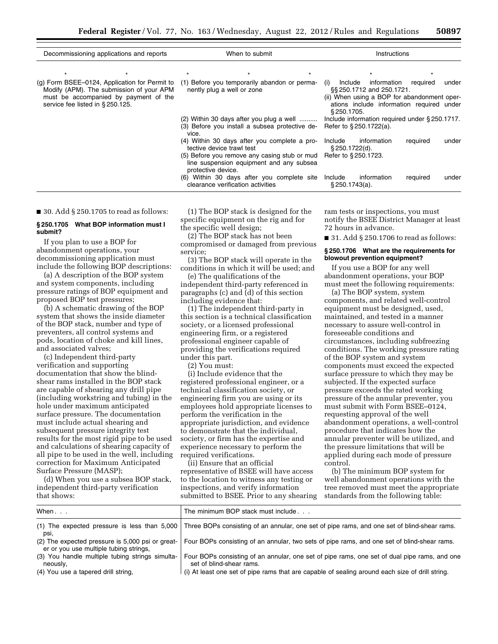| Decommissioning applications and reports                                          | When to submit                                                                                                                          |                                                                                 |     | <b>Instructions</b>                                                                             |                                           |          |       |
|-----------------------------------------------------------------------------------|-----------------------------------------------------------------------------------------------------------------------------------------|---------------------------------------------------------------------------------|-----|-------------------------------------------------------------------------------------------------|-------------------------------------------|----------|-------|
|                                                                                   | $\star$                                                                                                                                 |                                                                                 |     |                                                                                                 |                                           |          |       |
| Modify (APM). The submission of your APM<br>must be accompanied by payment of the | (g) Form BSEE–0124, Application for Permit to (1) Before you temporarily abandon or perma-<br>nently plug a well or zone                |                                                                                 | (i) | Include information<br>§§ 250.1712 and 250.1721.<br>(ii) When using a BOP for abandonment oper- | required                                  | under    |       |
| service fee listed in §250.125.                                                   |                                                                                                                                         |                                                                                 |     | \$250.1705.                                                                                     | ations include information required under |          |       |
|                                                                                   | (2) Within 30 days after you plug a well<br>(3) Before you install a subsea protective de-<br>vice.                                     |                                                                                 |     | Include information required under §250.1717.<br>Refer to §250.1722(a).                         |                                           |          |       |
|                                                                                   | tective device trawl test                                                                                                               | (4) Within 30 days after you complete a pro-                                    |     | Include<br>§ 250.1722(d).                                                                       | information                               | required | under |
|                                                                                   | (5) Before you remove any casing stub or mud Refer to $\S 250.1723$ .<br>line suspension equipment and any subsea<br>protective device. |                                                                                 |     |                                                                                                 |                                           |          |       |
|                                                                                   |                                                                                                                                         | (6) Within 30 days after you complete site<br>clearance verification activities |     | Include<br>$$250.1743(a)$ .                                                                     | information                               | required | under |

#### $\blacksquare$  30. Add § 250.1705 to read as follows:

#### **§ 250.1705 What BOP information must I submit?**

If you plan to use a BOP for abandonment operations, your decommissioning application must include the following BOP descriptions:

(a) A description of the BOP system and system components, including pressure ratings of BOP equipment and proposed BOP test pressures;

(b) A schematic drawing of the BOP system that shows the inside diameter of the BOP stack, number and type of preventers, all control systems and pods, location of choke and kill lines, and associated valves;

(c) Independent third-party verification and supporting documentation that show the blindshear rams installed in the BOP stack are capable of shearing any drill pipe (including workstring and tubing) in the hole under maximum anticipated surface pressure. The documentation must include actual shearing and subsequent pressure integrity test results for the most rigid pipe to be used and calculations of shearing capacity of all pipe to be used in the well, including correction for Maximum Anticipated Surface Pressure (MASP);

(d) When you use a subsea BOP stack, independent third-party verification that shows:

(1) The BOP stack is designed for the specific equipment on the rig and for the specific well design;

(2) The BOP stack has not been compromised or damaged from previous service;

(3) The BOP stack will operate in the conditions in which it will be used; and

(e) The qualifications of the independent third-party referenced in paragraphs (c) and (d) of this section including evidence that:

(1) The independent third-party in this section is a technical classification society, or a licensed professional engineering firm, or a registered professional engineer capable of providing the verifications required under this part.

(2) You must:

(i) Include evidence that the registered professional engineer, or a technical classification society, or engineering firm you are using or its employees hold appropriate licenses to perform the verification in the appropriate jurisdiction, and evidence to demonstrate that the individual, society, or firm has the expertise and experience necessary to perform the required verifications.

(ii) Ensure that an official representative of BSEE will have access to the location to witness any testing or inspections, and verify information submitted to BSEE. Prior to any shearing ram tests or inspections, you must notify the BSEE District Manager at least 72 hours in advance.

 $\blacksquare$  31. Add § 250.1706 to read as follows:

#### **§ 250.1706 What are the requirements for blowout prevention equipment?**

If you use a BOP for any well abandonment operations, your BOP must meet the following requirements:

(a) The BOP system, system components, and related well-control equipment must be designed, used, maintained, and tested in a manner necessary to assure well-control in foreseeable conditions and circumstances, including subfreezing conditions. The working pressure rating of the BOP system and system components must exceed the expected surface pressure to which they may be subjected. If the expected surface pressure exceeds the rated working pressure of the annular preventer, you must submit with Form BSEE–0124, requesting approval of the well abandonment operations, a well-control procedure that indicates how the annular preventer will be utilized, and the pressure limitations that will be applied during each mode of pressure control.

(b) The minimum BOP system for well abandonment operations with the tree removed must meet the appropriate standards from the following table:

| When                                                                                       | The minimum BOP stack must include                                                                                       |  |  |
|--------------------------------------------------------------------------------------------|--------------------------------------------------------------------------------------------------------------------------|--|--|
| (1) The expected pressure is less than $5,000$<br>psı,                                     | Three BOPs consisting of an annular, one set of pipe rams, and one set of blind-shear rams.                              |  |  |
| (2) The expected pressure is 5,000 psi or great-<br>er or you use multiple tubing strings, | Four BOPs consisting of an annular, two sets of pipe rams, and one set of blind-shear rams.                              |  |  |
| (3) You handle multiple tubing strings simulta-<br>neously,                                | Four BOPs consisting of an annular, one set of pipe rams, one set of dual pipe rams, and one<br>set of blind-shear rams. |  |  |
| (4) You use a tapered drill string,                                                        | (i) At least one set of pipe rams that are capable of sealing around each size of drill string.                          |  |  |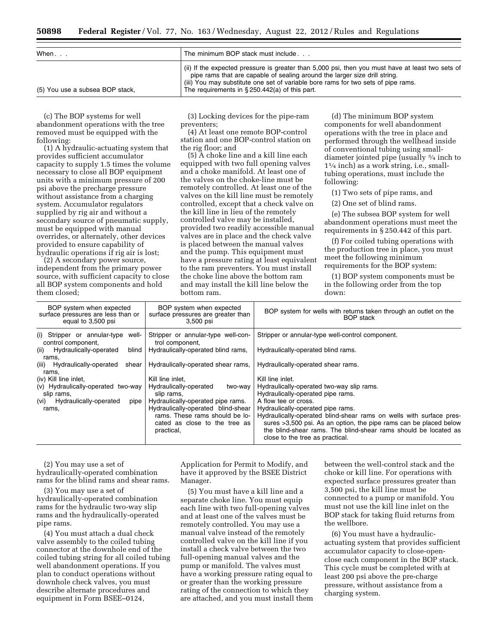| When                            | The minimum BOP stack must include                                                                                                                                                                                                                                                                                       |  |  |
|---------------------------------|--------------------------------------------------------------------------------------------------------------------------------------------------------------------------------------------------------------------------------------------------------------------------------------------------------------------------|--|--|
| (5) You use a subsea BOP stack, | (ii) If the expected pressure is greater than 5,000 psi, then you must have at least two sets of<br>pipe rams that are capable of sealing around the larger size drill string.<br>(iii) You may substitute one set of variable bore rams for two sets of pipe rams.<br>The requirements in $\S 250.442(a)$ of this part. |  |  |

(c) The BOP systems for well abandonment operations with the tree removed must be equipped with the following:

(1) A hydraulic-actuating system that provides sufficient accumulator capacity to supply 1.5 times the volume necessary to close all BOP equipment units with a minimum pressure of 200 psi above the precharge pressure without assistance from a charging system. Accumulator regulators supplied by rig air and without a secondary source of pneumatic supply, must be equipped with manual overrides, or alternately, other devices provided to ensure capability of hydraulic operations if rig air is lost;

(2) A secondary power source, independent from the primary power source, with sufficient capacity to close all BOP system components and hold them closed;

(3) Locking devices for the pipe-ram preventers;

(4) At least one remote BOP-control station and one BOP-control station on the rig floor; and

(5) A choke line and a kill line each equipped with two full opening valves and a choke manifold. At least one of the valves on the choke-line must be remotely controlled. At least one of the valves on the kill line must be remotely controlled, except that a check valve on the kill line in lieu of the remotely controlled valve may be installed, provided two readily accessible manual valves are in place and the check valve is placed between the manual valves and the pump. This equipment must have a pressure rating at least equivalent to the ram preventers. You must install the choke line above the bottom ram and may install the kill line below the bottom ram.

(d) The minimum BOP system components for well abandonment operations with the tree in place and performed through the wellhead inside of conventional tubing using smalldiameter jointed pipe (usually 3⁄4 inch to 11⁄4 inch) as a work string, i.e., smalltubing operations, must include the following:

(1) Two sets of pipe rams, and

(2) One set of blind rams.

(e) The subsea BOP system for well abandonment operations must meet the requirements in § 250.442 of this part.

(f) For coiled tubing operations with the production tree in place, you must meet the following minimum requirements for the BOP system:

(1) BOP system components must be in the following order from the top down:

| BOP system when expected<br>surface pressures are less than or<br>equal to 3,500 psi | BOP system when expected<br>surface pressures are greater than<br>3,500 psi                                         | BOP system for wells with returns taken through an outlet on the<br><b>BOP</b> stack                                                                                                                                                                                                |
|--------------------------------------------------------------------------------------|---------------------------------------------------------------------------------------------------------------------|-------------------------------------------------------------------------------------------------------------------------------------------------------------------------------------------------------------------------------------------------------------------------------------|
| (i) Stripper or annular-type well-<br>control component.                             | Stripper or annular-type well-con-<br>trol component,                                                               | Stripper or annular-type well-control component.                                                                                                                                                                                                                                    |
| Hydraulically-operated<br>blind  <br>(ii)<br>rams,                                   | Hydraulically-operated blind rams,                                                                                  | Hydraulically-operated blind rams.                                                                                                                                                                                                                                                  |
| (iii) Hydraulically-operated<br>shear l<br>rams,                                     | Hydraulically-operated shear rams,                                                                                  | Hydraulically-operated shear rams.                                                                                                                                                                                                                                                  |
| (iv) Kill line inlet,                                                                | Kill line inlet.                                                                                                    | Kill line inlet.                                                                                                                                                                                                                                                                    |
| (v) Hydraulically-operated two-way                                                   | Hydraulically-operated<br>two-way                                                                                   | Hydraulically-operated two-way slip rams.                                                                                                                                                                                                                                           |
| slip rams,                                                                           | slip rams,                                                                                                          | Hydraulically-operated pipe rams.                                                                                                                                                                                                                                                   |
| (vi) Hydraulically-operated<br>pipe                                                  | Hydraulically-operated pipe rams.                                                                                   | A flow tee or cross.                                                                                                                                                                                                                                                                |
| rams,                                                                                | Hydraulically-operated blind-shear<br>rams. These rams should be lo-<br>cated as close to the tree as<br>practical, | Hydraulically-operated pipe rams.<br>Hydraulically-operated blind-shear rams on wells with surface pres-<br>sures >3,500 psi. As an option, the pipe rams can be placed below<br>the blind-shear rams. The blind-shear rams should be located as<br>close to the tree as practical. |

(2) You may use a set of hydraulically-operated combination rams for the blind rams and shear rams.

(3) You may use a set of hydraulically-operated combination rams for the hydraulic two-way slip rams and the hydraulically-operated pipe rams.

(4) You must attach a dual check valve assembly to the coiled tubing connector at the downhole end of the coiled tubing string for all coiled tubing well abandonment operations. If you plan to conduct operations without downhole check valves, you must describe alternate procedures and equipment in Form BSEE–0124,

Application for Permit to Modify, and have it approved by the BSEE District Manager.

(5) You must have a kill line and a separate choke line. You must equip each line with two full-opening valves and at least one of the valves must be remotely controlled. You may use a manual valve instead of the remotely controlled valve on the kill line if you install a check valve between the two full-opening manual valves and the pump or manifold. The valves must have a working pressure rating equal to or greater than the working pressure rating of the connection to which they are attached, and you must install them between the well-control stack and the choke or kill line. For operations with expected surface pressures greater than 3,500 psi, the kill line must be connected to a pump or manifold. You must not use the kill line inlet on the BOP stack for taking fluid returns from the wellbore.

(6) You must have a hydraulicactuating system that provides sufficient accumulator capacity to close-openclose each component in the BOP stack. This cycle must be completed with at least 200 psi above the pre-charge pressure, without assistance from a charging system.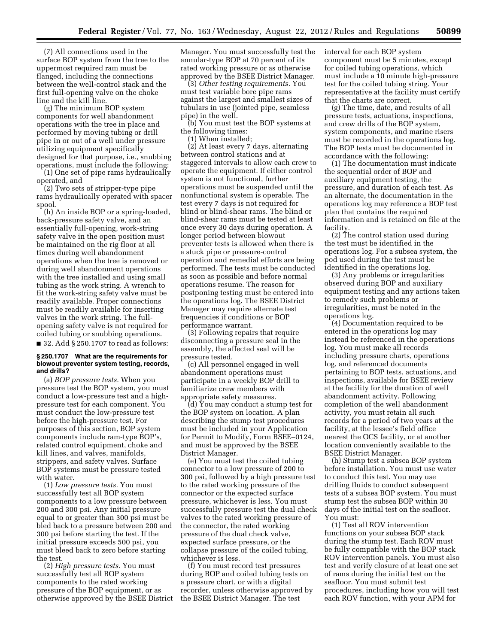(7) All connections used in the surface BOP system from the tree to the uppermost required ram must be flanged, including the connections between the well-control stack and the first full-opening valve on the choke line and the kill line.

(g) The minimum BOP system components for well abandonment operations with the tree in place and performed by moving tubing or drill pipe in or out of a well under pressure utilizing equipment specifically designed for that purpose, i.e., snubbing operations, must include the following:

(1) One set of pipe rams hydraulically operated, and

(2) Two sets of stripper-type pipe rams hydraulically operated with spacer spool.

(h) An inside BOP or a spring-loaded, back-pressure safety valve, and an essentially full-opening, work-string safety valve in the open position must be maintained on the rig floor at all times during well abandonment operations when the tree is removed or during well abandonment operations with the tree installed and using small tubing as the work string. A wrench to fit the work-string safety valve must be readily available. Proper connections must be readily available for inserting valves in the work string. The fullopening safety valve is not required for coiled tubing or snubbing operations. ■ 32. Add § 250.1707 to read as follows:

#### **§ 250.1707 What are the requirements for blowout preventer system testing, records, and drills?**

(a) *BOP pressure tests.* When you pressure test the BOP system, you must conduct a low-pressure test and a highpressure test for each component. You must conduct the low-pressure test before the high-pressure test. For purposes of this section, BOP system components include ram-type BOP's, related control equipment, choke and kill lines, and valves, manifolds, strippers, and safety valves. Surface BOP systems must be pressure tested with water.

(1) *Low pressure tests.* You must successfully test all BOP system components to a low pressure between 200 and 300 psi. Any initial pressure equal to or greater than 300 psi must be bled back to a pressure between 200 and 300 psi before starting the test. If the initial pressure exceeds 500 psi, you must bleed back to zero before starting the test.

(2) *High pressure tests.* You must successfully test all BOP system components to the rated working pressure of the BOP equipment, or as otherwise approved by the BSEE District Manager. You must successfully test the annular-type BOP at 70 percent of its rated working pressure or as otherwise approved by the BSEE District Manager.

(3) *Other testing requirements.* You must test variable bore pipe rams against the largest and smallest sizes of tubulars in use (jointed pipe, seamless pipe) in the well.

(b) You must test the BOP systems at the following times:

(1) When installed;

(2) At least every 7 days, alternating between control stations and at staggered intervals to allow each crew to operate the equipment. If either control system is not functional, further operations must be suspended until the nonfunctional system is operable. The test every 7 days is not required for blind or blind-shear rams. The blind or blind-shear rams must be tested at least once every 30 days during operation. A longer period between blowout preventer tests is allowed when there is a stuck pipe or pressure-control operation and remedial efforts are being performed. The tests must be conducted as soon as possible and before normal operations resume. The reason for postponing testing must be entered into the operations log. The BSEE District Manager may require alternate test frequencies if conditions or BOP performance warrant.

(3) Following repairs that require disconnecting a pressure seal in the assembly, the affected seal will be pressure tested.

(c) All personnel engaged in well abandonment operations must participate in a weekly BOP drill to familiarize crew members with appropriate safety measures.

(d) You may conduct a stump test for the BOP system on location. A plan describing the stump test procedures must be included in your Application for Permit to Modify, Form BSEE–0124, and must be approved by the BSEE District Manager.

(e) You must test the coiled tubing connector to a low pressure of 200 to 300 psi, followed by a high pressure test to the rated working pressure of the connector or the expected surface pressure, whichever is less. You must successfully pressure test the dual check valves to the rated working pressure of the connector, the rated working pressure of the dual check valve, expected surface pressure, or the collapse pressure of the coiled tubing, whichever is less.

(f) You must record test pressures during BOP and coiled tubing tests on a pressure chart, or with a digital recorder, unless otherwise approved by the BSEE District Manager. The test

interval for each BOP system component must be 5 minutes, except for coiled tubing operations, which must include a 10 minute high-pressure test for the coiled tubing string. Your representative at the facility must certify that the charts are correct.

(g) The time, date, and results of all pressure tests, actuations, inspections, and crew drills of the BOP system, system components, and marine risers must be recorded in the operations log. The BOP tests must be documented in accordance with the following:

(1) The documentation must indicate the sequential order of BOP and auxiliary equipment testing, the pressure, and duration of each test. As an alternate, the documentation in the operations log may reference a BOP test plan that contains the required information and is retained on file at the facility.

(2) The control station used during the test must be identified in the operations log. For a subsea system, the pod used during the test must be identified in the operations log.

(3) Any problems or irregularities observed during BOP and auxiliary equipment testing and any actions taken to remedy such problems or irregularities, must be noted in the operations log.

(4) Documentation required to be entered in the operations log may instead be referenced in the operations log. You must make all records including pressure charts, operations log, and referenced documents pertaining to BOP tests, actuations, and inspections, available for BSEE review at the facility for the duration of well abandonment activity. Following completion of the well abandonment activity, you must retain all such records for a period of two years at the facility, at the lessee's field office nearest the OCS facility, or at another location conveniently available to the BSEE District Manager.

(h) Stump test a subsea BOP system before installation. You must use water to conduct this test. You may use drilling fluids to conduct subsequent tests of a subsea BOP system. You must stump test the subsea BOP within 30 days of the initial test on the seafloor. You must:

(1) Test all ROV intervention functions on your subsea BOP stack during the stump test. Each ROV must be fully compatible with the BOP stack ROV intervention panels. You must also test and verify closure of at least one set of rams during the initial test on the seafloor. You must submit test procedures, including how you will test each ROV function, with your APM for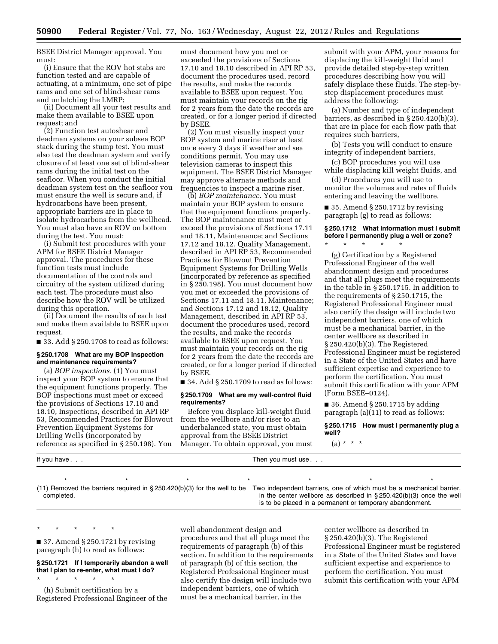BSEE District Manager approval. You must:

(i) Ensure that the ROV hot stabs are function tested and are capable of actuating, at a minimum, one set of pipe rams and one set of blind-shear rams and unlatching the LMRP;

(ii) Document all your test results and make them available to BSEE upon request; and

(2) Function test autoshear and deadman systems on your subsea BOP stack during the stump test. You must also test the deadman system and verify closure of at least one set of blind-shear rams during the initial test on the seafloor. When you conduct the initial deadman system test on the seafloor you must ensure the well is secure and, if hydrocarbons have been present, appropriate barriers are in place to isolate hydrocarbons from the wellhead. You must also have an ROV on bottom during the test. You must:

(i) Submit test procedures with your APM for BSEE District Manager approval. The procedures for these function tests must include documentation of the controls and circuitry of the system utilized during each test. The procedure must also describe how the ROV will be utilized during this operation.

(ii) Document the results of each test and make them available to BSEE upon request.

■ 33. Add § 250.1708 to read as follows:

#### **§ 250.1708 What are my BOP inspection and maintenance requirements?**

(a) *BOP inspections.* (1) You must inspect your BOP system to ensure that the equipment functions properly. The BOP inspections must meet or exceed the provisions of Sections 17.10 and 18.10, Inspections, described in API RP 53, Recommended Practices for Blowout Prevention Equipment Systems for Drilling Wells (incorporated by reference as specified in § 250.198). You

must document how you met or exceeded the provisions of Sections 17.10 and 18.10 described in API RP 53, document the procedures used, record the results, and make the records available to BSEE upon request. You must maintain your records on the rig for 2 years from the date the records are created, or for a longer period if directed by BSEE.

(2) You must visually inspect your BOP system and marine riser at least once every 3 days if weather and sea conditions permit. You may use television cameras to inspect this equipment. The BSEE District Manager may approve alternate methods and frequencies to inspect a marine riser.

(b) *BOP maintenance.* You must maintain your BOP system to ensure that the equipment functions properly. The BOP maintenance must meet or exceed the provisions of Sections 17.11 and 18.11, Maintenance; and Sections 17.12 and 18.12, Quality Management, described in API RP 53, Recommended Practices for Blowout Prevention Equipment Systems for Drilling Wells (incorporated by reference as specified in § 250.198). You must document how you met or exceeded the provisions of Sections 17.11 and 18.11, Maintenance; and Sections 17.12 and 18.12, Quality Management, described in API RP 53, document the procedures used, record the results, and make the records available to BSEE upon request. You must maintain your records on the rig for 2 years from the date the records are created, or for a longer period if directed by BSEE.

 $\blacksquare$  34. Add § 250.1709 to read as follows:

#### **§ 250.1709 What are my well-control fluid requirements?**

Before you displace kill-weight fluid from the wellbore and/or riser to an underbalanced state, you must obtain approval from the BSEE District Manager. To obtain approval, you must

\*\*\*\*\*\*\*

submit with your APM, your reasons for displacing the kill-weight fluid and provide detailed step-by-step written procedures describing how you will safely displace these fluids. The step-bystep displacement procedures must address the following:

(a) Number and type of independent barriers, as described in § 250.420(b)(3), that are in place for each flow path that requires such barriers,

(b) Tests you will conduct to ensure integrity of independent barriers,

(c) BOP procedures you will use while displacing kill weight fluids, and

(d) Procedures you will use to monitor the volumes and rates of fluids entering and leaving the wellbore.

 $\blacksquare$  35. Amend § 250.1712 by revising paragraph (g) to read as follows:

#### **§ 250.1712 What information must I submit before I permanently plug a well or zone?**  \* \* \* \* \*

(g) Certification by a Registered Professional Engineer of the well abandonment design and procedures and that all plugs meet the requirements in the table in § 250.1715. In addition to the requirements of § 250.1715, the Registered Professional Engineer must also certify the design will include two independent barriers, one of which must be a mechanical barrier, in the center wellbore as described in § 250.420(b)(3). The Registered Professional Engineer must be registered in a State of the United States and have sufficient expertise and experience to perform the certification. You must submit this certification with your APM (Form BSEE–0124).

 $\blacksquare$  36. Amend § 250.1715 by adding paragraph (a)(11) to read as follows:

**§ 250.1715 How must I permanently plug a well?** 

 $(a) * * * *$ 

If you have . . . Then you must use . . . Then you must use . . .

(11) Removed the barriers required in § 250.420(b)(3) for the well to be Two independent barriers, one of which must be a mechanical barrier, completed.

in the center wellbore as described in § 250.420(b)(3) once the well is to be placed in a permanent or temporary abandonment.

\* \* \* \* \* ■ 37. Amend § 250.1721 by revising paragraph (h) to read as follows:

**§ 250.1721 If I temporarily abandon a well that I plan to re-enter, what must I do?**  \* \* \* \* \*

(h) Submit certification by a Registered Professional Engineer of the well abandonment design and procedures and that all plugs meet the requirements of paragraph (b) of this section. In addition to the requirements of paragraph (b) of this section, the Registered Professional Engineer must also certify the design will include two independent barriers, one of which must be a mechanical barrier, in the

center wellbore as described in § 250.420(b)(3). The Registered Professional Engineer must be registered in a State of the United States and have sufficient expertise and experience to perform the certification. You must submit this certification with your APM